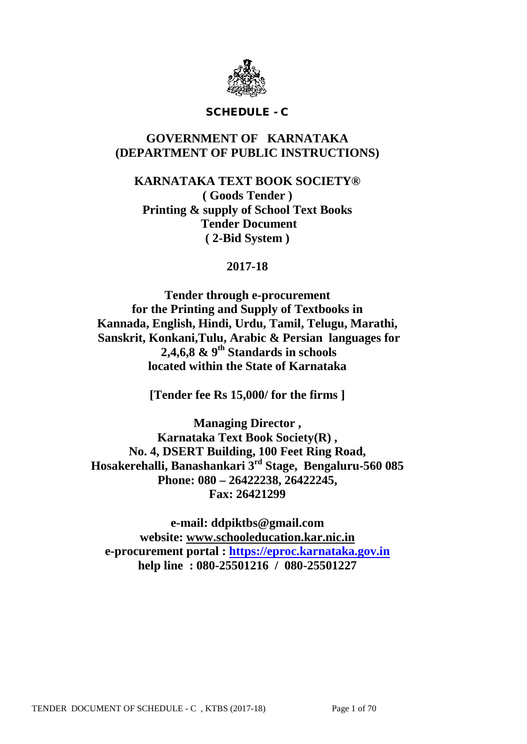

### SCHEDULE - C

## **GOVERNMENT OF KARNATAKA (DEPARTMENT OF PUBLIC INSTRUCTIONS)**

**KARNATAKA TEXT BOOK SOCIETY® ( Goods Tender ) Printing & supply of School Text Books Tender Document ( 2-Bid System )**

## **2017-18**

**Tender through e-procurement for the Printing and Supply of Textbooks in Kannada, English, Hindi, Urdu, Tamil, Telugu, Marathi, Sanskrit, Konkani,Tulu, Arabic & Persian languages for 2,4,6,8 & 9th Standards in schools located within the State of Karnataka**

**[Tender fee Rs 15,000/ for the firms ]**

**Managing Director , Karnataka Text Book Society(R) , No. 4, DSERT Building, 100 Feet Ring Road, Hosakerehalli, Banashankari 3rd Stage, Bengaluru-560 085 Phone: 080 – 26422238, 26422245, Fax: 26421299**

**e-mail: ddpiktbs@gmail.com website: [www.schooleducation.kar.nic.in](http://www.schooleducation.kar.nic.in/) e-procurement portal : [https://eproc.karnataka.gov.in](https://eproc.karnataka.gov.in/) help line : 080-25501216 / 080-25501227**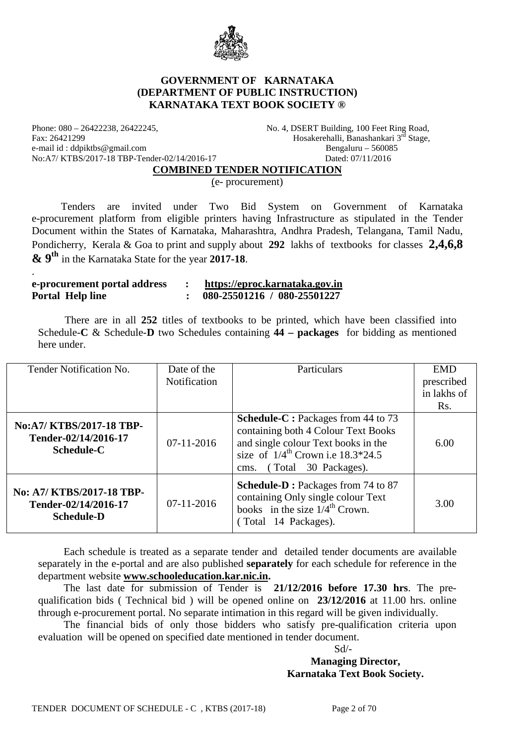

### **GOVERNMENT OF KARNATAKA (DEPARTMENT OF PUBLIC INSTRUCTION) KARNATAKA TEXT BOOK SOCIETY ®**

Phone: 080 – 26422238, 26422245, No. 4, DSERT Building, 100 Feet Ring Road, Fax: 26421299 Hosakerehalli, Banashankari 3rd Stage, e-mail id : ddpiktbs@gmail.com Bengaluru – 560085 No:A7/ KTBS/2017-18 TBP-Tender-02/14/2016-17 Dated: 07/11/2016

.

#### **COMBINED TENDER NOTIFICATION**

(e- procurement)

 Tenders are invited under Two Bid System on Government of Karnataka e-procurement platform from eligible printers having Infrastructure as stipulated in the Tender Document within the States of Karnataka, Maharashtra, Andhra Pradesh, Telangana, Tamil Nadu, Pondicherry, Kerala & Goa to print and supply about **292** lakhs of textbooks for classes **2,4,6,8 & 9th** in the Karnataka State for the year **2017-18**.

| e-procurement portal address | https://eproc.karnataka.gov.in |
|------------------------------|--------------------------------|
| <b>Portal Help line</b>      | 080-25501216 / 080-25501227    |

 There are in all **252** titles of textbooks to be printed, which have been classified into Schedule-**C** & Schedule-**D** two Schedules containing **44 – packages** for bidding as mentioned here under.

| Tender Notification No.                                                | Date of the<br><b>Notification</b> | Particulars                                                                                                                                                                                        | <b>EMD</b><br>prescribed |
|------------------------------------------------------------------------|------------------------------------|----------------------------------------------------------------------------------------------------------------------------------------------------------------------------------------------------|--------------------------|
|                                                                        |                                    |                                                                                                                                                                                                    | in lakhs of<br>Rs.       |
| No:A7/ KTBS/2017-18 TBP-<br>Tender-02/14/2016-17<br><b>Schedule-C</b>  | $07-11-2016$                       | <b>Schedule-C</b> : Packages from 44 to 73<br>containing both 4 Colour Text Books<br>and single colour Text books in the<br>size of $1/4^{th}$ Crown i.e 18.3*24.5<br>(Total 30 Packages).<br>cms. | 6.00                     |
| No: A7/ KTBS/2017-18 TBP-<br>Tender-02/14/2016-17<br><b>Schedule-D</b> | $07-11-2016$                       | Schedule-D: Packages from 74 to 87<br>containing Only single colour Text<br>books in the size $1/4^{\text{th}}$ Crown.<br>(Total 14 Packages).                                                     | 3.00                     |

Each schedule is treated as a separate tender and detailed tender documents are available separately in the e-portal and are also published **separately** for each schedule for reference in the department website **[www.schooleducation.kar.nic.in.](http://www.schooleducation.kar.nic.in/)**

The last date for submission of Tender is **21/12/2016 before 17.30 hrs**. The prequalification bids ( Technical bid ) will be opened online on **23/12/2016** at 11.00 hrs. online through e-procurement portal. No separate intimation in this regard will be given individually.

The financial bids of only those bidders who satisfy pre-qualification criteria upon evaluation will be opened on specified date mentioned in tender document.

 Sd/- **Managing Director, Karnataka Text Book Society.**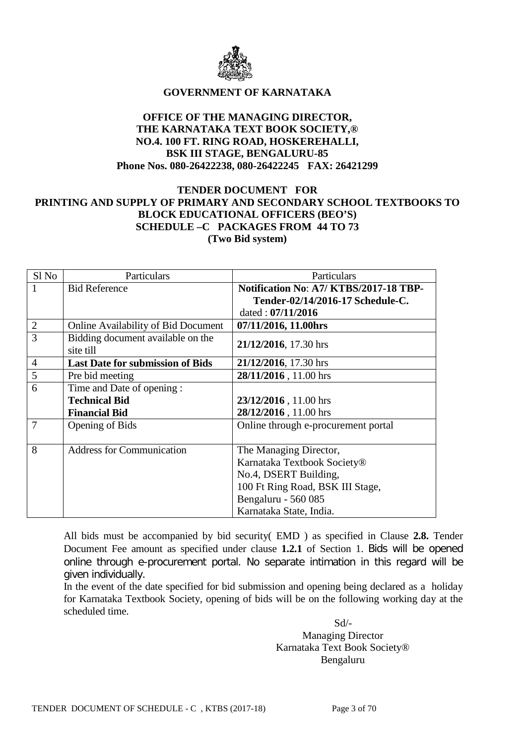

### **GOVERNMENT OF KARNATAKA**

### **OFFICE OF THE MANAGING DIRECTOR, THE KARNATAKA TEXT BOOK SOCIETY,® NO.4. 100 FT. RING ROAD, HOSKEREHALLI, BSK III STAGE, BENGALURU-85 Phone Nos. 080-26422238, 080-26422245 FAX: 26421299**

## **TENDER DOCUMENT FOR PRINTING AND SUPPLY OF PRIMARY AND SECONDARY SCHOOL TEXTBOOKS TO BLOCK EDUCATIONAL OFFICERS (BEO'S) SCHEDULE –C PACKAGES FROM 44 TO 73 (Two Bid system)**

| Sl No          | Particulars                                    | <b>Particulars</b>                    |  |
|----------------|------------------------------------------------|---------------------------------------|--|
|                | <b>Bid Reference</b>                           | Notification No: A7/KTBS/2017-18 TBP- |  |
|                |                                                | Tender-02/14/2016-17 Schedule-C.      |  |
|                |                                                | dated: $07/11/2016$                   |  |
| $\overline{2}$ | <b>Online Availability of Bid Document</b>     | 07/11/2016, 11.00hrs                  |  |
| $\overline{3}$ | Bidding document available on the<br>site till | 21/12/2016, 17.30 hrs                 |  |
| $\overline{4}$ | <b>Last Date for submission of Bids</b>        | 21/12/2016, 17.30 hrs                 |  |
| 5              | Pre bid meeting                                | 28/11/2016, 11.00 hrs                 |  |
| 6              | Time and Date of opening :                     |                                       |  |
|                | <b>Technical Bid</b>                           | 23/12/2016, 11.00 hrs                 |  |
|                | <b>Financial Bid</b>                           | 28/12/2016, 11.00 hrs                 |  |
| $\overline{7}$ | Opening of Bids                                | Online through e-procurement portal   |  |
|                |                                                |                                       |  |
| 8              | <b>Address for Communication</b>               | The Managing Director,                |  |
|                |                                                | Karnataka Textbook Society®           |  |
|                |                                                | No.4, DSERT Building,                 |  |
|                |                                                | 100 Ft Ring Road, BSK III Stage,      |  |
|                |                                                | Bengaluru - 560 085                   |  |
|                |                                                | Karnataka State, India.               |  |

All bids must be accompanied by bid security( EMD ) as specified in Clause **2.8.** Tender Document Fee amount as specified under clause **1.2.1** of Section 1. Bids will be opened online through e-procurement portal. No separate intimation in this regard will be given individually.

In the event of the date specified for bid submission and opening being declared as a holiday for Karnataka Textbook Society, opening of bids will be on the following working day at the scheduled time.

 Sd/- Managing Director Karnataka Text Book Society® Bengaluru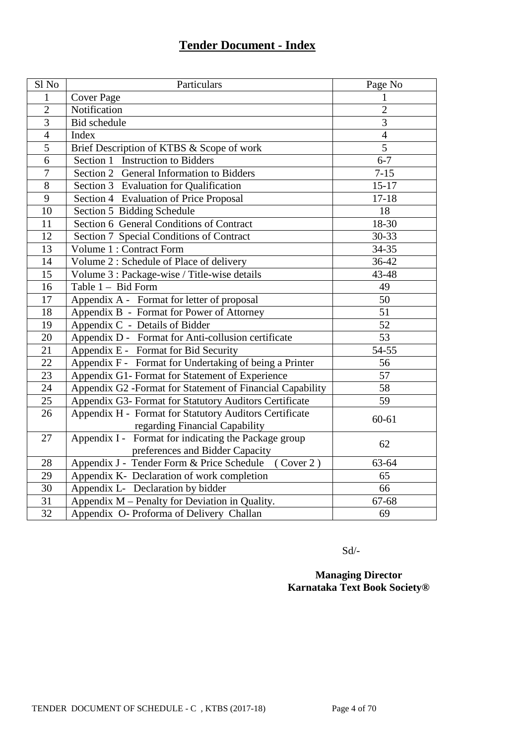# **Tender Document - Index**

| Sl <sub>No</sub> | Particulars                                               | Page No         |
|------------------|-----------------------------------------------------------|-----------------|
| 1                | <b>Cover Page</b>                                         | 1               |
| $\overline{2}$   | Notification                                              | $\overline{2}$  |
| 3                | <b>Bid</b> schedule                                       | 3               |
| $\overline{4}$   | Index                                                     | $\overline{4}$  |
| $\overline{5}$   | Brief Description of KTBS & Scope of work                 | $\overline{5}$  |
| $\overline{6}$   | Section 1 Instruction to Bidders                          | $6 - 7$         |
| $\overline{7}$   | Section 2 General Information to Bidders                  | $7 - 15$        |
| $\overline{8}$   | Section 3 Evaluation for Qualification                    | $15 - 17$       |
| $\mathbf{9}$     | Section 4 Evaluation of Price Proposal                    | $17 - 18$       |
| 10               | Section 5 Bidding Schedule                                | 18              |
| 11               | Section 6 General Conditions of Contract                  | $18-30$         |
| 12               | Section 7 Special Conditions of Contract                  | $30 - 33$       |
| $\overline{13}$  | Volume 1 : Contract Form                                  | 34-35           |
| $\overline{14}$  | Volume 2 : Schedule of Place of delivery                  | 36-42           |
| 15               | Volume 3 : Package-wise / Title-wise details              | 43-48           |
| 16               | Table 1 - Bid Form                                        | 49              |
| 17               | Appendix A - Format for letter of proposal                | 50              |
| 18               | Appendix B - Format for Power of Attorney                 | 51              |
| 19               | Appendix C - Details of Bidder                            | $\overline{52}$ |
| $\overline{20}$  | Appendix D - Format for Anti-collusion certificate        | $\overline{53}$ |
| $\overline{21}$  | Appendix E - Format for Bid Security                      | 54-55           |
| 22               | Appendix F - Format for Undertaking of being a Printer    | 56              |
| 23               | Appendix G1- Format for Statement of Experience           | 57              |
| 24               | Appendix G2 -Format for Statement of Financial Capability | 58              |
| 25               | Appendix G3- Format for Statutory Auditors Certificate    | 59              |
| 26               | Appendix H - Format for Statutory Auditors Certificate    | $60 - 61$       |
|                  | regarding Financial Capability                            |                 |
| 27               | Appendix I - Format for indicating the Package group      | 62              |
|                  | preferences and Bidder Capacity                           |                 |
| 28               | Appendix J - Tender Form & Price Schedule<br>(Cover 2)    | 63-64           |
| 29               | Appendix K- Declaration of work completion                | 65              |
| $\overline{30}$  | Appendix L- Declaration by bidder                         | 66              |
| $\overline{3}1$  | Appendix M - Penalty for Deviation in Quality.            | 67-68           |
| $\overline{32}$  | Appendix O- Proforma of Delivery Challan                  | 69              |

Sd/-

## **Managing Director Karnataka Text Book Society®**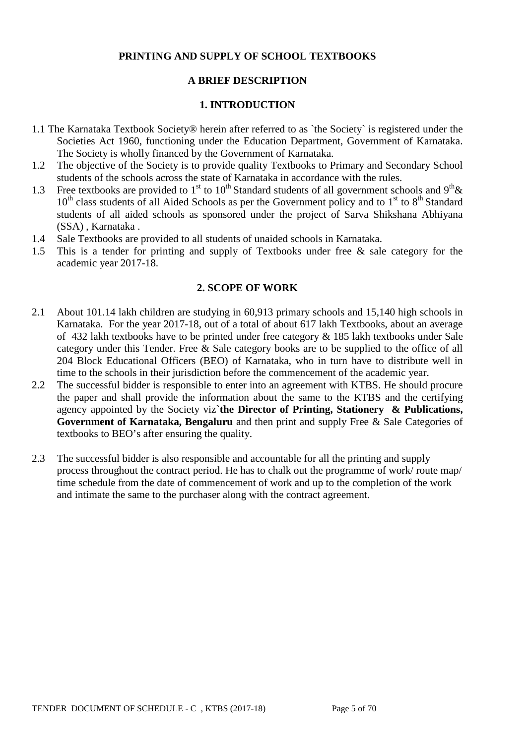## **PRINTING AND SUPPLY OF SCHOOL TEXTBOOKS**

## **A BRIEF DESCRIPTION**

### **1. INTRODUCTION**

- 1.1 The Karnataka Textbook Society® herein after referred to as `the Society` is registered under the Societies Act 1960, functioning under the Education Department, Government of Karnataka. The Society is wholly financed by the Government of Karnataka.
- 1.2 The objective of the Society is to provide quality Textbooks to Primary and Secondary School students of the schools across the state of Karnataka in accordance with the rules.
- 1.3 Free textbooks are provided to 1<sup>st</sup> to 10<sup>th</sup> Standard students of all government schools and 9<sup>th</sup> &  $10<sup>th</sup>$  class students of all Aided Schools as per the Government policy and to  $1<sup>st</sup>$  to  $8<sup>th</sup>$  Standard students of all aided schools as sponsored under the project of Sarva Shikshana Abhiyana (SSA) , Karnataka .
- 1.4 Sale Textbooks are provided to all students of unaided schools in Karnataka.
- 1.5 This is a tender for printing and supply of Textbooks under free & sale category for the academic year 2017-18.

#### **2. SCOPE OF WORK**

- 2.1 About 101.14 lakh children are studying in 60,913 primary schools and 15,140 high schools in Karnataka. For the year 2017-18, out of a total of about 617 lakh Textbooks, about an average of 432 lakh textbooks have to be printed under free category & 185 lakh textbooks under Sale category under this Tender. Free & Sale category books are to be supplied to the office of all 204 Block Educational Officers (BEO) of Karnataka, who in turn have to distribute well in time to the schools in their jurisdiction before the commencement of the academic year.
- 2.2 The successful bidder is responsible to enter into an agreement with KTBS. He should procure the paper and shall provide the information about the same to the KTBS and the certifying agency appointed by the Society viz**`the Director of Printing, Stationery & Publications, Government of Karnataka, Bengaluru** and then print and supply Free & Sale Categories of textbooks to BEO's after ensuring the quality.
- 2.3 The successful bidder is also responsible and accountable for all the printing and supply process throughout the contract period. He has to chalk out the programme of work/ route map/ time schedule from the date of commencement of work and up to the completion of the work and intimate the same to the purchaser along with the contract agreement.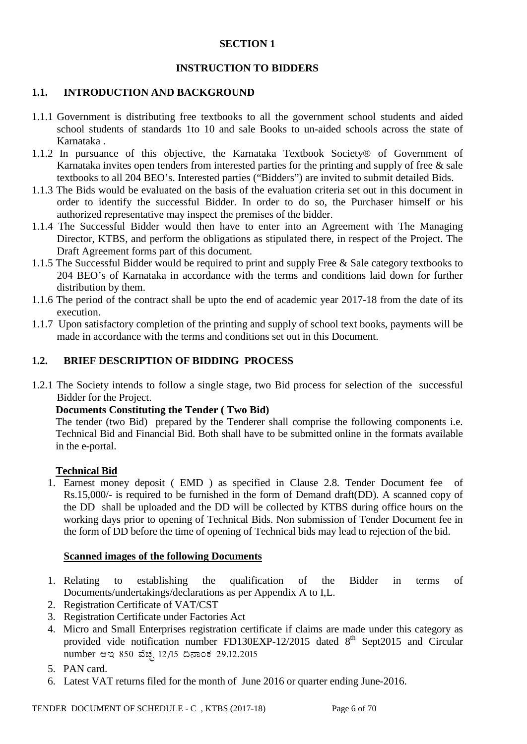### **SECTION 1**

## **INSTRUCTION TO BIDDERS**

### **1.1. INTRODUCTION AND BACKGROUND**

- 1.1.1 Government is distributing free textbooks to all the government school students and aided school students of standards 1to 10 and sale Books to un-aided schools across the state of Karnataka .
- 1.1.2 In pursuance of this objective, the Karnataka Textbook Society® of Government of Karnataka invites open tenders from interested parties for the printing and supply of free & sale textbooks to all 204 BEO's. Interested parties ("Bidders") are invited to submit detailed Bids.
- 1.1.3 The Bids would be evaluated on the basis of the evaluation criteria set out in this document in order to identify the successful Bidder. In order to do so, the Purchaser himself or his authorized representative may inspect the premises of the bidder.
- 1.1.4 The Successful Bidder would then have to enter into an Agreement with The Managing Director, KTBS, and perform the obligations as stipulated there, in respect of the Project. The Draft Agreement forms part of this document.
- 1.1.5 The Successful Bidder would be required to print and supply Free & Sale category textbooks to 204 BEO's of Karnataka in accordance with the terms and conditions laid down for further distribution by them.
- 1.1.6 The period of the contract shall be upto the end of academic year 2017-18 from the date of its execution.
- 1.1.7 Upon satisfactory completion of the printing and supply of school text books, payments will be made in accordance with the terms and conditions set out in this Document.

### **1.2. BRIEF DESCRIPTION OF BIDDING PROCESS**

1.2.1 The Society intends to follow a single stage, two Bid process for selection of the successful Bidder for the Project.

### **Documents Constituting the Tender ( Two Bid)**

The tender (two Bid) prepared by the Tenderer shall comprise the following components i.e. Technical Bid and Financial Bid. Both shall have to be submitted online in the formats available in the e-portal.

### **Technical Bid**

1. Earnest money deposit ( EMD ) as specified in Clause 2.8. Tender Document fee of Rs.15,000/- is required to be furnished in the form of Demand draft(DD). A scanned copy of the DD shall be uploaded and the DD will be collected by KTBS during office hours on the working days prior to opening of Technical Bids. Non submission of Tender Document fee in the form of DD before the time of opening of Technical bids may lead to rejection of the bid.

### **Scanned images of the following Documents**

- 1. Relating to establishing the qualification of the Bidder in terms of Documents/undertakings/declarations as per Appendix A to I,L.
- 2. Registration Certificate of VAT/CST
- 3. Registration Certificate under Factories Act
- 4. Micro and Small Enterprises registration certificate if claims are made under this category as provided vide notification number FD130EXP-12/2015 dated  $8<sup>th</sup>$  Sept2015 and Circular number ಆಇ 850 ವೆಚ್ಛ 12/15 ದಿನಾಂಕ 29.12.2015
- 5. PAN card.
- 6. Latest VAT returns filed for the month of June 2016 or quarter ending June-2016.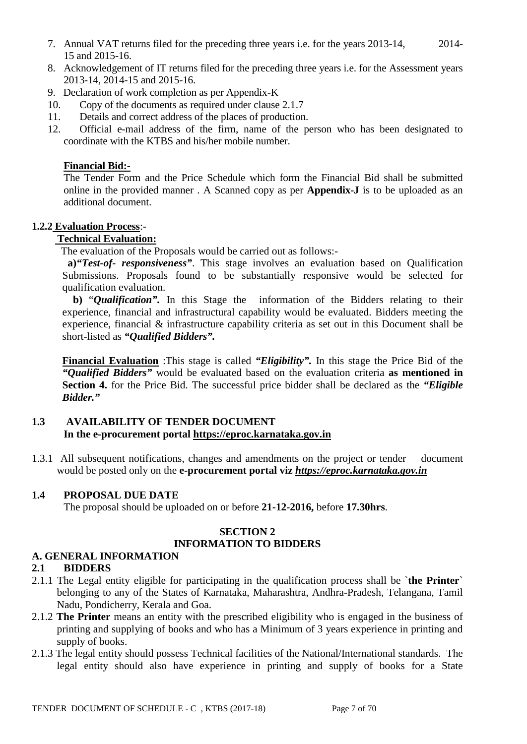- 7. Annual VAT returns filed for the preceding three years i.e. for the years 2013-14, 2014- 15 and 2015-16.
- 8. Acknowledgement of IT returns filed for the preceding three years i.e. for the Assessment years 2013-14, 2014-15 and 2015-16.
- 9. Declaration of work completion as per Appendix-K
- 10. Copy of the documents as required under clause 2.1.7
- 11. Details and correct address of the places of production.
- 12. Official e-mail address of the firm, name of the person who has been designated to coordinate with the KTBS and his/her mobile number.

### **Financial Bid:-**

The Tender Form and the Price Schedule which form the Financial Bid shall be submitted online in the provided manner . A Scanned copy as per **Appendix-J** is to be uploaded as an additional document.

### **1.2.2 Evaluation Process**:-

## **Technical Evaluation:**

The evaluation of the Proposals would be carried out as follows:-

**a)***"Test-of- responsiveness"*. This stage involves an evaluation based on Qualification Submissions. Proposals found to be substantially responsive would be selected for qualification evaluation.

 **b)** "*Qualification".* In this Stage the information of the Bidders relating to their experience, financial and infrastructural capability would be evaluated. Bidders meeting the experience, financial & infrastructure capability criteria as set out in this Document shall be short-listed as *"Qualified Bidders".*

**Financial Evaluation** :This stage is called *"Eligibility".* In this stage the Price Bid of the *"Qualified Bidders"* would be evaluated based on the evaluation criteria **as mentioned in Section 4.** for the Price Bid. The successful price bidder shall be declared as the *"Eligible Bidder."*

## **1.3 AVAILABILITY OF TENDER DOCUMENT In the e-procurement portal [https://eproc.karnataka.gov.in](https://eproc.karnataka.gov.in/)**

1.3.1 All subsequent notifications, changes and amendments on the project or tender document would be posted only on the **e-procurement portal viz** *[https://eproc.karnataka.gov.in](https://eproc.karnataka.gov.in/)*

## **1.4 PROPOSAL DUE DATE**

The proposal should be uploaded on or before **21-12-2016,** before **17.30hrs**.

### **SECTION 2 INFORMATION TO BIDDERS**

## **A. GENERAL INFORMATION**

## **2.1 BIDDERS**

- 2.1.1 The Legal entity eligible for participating in the qualification process shall be `**the Printer**` belonging to any of the States of Karnataka, Maharashtra, Andhra-Pradesh, Telangana, Tamil Nadu, Pondicherry, Kerala and Goa.
- 2.1.2 **The Printer** means an entity with the prescribed eligibility who is engaged in the business of printing and supplying of books and who has a Minimum of 3 years experience in printing and supply of books.
- 2.1.3 The legal entity should possess Technical facilities of the National/International standards. The legal entity should also have experience in printing and supply of books for a State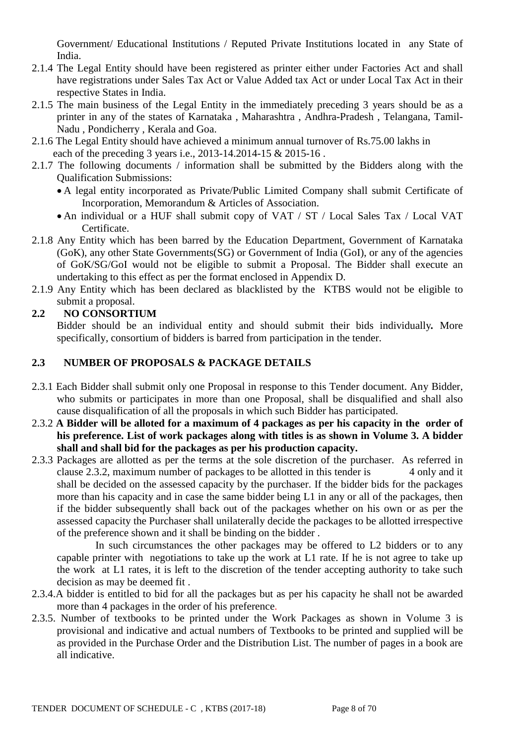Government/ Educational Institutions / Reputed Private Institutions located in any State of India.

- 2.1.4 The Legal Entity should have been registered as printer either under Factories Act and shall have registrations under Sales Tax Act or Value Added tax Act or under Local Tax Act in their respective States in India.
- 2.1.5 The main business of the Legal Entity in the immediately preceding 3 years should be as a printer in any of the states of Karnataka , Maharashtra , Andhra-Pradesh , Telangana, Tamil-Nadu , Pondicherry , Kerala and Goa.
- 2.1.6 The Legal Entity should have achieved a minimum annual turnover of Rs.75.00 lakhs in each of the preceding 3 years i.e., 2013-14.2014-15 & 2015-16.
- 2.1.7 The following documents / information shall be submitted by the Bidders along with the Qualification Submissions:
	- A legal entity incorporated as Private/Public Limited Company shall submit Certificate of Incorporation, Memorandum & Articles of Association.
	- An individual or a HUF shall submit copy of VAT / ST / Local Sales Tax / Local VAT Certificate.
- 2.1.8 Any Entity which has been barred by the Education Department, Government of Karnataka (GoK), any other State Governments(SG) or Government of India (GoI), or any of the agencies of GoK/SG/GoI would not be eligible to submit a Proposal. The Bidder shall execute an undertaking to this effect as per the format enclosed in Appendix D.
- 2.1.9 Any Entity which has been declared as blacklisted by the KTBS would not be eligible to submit a proposal.

## **2.2 NO CONSORTIUM**

Bidder should be an individual entity and should submit their bids individually*.* More specifically, consortium of bidders is barred from participation in the tender.

## **2.3 NUMBER OF PROPOSALS & PACKAGE DETAILS**

- 2.3.1 Each Bidder shall submit only one Proposal in response to this Tender document. Any Bidder, who submits or participates in more than one Proposal, shall be disqualified and shall also cause disqualification of all the proposals in which such Bidder has participated.
- 2.3.2 **A Bidder will be alloted for a maximum of 4 packages as per his capacity in the order of his preference. List of work packages along with titles is as shown in Volume 3. A bidder shall and shall bid for the packages as per his production capacity.**
- 2.3.3 Packages are allotted as per the terms at the sole discretion of the purchaser. As referred in clause 2.3.2, maximum number of packages to be allotted in this tender is 4 only and it shall be decided on the assessed capacity by the purchaser. If the bidder bids for the packages more than his capacity and in case the same bidder being L1 in any or all of the packages, then if the bidder subsequently shall back out of the packages whether on his own or as per the assessed capacity the Purchaser shall unilaterally decide the packages to be allotted irrespective of the preference shown and it shall be binding on the bidder .

In such circumstances the other packages may be offered to L2 bidders or to any capable printer with negotiations to take up the work at L1 rate. If he is not agree to take up the work at L1 rates, it is left to the discretion of the tender accepting authority to take such decision as may be deemed fit .

- 2.3.4.A bidder is entitled to bid for all the packages but as per his capacity he shall not be awarded more than 4 packages in the order of his preference.
- 2.3.5. Number of textbooks to be printed under the Work Packages as shown in Volume 3 is provisional and indicative and actual numbers of Textbooks to be printed and supplied will be as provided in the Purchase Order and the Distribution List. The number of pages in a book are all indicative.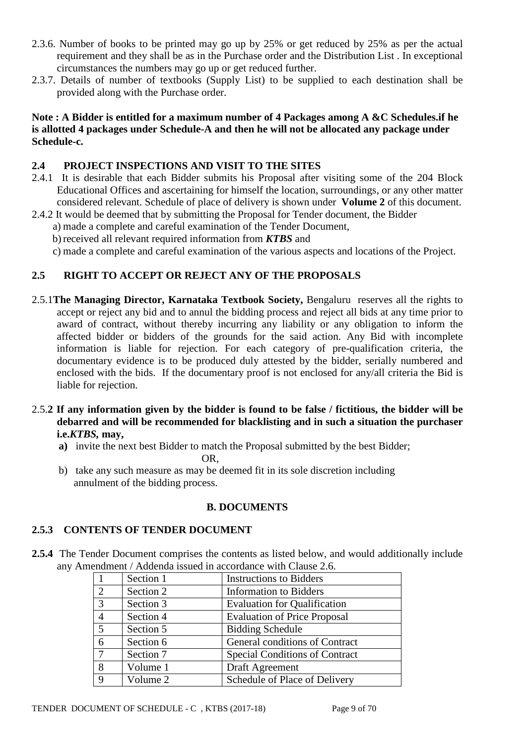- 2.3.6. Number of books to be printed may go up by 25% or get reduced by 25% as per the actual requirement and they shall be as in the Purchase order and the Distribution List . In exceptional circumstances the numbers may go up or get reduced further.
- 2.3.7. Details of number of textbooks (Supply List) to be supplied to each destination shall be provided along with the Purchase order.

## **Note : A Bidder is entitled for a maximum number of 4 Packages among A &C Schedules.if he is allotted 4 packages under Schedule-A and then he will not be allocated any package under Schedule-c.**

## **2.4 PROJECT INSPECTIONS AND VISIT TO THE SITES**

- 2.4.1 It is desirable that each Bidder submits his Proposal after visiting some of the 204 Block Educational Offices and ascertaining for himself the location, surroundings, or any other matter considered relevant. Schedule of place of delivery is shown under **Volume 2** of this document.
- 2.4.2 It would be deemed that by submitting the Proposal for Tender document, the Bidder
	- a) made a complete and careful examination of the Tender Document,
		- b) received all relevant required information from *KTBS* and
		- c) made a complete and careful examination of the various aspects and locations of the Project.

## **2.5 RIGHT TO ACCEPT OR REJECT ANY OF THE PROPOSALS**

- 2.5.1**The Managing Director, Karnataka Textbook Society,** Bengaluru reserves all the rights to accept or reject any bid and to annul the bidding process and reject all bids at any time prior to award of contract, without thereby incurring any liability or any obligation to inform the affected bidder or bidders of the grounds for the said action. Any Bid with incomplete information is liable for rejection. For each category of pre-qualification criteria, the documentary evidence is to be produced duly attested by the bidder, serially numbered and enclosed with the bids. If the documentary proof is not enclosed for any/all criteria the Bid is liable for rejection.
- 2.5.**2 If any information given by the bidder is found to be false / fictitious, the bidder will be debarred and will be recommended for blacklisting and in such a situation the purchaser i.e.***KTBS,* **may,**
	- **a)** invite the next best Bidder to match the Proposal submitted by the best Bidder;

OR,

b) take any such measure as may be deemed fit in its sole discretion including annulment of the bidding process.

### **B. DOCUMENTS**

### **2.5.3 CONTENTS OF TENDER DOCUMENT**

**2.5.4** The Tender Document comprises the contents as listed below, and would additionally include any Amendment / Addenda issued in accordance with Clause 2.6.

|                | Section 1 | <b>Instructions to Bidders</b>        |
|----------------|-----------|---------------------------------------|
| $\overline{2}$ | Section 2 | <b>Information</b> to Bidders         |
| 3              | Section 3 | <b>Evaluation for Qualification</b>   |
| $\overline{4}$ | Section 4 | <b>Evaluation of Price Proposal</b>   |
| $\overline{5}$ | Section 5 | <b>Bidding Schedule</b>               |
| 6              | Section 6 | General conditions of Contract        |
| 7              | Section 7 | <b>Special Conditions of Contract</b> |
| 8              | Volume 1  | Draft Agreement                       |
| $\mathbf Q$    | Volume 2  | Schedule of Place of Delivery         |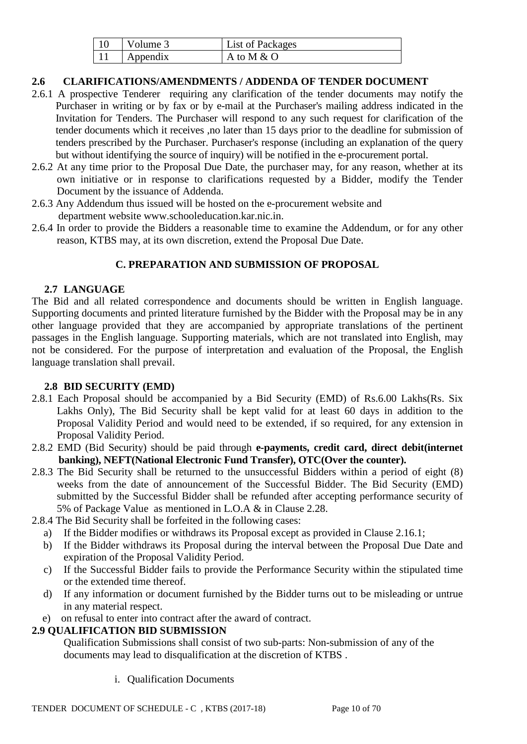| Volume 3 | List of Packages |
|----------|------------------|
| Appendix | A to M & O       |

## **2.6 CLARIFICATIONS/AMENDMENTS / ADDENDA OF TENDER DOCUMENT**

- 2.6.1 A prospective Tenderer requiring any clarification of the tender documents may notify the Purchaser in writing or by fax or by e-mail at the Purchaser's mailing address indicated in the Invitation for Tenders. The Purchaser will respond to any such request for clarification of the tender documents which it receives ,no later than 15 days prior to the deadline for submission of tenders prescribed by the Purchaser. Purchaser's response (including an explanation of the query but without identifying the source of inquiry) will be notified in the e-procurement portal.
- 2.6.2 At any time prior to the Proposal Due Date, the purchaser may, for any reason, whether at its own initiative or in response to clarifications requested by a Bidder, modify the Tender Document by the issuance of Addenda.
- 2.6.3 Any Addendum thus issued will be hosted on the e-procurement website and department website www.schooleducation.kar.nic.in.
- 2.6.4 In order to provide the Bidders a reasonable time to examine the Addendum, or for any other reason, KTBS may, at its own discretion, extend the Proposal Due Date.

## **C. PREPARATION AND SUBMISSION OF PROPOSAL**

### **2.7 LANGUAGE**

The Bid and all related correspondence and documents should be written in English language. Supporting documents and printed literature furnished by the Bidder with the Proposal may be in any other language provided that they are accompanied by appropriate translations of the pertinent passages in the English language. Supporting materials, which are not translated into English, may not be considered. For the purpose of interpretation and evaluation of the Proposal, the English language translation shall prevail.

## **2.8 BID SECURITY (EMD)**

- 2.8.1 Each Proposal should be accompanied by a Bid Security (EMD) of Rs.6.00 Lakhs(Rs. Six Lakhs Only), The Bid Security shall be kept valid for at least 60 days in addition to the Proposal Validity Period and would need to be extended, if so required, for any extension in Proposal Validity Period.
- 2.8.2 EMD (Bid Security) should be paid through **e-payments, credit card, direct debit(internet banking), NEFT(National Electronic Fund Transfer), OTC(Over the counter).**
- 2.8.3 The Bid Security shall be returned to the unsuccessful Bidders within a period of eight (8) weeks from the date of announcement of the Successful Bidder. The Bid Security (EMD) submitted by the Successful Bidder shall be refunded after accepting performance security of 5% of Package Value as mentioned in L.O.A & in Clause 2.28.
- 2.8.4 The Bid Security shall be forfeited in the following cases:
	- a) If the Bidder modifies or withdraws its Proposal except as provided in Clause 2.16.1;
	- b) If the Bidder withdraws its Proposal during the interval between the Proposal Due Date and expiration of the Proposal Validity Period.
	- c) If the Successful Bidder fails to provide the Performance Security within the stipulated time or the extended time thereof.
	- d) If any information or document furnished by the Bidder turns out to be misleading or untrue in any material respect.
	- e) on refusal to enter into contract after the award of contract.

## **2.9 QUALIFICATION BID SUBMISSION**

Qualification Submissions shall consist of two sub-parts: Non-submission of any of the documents may lead to disqualification at the discretion of KTBS .

i. Qualification Documents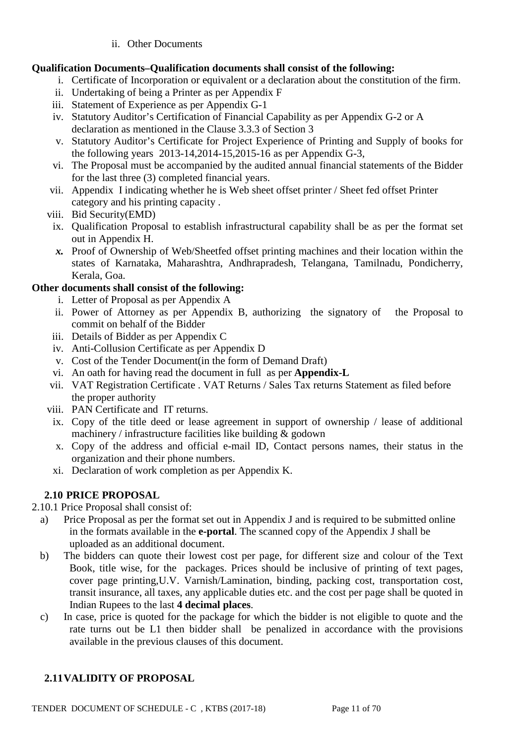ii. Other Documents

## **Qualification Documents***–***Qualification documents shall consist of the following:**

- i. Certificate of Incorporation or equivalent or a declaration about the constitution of the firm.
- ii. Undertaking of being a Printer as per Appendix F
- iii. Statement of Experience as per Appendix G-1
- iv. Statutory Auditor's Certification of Financial Capability as per Appendix G-2 or A declaration as mentioned in the Clause 3.3.3 of Section 3
- v. Statutory Auditor's Certificate for Project Experience of Printing and Supply of books for the following years 2013-14,2014-15,2015-16 as per Appendix G-3,
- vi. The Proposal must be accompanied by the audited annual financial statements of the Bidder for the last three (3) completed financial years.
- vii. Appendix I indicating whether he is Web sheet offset printer / Sheet fed offset Printer category and his printing capacity .
- viii. Bid Security(EMD)
	- ix. Qualification Proposal to establish infrastructural capability shall be as per the format set out in Appendix H.
	- *x.* Proof of Ownership of Web/Sheetfed offset printing machines and their location within the states of Karnataka, Maharashtra, Andhrapradesh, Telangana, Tamilnadu, Pondicherry, Kerala, Goa.

## **Other documents shall consist of the following:**

- i. Letter of Proposal as per Appendix A
- ii. Power of Attorney as per Appendix B, authorizing the signatory of the Proposal to commit on behalf of the Bidder
- iii. Details of Bidder as per Appendix C
- iv. Anti-Collusion Certificate as per Appendix D
- v. Cost of the Tender Document(in the form of Demand Draft)
- vi. An oath for having read the document in full as per **Appendix-L**
- vii. VAT Registration Certificate . VAT Returns / Sales Tax returns Statement as filed before the proper authority
- viii. PAN Certificate and IT returns.
- ix. Copy of the title deed or lease agreement in support of ownership / lease of additional machinery / infrastructure facilities like building  $\&$  godown
- x. Copy of the address and official e-mail ID, Contact persons names, their status in the organization and their phone numbers.
- xi. Declaration of work completion as per Appendix K.

## **2.10 PRICE PROPOSAL**

2.10.1 Price Proposal shall consist of:

- a) Price Proposal as per the format set out in Appendix J and is required to be submitted online in the formats available in the **e-portal**. The scanned copy of the Appendix J shall be uploaded as an additional document.
- b) The bidders can quote their lowest cost per page, for different size and colour of the Text Book, title wise, for the packages. Prices should be inclusive of printing of text pages, cover page printing,U.V. Varnish/Lamination, binding, packing cost, transportation cost, transit insurance, all taxes, any applicable duties etc. and the cost per page shall be quoted in Indian Rupees to the last **4 decimal places**.
- c) In case, price is quoted for the package for which the bidder is not eligible to quote and the rate turns out be L1 then bidder shall be penalized in accordance with the provisions available in the previous clauses of this document.

## **2.11VALIDITY OF PROPOSAL**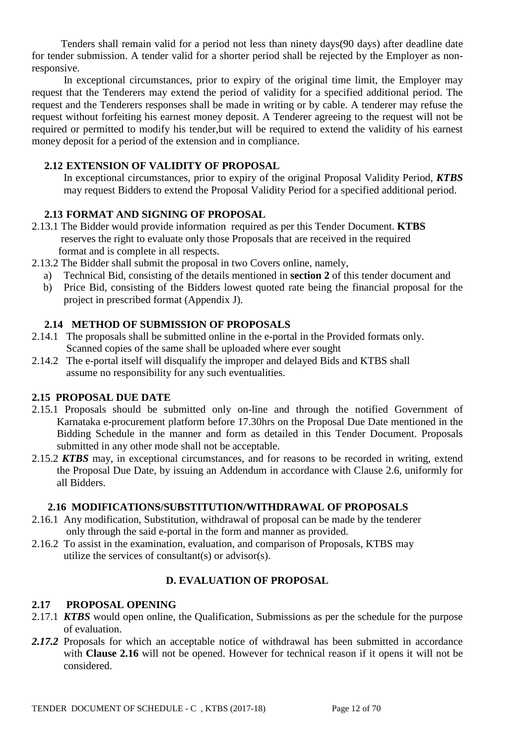Tenders shall remain valid for a period not less than ninety days(90 days) after deadline date for tender submission. A tender valid for a shorter period shall be rejected by the Employer as nonresponsive.

 In exceptional circumstances, prior to expiry of the original time limit, the Employer may request that the Tenderers may extend the period of validity for a specified additional period. The request and the Tenderers responses shall be made in writing or by cable. A tenderer may refuse the request without forfeiting his earnest money deposit. A Tenderer agreeing to the request will not be required or permitted to modify his tender,but will be required to extend the validity of his earnest money deposit for a period of the extension and in compliance.

### **2.12 EXTENSION OF VALIDITY OF PROPOSAL**

In exceptional circumstances, prior to expiry of the original Proposal Validity Period, *KTBS* may request Bidders to extend the Proposal Validity Period for a specified additional period.

### **2.13 FORMAT AND SIGNING OF PROPOSAL**

- 2.13.1 The Bidder would provide information required as per this Tender Document. **KTBS**  reserves the right to evaluate only those Proposals that are received in the required format and is complete in all respects.
- 2.13.2 The Bidder shall submit the proposal in two Covers online, namely,
	- a) Technical Bid, consisting of the details mentioned in **section 2** of this tender document and
	- b) Price Bid, consisting of the Bidders lowest quoted rate being the financial proposal for the project in prescribed format (Appendix J).

## **2.14 METHOD OF SUBMISSION OF PROPOSALS**

- 2.14.1 The proposals shall be submitted online in the e-portal in the Provided formats only. Scanned copies of the same shall be uploaded where ever sought
- 2.14.2 The e-portal itself will disqualify the improper and delayed Bids and KTBS shall assume no responsibility for any such eventualities.

## **2.15 PROPOSAL DUE DATE**

- 2.15.1 Proposals should be submitted only on-line and through the notified Government of Karnataka e-procurement platform before 17.30hrs on the Proposal Due Date mentioned in the Bidding Schedule in the manner and form as detailed in this Tender Document. Proposals submitted in any other mode shall not be acceptable.
- 2.15.2 *KTBS* may, in exceptional circumstances, and for reasons to be recorded in writing, extend the Proposal Due Date, by issuing an Addendum in accordance with Clause 2.6, uniformly for all Bidders.

### **2.16 MODIFICATIONS/SUBSTITUTION/WITHDRAWAL OF PROPOSALS**

- 2.16.1 Any modification, Substitution, withdrawal of proposal can be made by the tenderer only through the said e-portal in the form and manner as provided.
- 2.16.2 To assist in the examination, evaluation, and comparison of Proposals, KTBS may utilize the services of consultant(s) or advisor(s).

### **D. EVALUATION OF PROPOSAL**

### **2.17 PROPOSAL OPENING**

- 2.17.1 *KTBS* would open online, the Qualification, Submissions as per the schedule for the purpose of evaluation.
- 2.17.2 Proposals for which an acceptable notice of withdrawal has been submitted in accordance with **Clause 2.16** will not be opened. However for technical reason if it opens it will not be considered.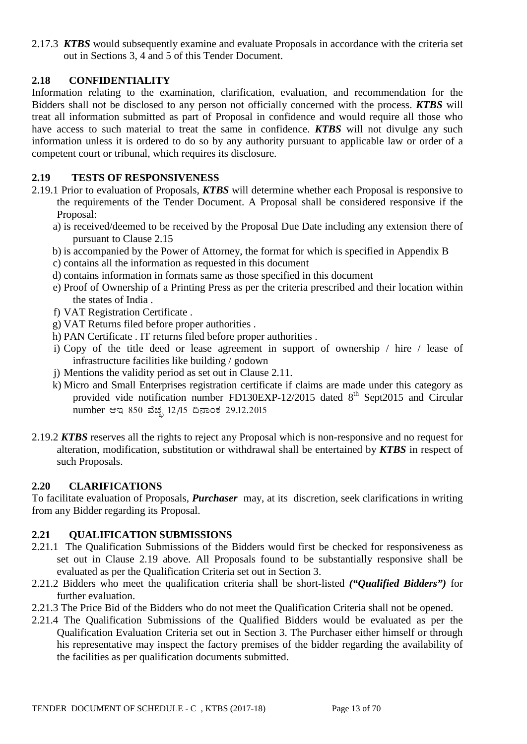2.17.3 *KTBS* would subsequently examine and evaluate Proposals in accordance with the criteria set out in Sections 3, 4 and 5 of this Tender Document.

## **2.18 CONFIDENTIALITY**

Information relating to the examination, clarification, evaluation, and recommendation for the Bidders shall not be disclosed to any person not officially concerned with the process. *KTBS* will treat all information submitted as part of Proposal in confidence and would require all those who have access to such material to treat the same in confidence. *KTBS* will not divulge any such information unless it is ordered to do so by any authority pursuant to applicable law or order of a competent court or tribunal, which requires its disclosure.

## **2.19 TESTS OF RESPONSIVENESS**

- 2.19.1 Prior to evaluation of Proposals, *KTBS* will determine whether each Proposal is responsive to the requirements of the Tender Document. A Proposal shall be considered responsive if the Proposal:
	- a) is received/deemed to be received by the Proposal Due Date including any extension there of pursuant to Clause 2.15
	- b) is accompanied by the Power of Attorney, the format for which is specified in Appendix B
	- c) contains all the information as requested in this document
	- d) contains information in formats same as those specified in this document
	- e) Proof of Ownership of a Printing Press as per the criteria prescribed and their location within the states of India .
	- f) VAT Registration Certificate .
	- g) VAT Returns filed before proper authorities .
	- h) PAN Certificate . IT returns filed before proper authorities .
	- i) Copy of the title deed or lease agreement in support of ownership / hire / lease of infrastructure facilities like building / godown
	- j) Mentions the validity period as set out in Clause 2.11.
	- k) Micro and Small Enterprises registration certificate if claims are made under this category as provided vide notification number FD130EXP-12/2015 dated  $8<sup>th</sup>$  Sept2015 and Circular number ಆಇ 850 ವೆಚ್ಛ 12/15 ದಿನಾಂಕ 29.12.2015
- 2.19.2 *KTBS* reserves all the rights to reject any Proposal which is non-responsive and no request for alteration, modification, substitution or withdrawal shall be entertained by *KTBS* in respect of such Proposals.

## **2.20 CLARIFICATIONS**

To facilitate evaluation of Proposals, *Purchaser* may, at its discretion, seek clarifications in writing from any Bidder regarding its Proposal.

## **2.21 QUALIFICATION SUBMISSIONS**

- 2.21.1 The Qualification Submissions of the Bidders would first be checked for responsiveness as set out in Clause 2.19 above. All Proposals found to be substantially responsive shall be evaluated as per the Qualification Criteria set out in Section 3.
- 2.21.2 Bidders who meet the qualification criteria shall be short-listed *("Qualified Bidders")* for further evaluation.
- 2.21.3 The Price Bid of the Bidders who do not meet the Qualification Criteria shall not be opened.
- 2.21.4 The Qualification Submissions of the Qualified Bidders would be evaluated as per the Qualification Evaluation Criteria set out in Section 3. The Purchaser either himself or through his representative may inspect the factory premises of the bidder regarding the availability of the facilities as per qualification documents submitted.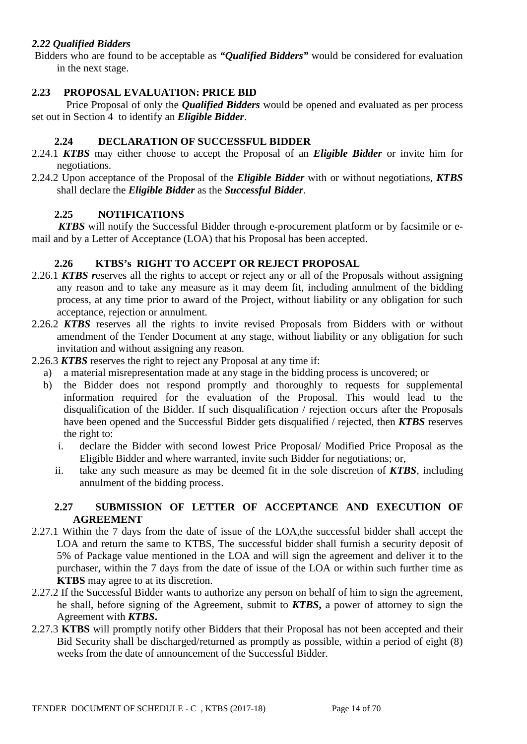## *2.22 Qualified Bidders*

Bidders who are found to be acceptable as *"Qualified Bidders"* would be considered for evaluation in the next stage.

### **2.23 PROPOSAL EVALUATION: PRICE BID**

 Price Proposal of only the *Qualified Bidders* would be opened and evaluated as per process set out in Section 4 to identify an *Eligible Bidder*.

### **2.24 DECLARATION OF SUCCESSFUL BIDDER**

- 2.24.1 *KTBS* may either choose to accept the Proposal of an *Eligible Bidder* or invite him for negotiations.
- 2.24.2 Upon acceptance of the Proposal of the *Eligible Bidder* with or without negotiations, *KTBS* shall declare the *Eligible Bidder* as the *Successful Bidder*.

### **2.25 NOTIFICATIONS**

 *KTBS* will notify the Successful Bidder through e-procurement platform or by facsimile or email and by a Letter of Acceptance (LOA) that his Proposal has been accepted.

### **2.26 KTBS's RIGHT TO ACCEPT OR REJECT PROPOSAL**

- 2.26.1 *KTBS r*eserves all the rights to accept or reject any or all of the Proposals without assigning any reason and to take any measure as it may deem fit, including annulment of the bidding process, at any time prior to award of the Project, without liability or any obligation for such acceptance, rejection or annulment.
- 2.26.2 *KTBS* reserves all the rights to invite revised Proposals from Bidders with or without amendment of the Tender Document at any stage, without liability or any obligation for such invitation and without assigning any reason.
- 2.26.3 *KTBS* reserves the right to reject any Proposal at any time if:
	- a) a material misrepresentation made at any stage in the bidding process is uncovered; or
	- b) the Bidder does not respond promptly and thoroughly to requests for supplemental information required for the evaluation of the Proposal. This would lead to the disqualification of the Bidder. If such disqualification / rejection occurs after the Proposals have been opened and the Successful Bidder gets disqualified / rejected, then *KTBS* reserves the right to:
		- i. declare the Bidder with second lowest Price Proposal/ Modified Price Proposal as the Eligible Bidder and where warranted, invite such Bidder for negotiations; or,
		- ii. take any such measure as may be deemed fit in the sole discretion of *KTBS*, including annulment of the bidding process.

### **2.27 SUBMISSION OF LETTER OF ACCEPTANCE AND EXECUTION OF AGREEMENT**

- 2.27.1 Within the 7 days from the date of issue of the LOA,the successful bidder shall accept the LOA and return the same to KTBS, The successful bidder shall furnish a security deposit of 5% of Package value mentioned in the LOA and will sign the agreement and deliver it to the purchaser, within the 7 days from the date of issue of the LOA or within such further time as **KTBS** may agree to at its discretion.
- 2.27.2 If the Successful Bidder wants to authorize any person on behalf of him to sign the agreement, he shall, before signing of the Agreement, submit to *KTBS***,** a power of attorney to sign the Agreement with *KTBS***.**
- 2.27.3 **KTBS** will promptly notify other Bidders that their Proposal has not been accepted and their Bid Security shall be discharged/returned as promptly as possible, within a period of eight (8) weeks from the date of announcement of the Successful Bidder.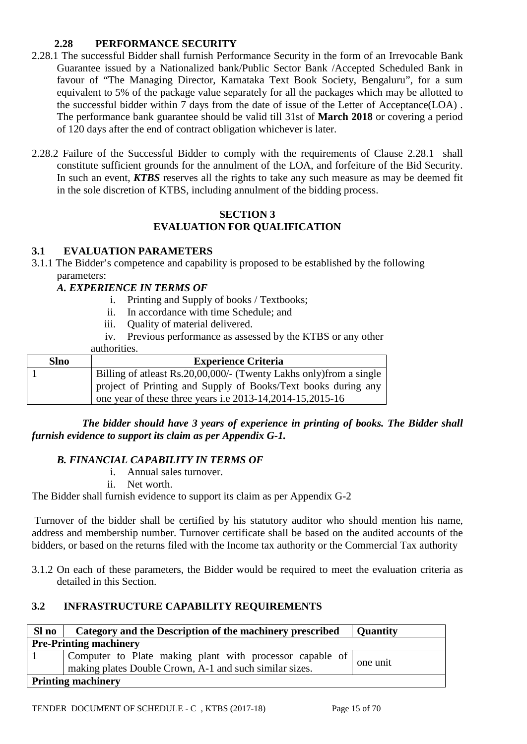## **2.28 PERFORMANCE SECURITY**

- 2.28.1 The successful Bidder shall furnish Performance Security in the form of an Irrevocable Bank Guarantee issued by a Nationalized bank/Public Sector Bank /Accepted Scheduled Bank in favour of "The Managing Director, Karnataka Text Book Society, Bengaluru", for a sum equivalent to 5% of the package value separately for all the packages which may be allotted to the successful bidder within 7 days from the date of issue of the Letter of Acceptance(LOA) . The performance bank guarantee should be valid till 31st of **March 2018** or covering a period of 120 days after the end of contract obligation whichever is later.
- 2.28.2 Failure of the Successful Bidder to comply with the requirements of Clause 2.28.1 shall constitute sufficient grounds for the annulment of the LOA, and forfeiture of the Bid Security. In such an event, *KTBS* reserves all the rights to take any such measure as may be deemed fit in the sole discretion of KTBS, including annulment of the bidding process.

### **SECTION 3 EVALUATION FOR QUALIFICATION**

## **3.1 EVALUATION PARAMETERS**

3.1.1 The Bidder's competence and capability is proposed to be established by the following parameters:

### *A. EXPERIENCE IN TERMS OF*

- i. Printing and Supply of books / Textbooks;
- ii. In accordance with time Schedule; and
- iii. Quality of material delivered.
- iv. Previous performance as assessed by the KTBS or any other

### authorities.

| <b>Slno</b> | <b>Experience Criteria</b>                                          |
|-------------|---------------------------------------------------------------------|
|             | Billing of atleast Rs.20,00,000/- (Twenty Lakhs only) from a single |
|             | project of Printing and Supply of Books/Text books during any       |
|             | one year of these three years i.e $2013-14,2014-15,2015-16$         |

 *The bidder should have 3 years of experience in printing of books. The Bidder shall furnish evidence to support its claim as per Appendix G-1.*

## *B. FINANCIAL CAPABILITY IN TERMS OF*

- i. Annual sales turnover.
- ii. Net worth.

The Bidder shall furnish evidence to support its claim as per Appendix G-2

Turnover of the bidder shall be certified by his statutory auditor who should mention his name, address and membership number. Turnover certificate shall be based on the audited accounts of the bidders, or based on the returns filed with the Income tax authority or the Commercial Tax authority

3.1.2 On each of these parameters, the Bidder would be required to meet the evaluation criteria as detailed in this Section.

## **3.2 INFRASTRUCTURE CAPABILITY REQUIREMENTS**

| Sl no                     | Category and the Description of the machinery prescribed                                                              | <b>Quantity</b> |  |  |
|---------------------------|-----------------------------------------------------------------------------------------------------------------------|-----------------|--|--|
|                           | <b>Pre-Printing machinery</b>                                                                                         |                 |  |  |
|                           | Computer to Plate making plant with processor capable of  <br>making plates Double Crown, A-1 and such similar sizes. | one unit        |  |  |
| <b>Printing machinery</b> |                                                                                                                       |                 |  |  |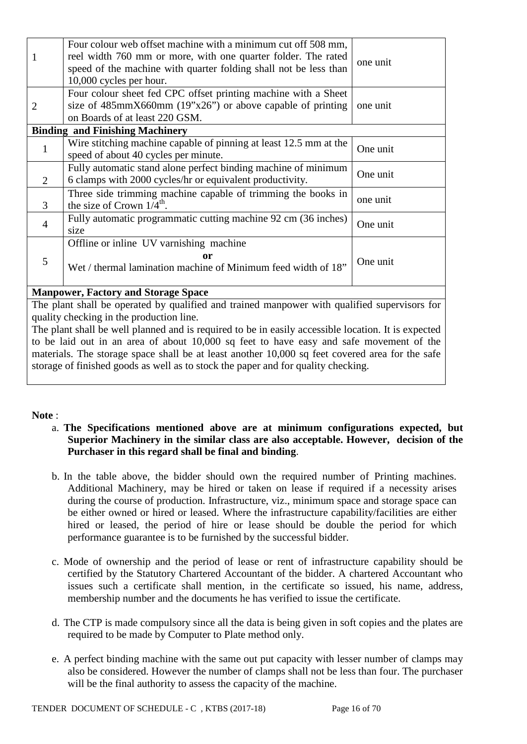| 1              | Four colour web offset machine with a minimum cut off 508 mm,<br>reel width 760 mm or more, with one quarter folder. The rated<br>speed of the machine with quarter folding shall not be less than<br>10,000 cycles per hour. | one unit |
|----------------|-------------------------------------------------------------------------------------------------------------------------------------------------------------------------------------------------------------------------------|----------|
| $\overline{2}$ | Four colour sheet fed CPC offset printing machine with a Sheet<br>size of $485 \text{mm} \times 660 \text{mm}$ (19"x26") or above capable of printing<br>on Boards of at least 220 GSM.                                       | one unit |
|                | <b>Binding and Finishing Machinery</b>                                                                                                                                                                                        |          |
| 1              | Wire stitching machine capable of pinning at least 12.5 mm at the<br>speed of about 40 cycles per minute.                                                                                                                     | One unit |
| 2              | Fully automatic stand alone perfect binding machine of minimum<br>6 clamps with 2000 cycles/hr or equivalent productivity.                                                                                                    | One unit |
| 3              | Three side trimming machine capable of trimming the books in<br>the size of Crown $1/4^{\text{th}}$ .                                                                                                                         | one unit |
| $\overline{4}$ | Fully automatic programmatic cutting machine 92 cm (36 inches)<br>size                                                                                                                                                        | One unit |
| 5              | Offline or inline UV varnishing machine<br>or<br>Wet / thermal lamination machine of Minimum feed width of 18"                                                                                                                | One unit |

### **Manpower, Factory and Storage Space**

The plant shall be operated by qualified and trained manpower with qualified supervisors for quality checking in the production line.

The plant shall be well planned and is required to be in easily accessible location. It is expected to be laid out in an area of about 10,000 sq feet to have easy and safe movement of the materials. The storage space shall be at least another 10,000 sq feet covered area for the safe storage of finished goods as well as to stock the paper and for quality checking.

#### **Note** :

- a. **The Specifications mentioned above are at minimum configurations expected, but Superior Machinery in the similar class are also acceptable. However, decision of the Purchaser in this regard shall be final and binding**.
- b. In the table above, the bidder should own the required number of Printing machines. Additional Machinery, may be hired or taken on lease if required if a necessity arises during the course of production. Infrastructure, viz., minimum space and storage space can be either owned or hired or leased. Where the infrastructure capability/facilities are either hired or leased, the period of hire or lease should be double the period for which performance guarantee is to be furnished by the successful bidder.
- c. Mode of ownership and the period of lease or rent of infrastructure capability should be certified by the Statutory Chartered Accountant of the bidder. A chartered Accountant who issues such a certificate shall mention, in the certificate so issued, his name, address, membership number and the documents he has verified to issue the certificate.
- d. The CTP is made compulsory since all the data is being given in soft copies and the plates are required to be made by Computer to Plate method only.
- e. A perfect binding machine with the same out put capacity with lesser number of clamps may also be considered. However the number of clamps shall not be less than four. The purchaser will be the final authority to assess the capacity of the machine.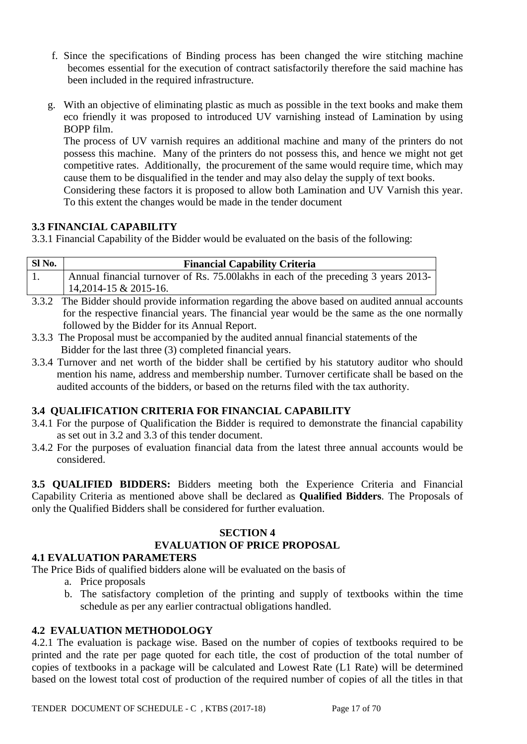- f. Since the specifications of Binding process has been changed the wire stitching machine becomes essential for the execution of contract satisfactorily therefore the said machine has been included in the required infrastructure.
- g. With an objective of eliminating plastic as much as possible in the text books and make them eco friendly it was proposed to introduced UV varnishing instead of Lamination by using BOPP film.

The process of UV varnish requires an additional machine and many of the printers do not possess this machine. Many of the printers do not possess this, and hence we might not get competitive rates. Additionally, the procurement of the same would require time, which may cause them to be disqualified in the tender and may also delay the supply of text books.

Considering these factors it is proposed to allow both Lamination and UV Varnish this year. To this extent the changes would be made in the tender document

## **3.3 FINANCIAL CAPABILITY**

3.3.1 Financial Capability of the Bidder would be evaluated on the basis of the following:

| Sl No. | <b>Financial Capability Criteria</b>                                                             |  |
|--------|--------------------------------------------------------------------------------------------------|--|
|        | Annual financial turnover of Rs. 75.00 lakhs in each of the preceding 3 years 2013-              |  |
|        | $14,2014-15 \& 2015-16.$                                                                         |  |
|        | 3.3.2 The Bidder should provide information regarding the above based on audited annual accounts |  |

- for the respective financial years. The financial year would be the same as the one normally followed by the Bidder for its Annual Report.
- 3.3.3 The Proposal must be accompanied by the audited annual financial statements of the Bidder for the last three (3) completed financial years.
- 3.3.4 Turnover and net worth of the bidder shall be certified by his statutory auditor who should mention his name, address and membership number. Turnover certificate shall be based on the audited accounts of the bidders, or based on the returns filed with the tax authority.

## **3.4 QUALIFICATION CRITERIA FOR FINANCIAL CAPABILITY**

- 3.4.1 For the purpose of Qualification the Bidder is required to demonstrate the financial capability as set out in 3.2 and 3.3 of this tender document.
- 3.4.2 For the purposes of evaluation financial data from the latest three annual accounts would be considered.

**3.5 QUALIFIED BIDDERS:** Bidders meeting both the Experience Criteria and Financial Capability Criteria as mentioned above shall be declared as **Qualified Bidders**. The Proposals of only the Qualified Bidders shall be considered for further evaluation.

### **SECTION 4**

## **EVALUATION OF PRICE PROPOSAL**

**4.1 EVALUATION PARAMETERS**

The Price Bids of qualified bidders alone will be evaluated on the basis of

- a. Price proposals
- b. The satisfactory completion of the printing and supply of textbooks within the time schedule as per any earlier contractual obligations handled.

## **4.2 EVALUATION METHODOLOGY**

4.2.1 The evaluation is package wise. Based on the number of copies of textbooks required to be printed and the rate per page quoted for each title, the cost of production of the total number of copies of textbooks in a package will be calculated and Lowest Rate (L1 Rate) will be determined based on the lowest total cost of production of the required number of copies of all the titles in that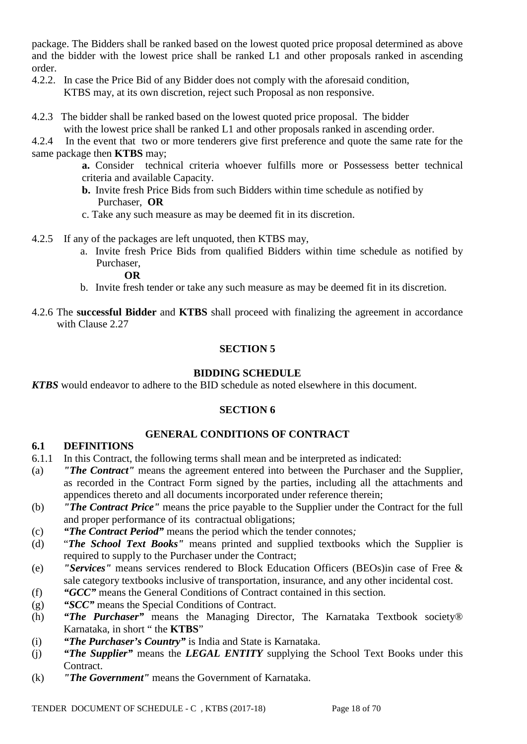package. The Bidders shall be ranked based on the lowest quoted price proposal determined as above and the bidder with the lowest price shall be ranked L1 and other proposals ranked in ascending order.

- 4.2.2. In case the Price Bid of any Bidder does not comply with the aforesaid condition, KTBS may, at its own discretion, reject such Proposal as non responsive.
- 4.2.3 The bidder shall be ranked based on the lowest quoted price proposal. The bidder with the lowest price shall be ranked L1 and other proposals ranked in ascending order.

4.2.4 In the event that two or more tenderers give first preference and quote the same rate for the same package then **KTBS** may;

- **a.** Consider technical criteria whoever fulfills more or Possessess better technical criteria and available Capacity.
- **b.** Invite fresh Price Bids from such Bidders within time schedule as notified by Purchaser, **OR**
- c. Take any such measure as may be deemed fit in its discretion.
- 4.2.5 If any of the packages are left unquoted, then KTBS may,
	- a. Invite fresh Price Bids from qualified Bidders within time schedule as notified by Purchaser,

#### **OR**

- b. Invite fresh tender or take any such measure as may be deemed fit in its discretion.
- 4.2.6 The **successful Bidder** and **KTBS** shall proceed with finalizing the agreement in accordance with Clause 2.27

## **SECTION 5**

## **BIDDING SCHEDULE**

*KTBS* would endeavor to adhere to the BID schedule as noted elsewhere in this document.

## **SECTION 6**

## **GENERAL CONDITIONS OF CONTRACT**

### **6.1 DEFINITIONS**

- 6.1.1 In this Contract, the following terms shall mean and be interpreted as indicated:
- (a) *"The Contract"* means the agreement entered into between the Purchaser and the Supplier, as recorded in the Contract Form signed by the parties, including all the attachments and appendices thereto and all documents incorporated under reference therein;
- (b) *"The Contract Price"* means the price payable to the Supplier under the Contract for the full and proper performance of its contractual obligations;
- (c) *"The Contract Period"* means the period which the tender connotes*;*
- (d) "*The School Text Books"* means printed and supplied textbooks which the Supplier is required to supply to the Purchaser under the Contract;
- (e) *"Services"* means services rendered to Block Education Officers (BEOs)in case of Free & sale category textbooks inclusive of transportation, insurance, and any other incidental cost.
- (f) *"GCC"* means the General Conditions of Contract contained in this section.
- (g) *"SCC"* means the Special Conditions of Contract.
- (h) *"The Purchaser"* means the Managing Director, The Karnataka Textbook society® Karnataka, in short " the **KTBS**"
- (i) *"The Purchaser's Country"* is India and State is Karnataka.
- (j) *"The Supplier"* means the *LEGAL ENTITY* supplying the School Text Books under this Contract.
- (k) *"The Government"* means the Government of Karnataka.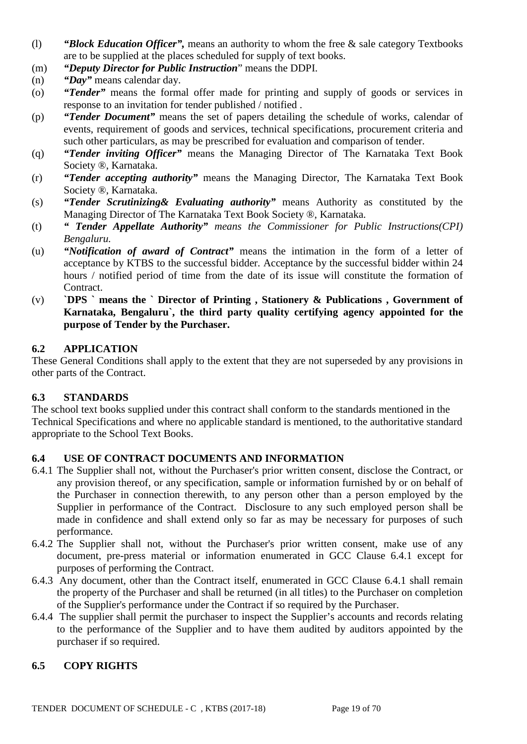- (l) *"Block Education Officer",* means an authority to whom the free & sale category Textbooks are to be supplied at the places scheduled for supply of text books.
- (m) *"Deputy Director for Public Instruction*" means the DDPI.
- (n) *"Day"* means calendar day.
- (o) *"Tender"* means the formal offer made for printing and supply of goods or services in response to an invitation for tender published / notified .
- (p) *"Tender Document"* means the set of papers detailing the schedule of works, calendar of events, requirement of goods and services, technical specifications, procurement criteria and such other particulars, as may be prescribed for evaluation and comparison of tender.
- (q) *"Tender inviting Officer"* means the Managing Director of The Karnataka Text Book Society ®, Karnataka.
- (r) *"Tender accepting authority"* means the Managing Director, The Karnataka Text Book Society ®, Karnataka.
- (s) *"Tender Scrutinizing& Evaluating authority"* means Authority as constituted by the Managing Director of The Karnataka Text Book Society ®, Karnataka.
- (t) *" Tender Appellate Authority" means the Commissioner for Public Instructions(CPI) Bengaluru.*
- (u) *"Notification of award of Contract"* means the intimation in the form of a letter of acceptance by KTBS to the successful bidder. Acceptance by the successful bidder within 24 hours / notified period of time from the date of its issue will constitute the formation of Contract.
- (v) **`DPS ` means the ` Director of Printing , Stationery & Publications , Government of Karnataka, Bengaluru`, the third party quality certifying agency appointed for the purpose of Tender by the Purchaser.**

### **6.2 APPLICATION**

These General Conditions shall apply to the extent that they are not superseded by any provisions in other parts of the Contract.

### **6.3 STANDARDS**

The school text books supplied under this contract shall conform to the standards mentioned in the Technical Specifications and where no applicable standard is mentioned, to the authoritative standard appropriate to the School Text Books.

## **6.4 USE OF CONTRACT DOCUMENTS AND INFORMATION**

- 6.4.1 The Supplier shall not, without the Purchaser's prior written consent, disclose the Contract, or any provision thereof, or any specification, sample or information furnished by or on behalf of the Purchaser in connection therewith, to any person other than a person employed by the Supplier in performance of the Contract. Disclosure to any such employed person shall be made in confidence and shall extend only so far as may be necessary for purposes of such performance.
- 6.4.2 The Supplier shall not, without the Purchaser's prior written consent, make use of any document, pre-press material or information enumerated in GCC Clause 6.4.1 except for purposes of performing the Contract.
- 6.4.3 Any document, other than the Contract itself, enumerated in GCC Clause 6.4.1 shall remain the property of the Purchaser and shall be returned (in all titles) to the Purchaser on completion of the Supplier's performance under the Contract if so required by the Purchaser.
- 6.4.4 The supplier shall permit the purchaser to inspect the Supplier's accounts and records relating to the performance of the Supplier and to have them audited by auditors appointed by the purchaser if so required.

## **6.5 COPY RIGHTS**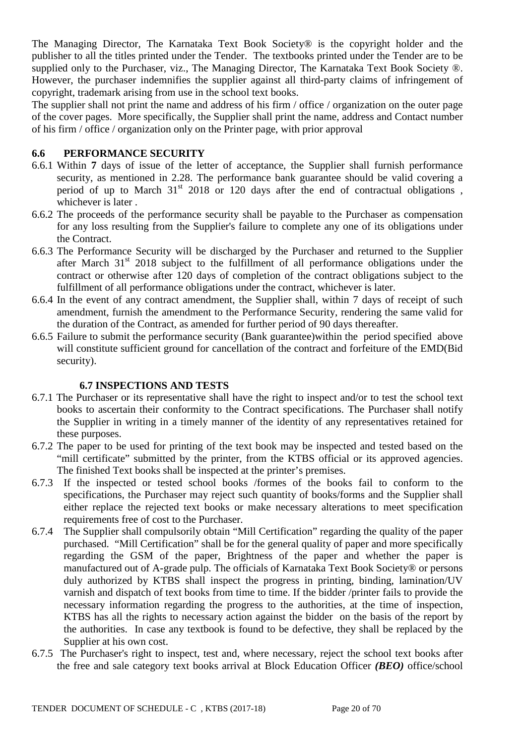The Managing Director, The Karnataka Text Book Society® is the copyright holder and the publisher to all the titles printed under the Tender. The textbooks printed under the Tender are to be supplied only to the Purchaser, viz., The Managing Director, The Karnataka Text Book Society ®. However, the purchaser indemnifies the supplier against all third-party claims of infringement of copyright, trademark arising from use in the school text books.

The supplier shall not print the name and address of his firm / office / organization on the outer page of the cover pages. More specifically, the Supplier shall print the name, address and Contact number of his firm / office / organization only on the Printer page, with prior approval

## **6.6 PERFORMANCE SECURITY**

- 6.6.1 Within **7** days of issue of the letter of acceptance, the Supplier shall furnish performance security, as mentioned in 2.28. The performance bank guarantee should be valid covering a period of up to March  $31<sup>st</sup>$  2018 or 120 days after the end of contractual obligations, whichever is later .
- 6.6.2 The proceeds of the performance security shall be payable to the Purchaser as compensation for any loss resulting from the Supplier's failure to complete any one of its obligations under the Contract.
- 6.6.3 The Performance Security will be discharged by the Purchaser and returned to the Supplier after March  $31<sup>st</sup>$  2018 subject to the fulfillment of all performance obligations under the contract or otherwise after 120 days of completion of the contract obligations subject to the fulfillment of all performance obligations under the contract, whichever is later.
- 6.6.4 In the event of any contract amendment, the Supplier shall, within 7 days of receipt of such amendment, furnish the amendment to the Performance Security, rendering the same valid for the duration of the Contract, as amended for further period of 90 days thereafter.
- 6.6.5 Failure to submit the performance security (Bank guarantee)within the period specified above will constitute sufficient ground for cancellation of the contract and forfeiture of the EMD(Bid security).

### **6.7 INSPECTIONS AND TESTS**

- 6.7.1 The Purchaser or its representative shall have the right to inspect and/or to test the school text books to ascertain their conformity to the Contract specifications. The Purchaser shall notify the Supplier in writing in a timely manner of the identity of any representatives retained for these purposes.
- 6.7.2 The paper to be used for printing of the text book may be inspected and tested based on the "mill certificate" submitted by the printer, from the KTBS official or its approved agencies. The finished Text books shall be inspected at the printer's premises.
- 6.7.3 If the inspected or tested school books /formes of the books fail to conform to the specifications, the Purchaser may reject such quantity of books/forms and the Supplier shall either replace the rejected text books or make necessary alterations to meet specification requirements free of cost to the Purchaser.
- 6.7.4 The Supplier shall compulsorily obtain "Mill Certification" regarding the quality of the paper purchased. "Mill Certification" shall be for the general quality of paper and more specifically regarding the GSM of the paper, Brightness of the paper and whether the paper is manufactured out of A-grade pulp. The officials of Karnataka Text Book Society® or persons duly authorized by KTBS shall inspect the progress in printing, binding, lamination/UV varnish and dispatch of text books from time to time. If the bidder /printer fails to provide the necessary information regarding the progress to the authorities, at the time of inspection, KTBS has all the rights to necessary action against the bidder on the basis of the report by the authorities. In case any textbook is found to be defective, they shall be replaced by the Supplier at his own cost.
- 6.7.5 The Purchaser's right to inspect, test and, where necessary, reject the school text books after the free and sale category text books arrival at Block Education Officer *(BEO)* office/school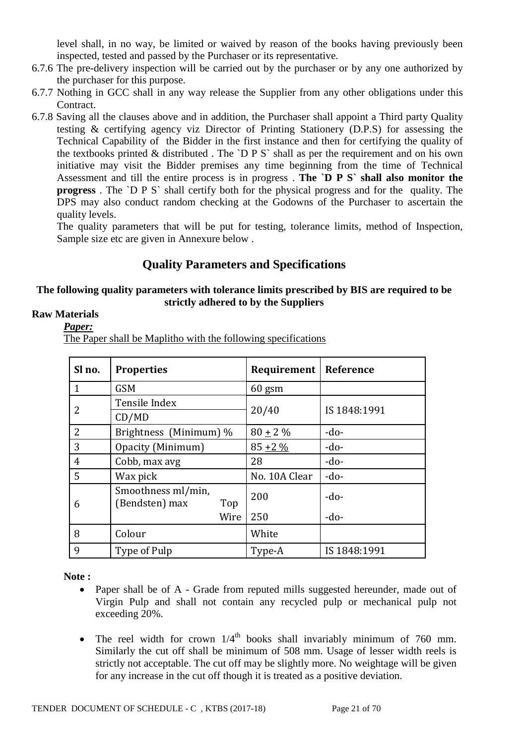level shall, in no way, be limited or waived by reason of the books having previously been inspected, tested and passed by the Purchaser or its representative.

- 6.7.6 The pre-delivery inspection will be carried out by the purchaser or by any one authorized by the purchaser for this purpose.
- 6.7.7 Nothing in GCC shall in any way release the Supplier from any other obligations under this Contract.
- 6.7.8 Saving all the clauses above and in addition, the Purchaser shall appoint a Third party Quality testing & certifying agency viz Director of Printing Stationery (D.P.S) for assessing the Technical Capability of the Bidder in the first instance and then for certifying the quality of the textbooks printed  $&$  distributed. The `D P S` shall as per the requirement and on his own initiative may visit the Bidder premises any time beginning from the time of Technical Assessment and till the entire process is in progress . **The `D P S` shall also monitor the progress** . The `D P S` shall certify both for the physical progress and for the quality. The DPS may also conduct random checking at the Godowns of the Purchaser to ascertain the quality levels.

The quality parameters that will be put for testing, tolerance limits, method of Inspection, Sample size etc are given in Annexure below .

## **Quality Parameters and Specifications**

### **The following quality parameters with tolerance limits prescribed by BIS are required to be strictly adhered to by the Suppliers**

## **Raw Materials**

*Paper:*

The Paper shall be Maplitho with the following specifications

| Sl no.         | <b>Properties</b>                           | Requirement   | Reference    |
|----------------|---------------------------------------------|---------------|--------------|
| 1              | <b>GSM</b>                                  | $60$ gsm      |              |
| 2              | Tensile Index                               |               | IS 1848:1991 |
|                | CD/MD                                       | 20/40         |              |
| $\overline{2}$ | Brightness (Minimum) %                      | $80 \pm 2 \%$ | $-do-$       |
| 3              | Opacity (Minimum)                           | $85 + 2\%$    | $-do-$       |
| 4              | Cobb, max avg                               | 28            | $-do-$       |
| 5              | Wax pick                                    | No. 10A Clear | $-do-$       |
| 6              | Smoothness ml/min,<br>(Bendsten) max<br>Top | 200           | $-do-$       |
|                | Wire                                        | 250           | $-do-$       |
| 8              | Colour                                      | White         |              |
| 9              | Type of Pulp                                | Type-A        | IS 1848:1991 |

**Note :**

- Paper shall be of A Grade from reputed mills suggested hereunder, made out of Virgin Pulp and shall not contain any recycled pulp or mechanical pulp not exceeding 20%.
- The reel width for crown  $1/4<sup>th</sup>$  books shall invariably minimum of 760 mm. Similarly the cut off shall be minimum of 508 mm. Usage of lesser width reels is strictly not acceptable. The cut off may be slightly more. No weightage will be given for any increase in the cut off though it is treated as a positive deviation.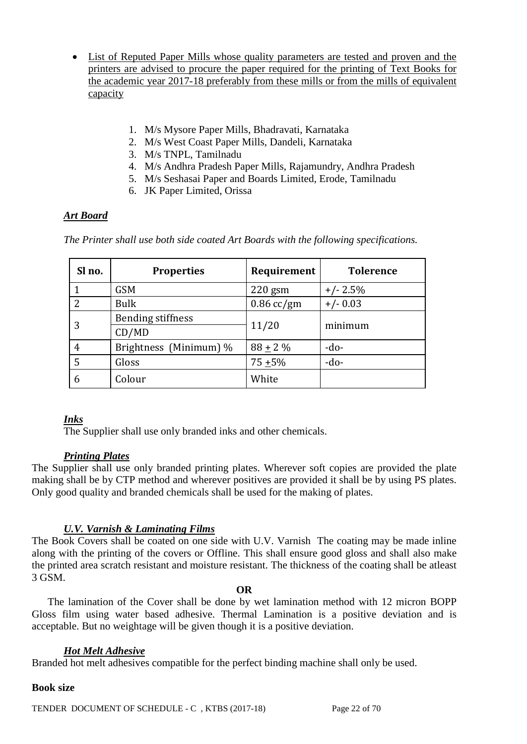- List of Reputed Paper Mills whose quality parameters are tested and proven and the printers are advised to procure the paper required for the printing of Text Books for the academic year 2017-18 preferably from these mills or from the mills of equivalent capacity
	- 1. M/s Mysore Paper Mills, Bhadravati, Karnataka
	- 2. M/s West Coast Paper Mills, Dandeli, Karnataka
	- 3. M/s TNPL, Tamilnadu
	- 4. M/s Andhra Pradesh Paper Mills, Rajamundry, Andhra Pradesh
	- 5. M/s Seshasai Paper and Boards Limited, Erode, Tamilnadu
	- 6. JK Paper Limited, Orissa

## *Art Board*

*The Printer shall use both side coated Art Boards with the following specifications.* 

| Sl no.         | <b>Properties</b>        | Requirement  | <b>Tolerence</b> |
|----------------|--------------------------|--------------|------------------|
| 1              | <b>GSM</b>               | $220$ gsm    | $+/- 2.5%$       |
| $\overline{2}$ | <b>Bulk</b>              | $0.86$ cc/gm | $+/- 0.03$       |
| 3              | <b>Bending stiffness</b> |              | minimum          |
|                | CD/MD                    | 11/20        |                  |
| 4              | Brightness (Minimum) %   | $88 + 2\%$   | $-do-$           |
| 5              | Gloss                    | $75 + 5%$    | $-do-$           |
| 6              | Colour                   | White        |                  |

## *Inks*

The Supplier shall use only branded inks and other chemicals.

## *Printing Plates*

The Supplier shall use only branded printing plates. Wherever soft copies are provided the plate making shall be by CTP method and wherever positives are provided it shall be by using PS plates. Only good quality and branded chemicals shall be used for the making of plates.

## *U.V. Varnish & Laminating Films*

The Book Covers shall be coated on one side with U.V. Varnish The coating may be made inline along with the printing of the covers or Offline. This shall ensure good gloss and shall also make the printed area scratch resistant and moisture resistant. The thickness of the coating shall be atleast 3 GSM.

### **OR**

 The lamination of the Cover shall be done by wet lamination method with 12 micron BOPP Gloss film using water based adhesive. Thermal Lamination is a positive deviation and is acceptable. But no weightage will be given though it is a positive deviation.

## *Hot Melt Adhesive*

Branded hot melt adhesives compatible for the perfect binding machine shall only be used.

### **Book size**

TENDER DOCUMENT OF SCHEDULE - C, KTBS (2017-18) Page 22 of 70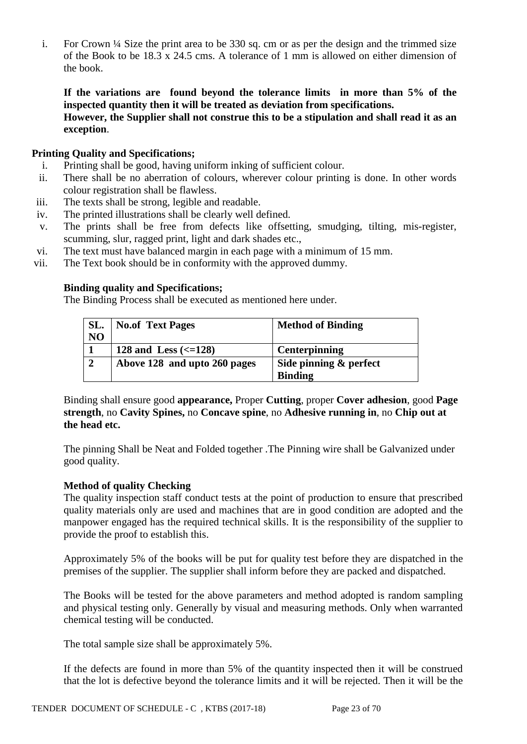i. For Crown ¼ Size the print area to be 330 sq. cm or as per the design and the trimmed size of the Book to be 18.3 x 24.5 cms. A tolerance of 1 mm is allowed on either dimension of the book.

**If the variations are found beyond the tolerance limits in more than 5% of the inspected quantity then it will be treated as deviation from specifications. However, the Supplier shall not construe this to be a stipulation and shall read it as an exception**.

### **Printing Quality and Specifications;**

- i. Printing shall be good, having uniform inking of sufficient colour.
- ii. There shall be no aberration of colours, wherever colour printing is done. In other words colour registration shall be flawless.
- iii. The texts shall be strong, legible and readable.
- iv. The printed illustrations shall be clearly well defined.
- v. The prints shall be free from defects like offsetting, smudging, tilting, mis-register, scumming, slur, ragged print, light and dark shades etc.,
- vi. The text must have balanced margin in each page with a minimum of 15 mm.
- vii. The Text book should be in conformity with the approved dummy.

### **Binding quality and Specifications;**

The Binding Process shall be executed as mentioned here under.

| SL.            | <b>No.of Text Pages</b>           | <b>Method of Binding</b> |
|----------------|-----------------------------------|--------------------------|
| N <sub>O</sub> |                                   |                          |
|                | 128 and Less $\left(<=128\right)$ | <b>Centerpinning</b>     |
| $\gamma$       | Above 128 and upto 260 pages      | Side pinning & perfect   |
|                |                                   | <b>Binding</b>           |

Binding shall ensure good **appearance,** Proper **Cutting**, proper **Cover adhesion**, good **Page strength**, no **Cavity Spines,** no **Concave spine**, no **Adhesive running in**, no **Chip out at the head etc.**

The pinning Shall be Neat and Folded together .The Pinning wire shall be Galvanized under good quality.

### **Method of quality Checking**

The quality inspection staff conduct tests at the point of production to ensure that prescribed quality materials only are used and machines that are in good condition are adopted and the manpower engaged has the required technical skills. It is the responsibility of the supplier to provide the proof to establish this.

Approximately 5% of the books will be put for quality test before they are dispatched in the premises of the supplier. The supplier shall inform before they are packed and dispatched.

The Books will be tested for the above parameters and method adopted is random sampling and physical testing only. Generally by visual and measuring methods. Only when warranted chemical testing will be conducted.

The total sample size shall be approximately 5%.

If the defects are found in more than 5% of the quantity inspected then it will be construed that the lot is defective beyond the tolerance limits and it will be rejected. Then it will be the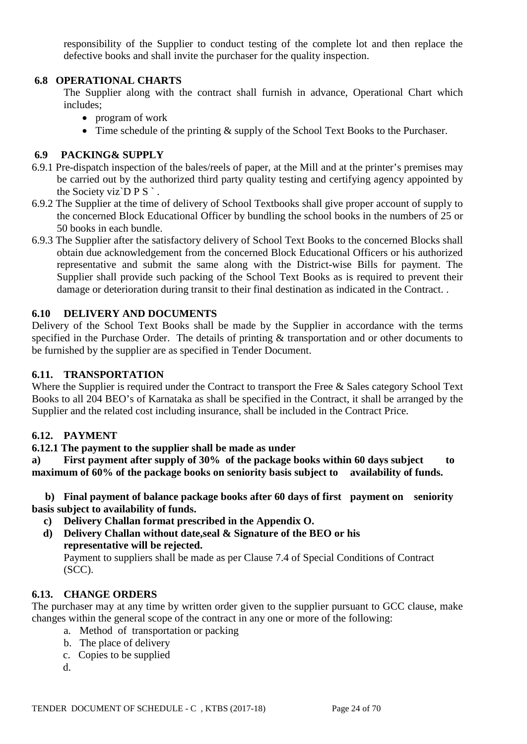responsibility of the Supplier to conduct testing of the complete lot and then replace the defective books and shall invite the purchaser for the quality inspection.

## **6.8 OPERATIONAL CHARTS**

The Supplier along with the contract shall furnish in advance, Operational Chart which includes;

- program of work
- Time schedule of the printing  $&$  supply of the School Text Books to the Purchaser.

### **6.9 PACKING& SUPPLY**

- 6.9.1 Pre-dispatch inspection of the bales/reels of paper, at the Mill and at the printer's premises may be carried out by the authorized third party quality testing and certifying agency appointed by the Society viz $\overline{D} P S$ .
- 6.9.2 The Supplier at the time of delivery of School Textbooks shall give proper account of supply to the concerned Block Educational Officer by bundling the school books in the numbers of 25 or 50 books in each bundle.
- 6.9.3 The Supplier after the satisfactory delivery of School Text Books to the concerned Blocks shall obtain due acknowledgement from the concerned Block Educational Officers or his authorized representative and submit the same along with the District-wise Bills for payment. The Supplier shall provide such packing of the School Text Books as is required to prevent their damage or deterioration during transit to their final destination as indicated in the Contract. .

### **6.10 DELIVERY AND DOCUMENTS**

Delivery of the School Text Books shall be made by the Supplier in accordance with the terms specified in the Purchase Order. The details of printing & transportation and or other documents to be furnished by the supplier are as specified in Tender Document.

### **6.11. TRANSPORTATION**

Where the Supplier is required under the Contract to transport the Free & Sales category School Text Books to all 204 BEO's of Karnataka as shall be specified in the Contract, it shall be arranged by the Supplier and the related cost including insurance, shall be included in the Contract Price.

### **6.12. PAYMENT**

### **6.12.1 The payment to the supplier shall be made as under**

**a) First payment after supply of 30% of the package books within 60 days subject to maximum of 60% of the package books on seniority basis subject to availability of funds.**

 **b) Final payment of balance package books after 60 days of first payment on seniority basis subject to availability of funds.**

- **c) Delivery Challan format prescribed in the Appendix O.**
- **d) Delivery Challan without date,seal & Signature of the BEO or his representative will be rejected.**

Payment to suppliers shall be made as per Clause 7.4 of Special Conditions of Contract (SCC).

## **6.13. CHANGE ORDERS**

The purchaser may at any time by written order given to the supplier pursuant to GCC clause, make changes within the general scope of the contract in any one or more of the following:

- a. Method of transportation or packing
- b. The place of delivery
- c. Copies to be supplied
- d.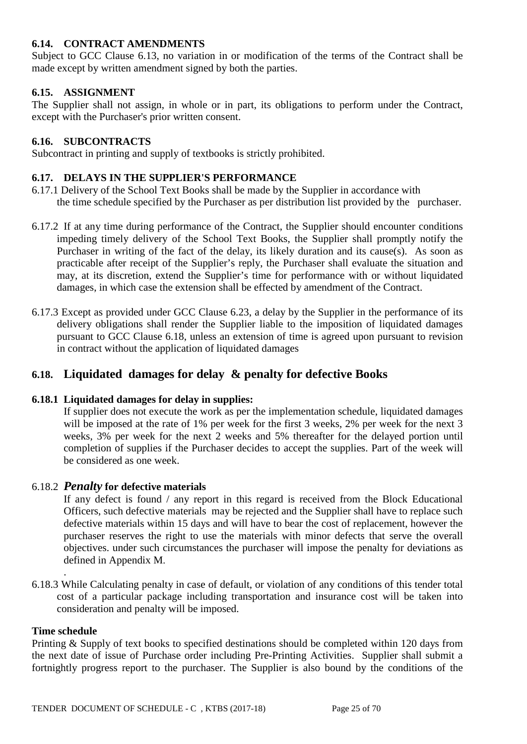## **6.14. CONTRACT AMENDMENTS**

Subject to GCC Clause 6.13, no variation in or modification of the terms of the Contract shall be made except by written amendment signed by both the parties.

### **6.15. ASSIGNMENT**

The Supplier shall not assign, in whole or in part, its obligations to perform under the Contract, except with the Purchaser's prior written consent.

### **6.16. SUBCONTRACTS**

Subcontract in printing and supply of textbooks is strictly prohibited.

### **6.17. DELAYS IN THE SUPPLIER'S PERFORMANCE**

- 6.17.1 Delivery of the School Text Books shall be made by the Supplier in accordance with the time schedule specified by the Purchaser as per distribution list provided by the purchaser.
- 6.17.2 If at any time during performance of the Contract, the Supplier should encounter conditions impeding timely delivery of the School Text Books, the Supplier shall promptly notify the Purchaser in writing of the fact of the delay, its likely duration and its cause(s). As soon as practicable after receipt of the Supplier's reply, the Purchaser shall evaluate the situation and may, at its discretion, extend the Supplier's time for performance with or without liquidated damages, in which case the extension shall be effected by amendment of the Contract.
- 6.17.3 Except as provided under GCC Clause 6.23, a delay by the Supplier in the performance of its delivery obligations shall render the Supplier liable to the imposition of liquidated damages pursuant to GCC Clause 6.18, unless an extension of time is agreed upon pursuant to revision in contract without the application of liquidated damages

## **6.18. Liquidated damages for delay & penalty for defective Books**

### **6.18.1 Liquidated damages for delay in supplies:**

If supplier does not execute the work as per the implementation schedule, liquidated damages will be imposed at the rate of 1% per week for the first 3 weeks, 2% per week for the next 3 weeks, 3% per week for the next 2 weeks and 5% thereafter for the delayed portion until completion of supplies if the Purchaser decides to accept the supplies. Part of the week will be considered as one week.

### 6.18.2 *Penalty* **for defective materials**

If any defect is found / any report in this regard is received from the Block Educational Officers, such defective materials may be rejected and the Supplier shall have to replace such defective materials within 15 days and will have to bear the cost of replacement, however the purchaser reserves the right to use the materials with minor defects that serve the overall objectives. under such circumstances the purchaser will impose the penalty for deviations as defined in Appendix M.

6.18.3 While Calculating penalty in case of default, or violation of any conditions of this tender total cost of a particular package including transportation and insurance cost will be taken into consideration and penalty will be imposed.

#### **Time schedule**

.

Printing & Supply of text books to specified destinations should be completed within 120 days from the next date of issue of Purchase order including Pre-Printing Activities. Supplier shall submit a fortnightly progress report to the purchaser. The Supplier is also bound by the conditions of the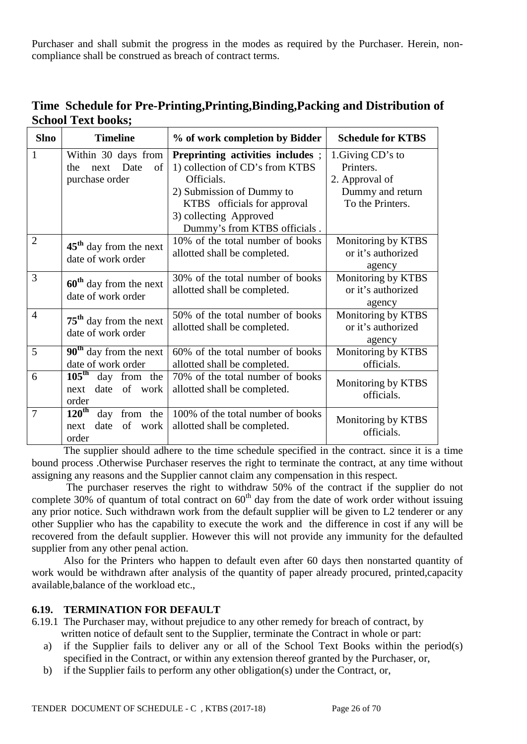Purchaser and shall submit the progress in the modes as required by the Purchaser. Herein, noncompliance shall be construed as breach of contract terms.

| Time Schedule for Pre-Printing, Printing, Binding, Packing and Distribution of |  |
|--------------------------------------------------------------------------------|--|
| <b>School Text books;</b>                                                      |  |

| <b>Slno</b>    | <b>Timeline</b>                                                             | % of work completion by Bidder                                                                                                                                                                          | <b>Schedule for KTBS</b>                                                                 |
|----------------|-----------------------------------------------------------------------------|---------------------------------------------------------------------------------------------------------------------------------------------------------------------------------------------------------|------------------------------------------------------------------------------------------|
| $\mathbf{1}$   | Within 30 days from<br>Date<br>of<br>the<br>next<br>purchase order          | Preprinting activities includes;<br>1) collection of CD's from KTBS<br>Officials.<br>2) Submission of Dummy to<br>KTBS officials for approval<br>3) collecting Approved<br>Dummy's from KTBS officials. | 1. Giving CD's to<br>Printers.<br>2. Approval of<br>Dummy and return<br>To the Printers. |
| $\overline{2}$ | $45th$ day from the next<br>date of work order                              | 10% of the total number of books<br>allotted shall be completed.                                                                                                                                        | Monitoring by KTBS<br>or it's authorized<br>agency                                       |
| 3              | $60th$ day from the next<br>date of work order                              | 30% of the total number of books<br>allotted shall be completed.                                                                                                                                        | Monitoring by KTBS<br>or it's authorized<br>agency                                       |
| $\overline{4}$ | $75th$ day from the next<br>date of work order                              | 50% of the total number of books<br>allotted shall be completed.                                                                                                                                        | Monitoring by KTBS<br>or it's authorized<br>agency                                       |
| 5              | $\overline{90}^{\text{th}}$ day from the next<br>date of work order         | 60% of the total number of books<br>allotted shall be completed.                                                                                                                                        | Monitoring by KTBS<br>officials.                                                         |
| 6              | $105^{\text{th}}$<br>day from the<br>date of work<br>next<br>order          | 70% of the total number of books<br>allotted shall be completed.                                                                                                                                        | Monitoring by KTBS<br>officials.                                                         |
| 7              | $120^{\text{th}}$<br>day<br>from the<br>of<br>date<br>work<br>next<br>order | 100% of the total number of books<br>allotted shall be completed.                                                                                                                                       | Monitoring by KTBS<br>officials.                                                         |

The supplier should adhere to the time schedule specified in the contract. since it is a time bound process .Otherwise Purchaser reserves the right to terminate the contract, at any time without assigning any reasons and the Supplier cannot claim any compensation in this respect.

 The purchaser reserves the right to withdraw 50% of the contract if the supplier do not complete 30% of quantum of total contract on  $60<sup>th</sup>$  day from the date of work order without issuing any prior notice. Such withdrawn work from the default supplier will be given to L2 tenderer or any other Supplier who has the capability to execute the work and the difference in cost if any will be recovered from the default supplier. However this will not provide any immunity for the defaulted supplier from any other penal action.

Also for the Printers who happen to default even after 60 days then nonstarted quantity of work would be withdrawn after analysis of the quantity of paper already procured, printed,capacity available,balance of the workload etc.,

### **6.19. TERMINATION FOR DEFAULT**

- 6.19.1 The Purchaser may, without prejudice to any other remedy for breach of contract, by written notice of default sent to the Supplier, terminate the Contract in whole or part:
	- a) if the Supplier fails to deliver any or all of the School Text Books within the period(s) specified in the Contract, or within any extension thereof granted by the Purchaser, or,
	- b) if the Supplier fails to perform any other obligation(s) under the Contract, or,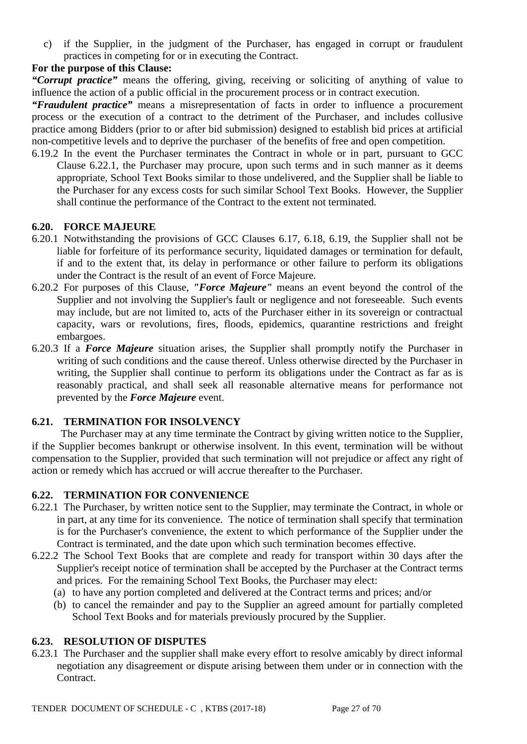c) if the Supplier, in the judgment of the Purchaser, has engaged in corrupt or fraudulent practices in competing for or in executing the Contract.

## **For the purpose of this Clause:**

*"Corrupt practice"* means the offering, giving, receiving or soliciting of anything of value to influence the action of a public official in the procurement process or in contract execution.

*"Fraudulent practice"* means a misrepresentation of facts in order to influence a procurement process or the execution of a contract to the detriment of the Purchaser, and includes collusive practice among Bidders (prior to or after bid submission) designed to establish bid prices at artificial non-competitive levels and to deprive the purchaser of the benefits of free and open competition.

6.19.2 In the event the Purchaser terminates the Contract in whole or in part, pursuant to GCC Clause 6.22.1, the Purchaser may procure, upon such terms and in such manner as it deems appropriate, School Text Books similar to those undelivered, and the Supplier shall be liable to the Purchaser for any excess costs for such similar School Text Books. However, the Supplier shall continue the performance of the Contract to the extent not terminated.

### **6.20. FORCE MAJEURE**

- 6.20.1 Notwithstanding the provisions of GCC Clauses 6.17, 6.18, 6.19, the Supplier shall not be liable for forfeiture of its performance security, liquidated damages or termination for default, if and to the extent that, its delay in performance or other failure to perform its obligations under the Contract is the result of an event of Force Majeure.
- 6.20.2 For purposes of this Clause, *"Force Majeure"* means an event beyond the control of the Supplier and not involving the Supplier's fault or negligence and not foreseeable. Such events may include, but are not limited to, acts of the Purchaser either in its sovereign or contractual capacity, wars or revolutions, fires, floods, epidemics, quarantine restrictions and freight embargoes.
- 6.20.3 If a *Force Majeure* situation arises, the Supplier shall promptly notify the Purchaser in writing of such conditions and the cause thereof. Unless otherwise directed by the Purchaser in writing, the Supplier shall continue to perform its obligations under the Contract as far as is reasonably practical, and shall seek all reasonable alternative means for performance not prevented by the *Force Majeure* event.

### **6.21. TERMINATION FOR INSOLVENCY**

 The Purchaser may at any time terminate the Contract by giving written notice to the Supplier, if the Supplier becomes bankrupt or otherwise insolvent. In this event, termination will be without compensation to the Supplier, provided that such termination will not prejudice or affect any right of action or remedy which has accrued or will accrue thereafter to the Purchaser.

### **6.22. TERMINATION FOR CONVENIENCE**

- 6.22.1 The Purchaser, by written notice sent to the Supplier, may terminate the Contract, in whole or in part, at any time for its convenience. The notice of termination shall specify that termination is for the Purchaser's convenience, the extent to which performance of the Supplier under the Contract is terminated, and the date upon which such termination becomes effective.
- 6.22.2 The School Text Books that are complete and ready for transport within 30 days after the Supplier's receipt notice of termination shall be accepted by the Purchaser at the Contract terms and prices. For the remaining School Text Books, the Purchaser may elect:
	- (a) to have any portion completed and delivered at the Contract terms and prices; and/or
	- (b) to cancel the remainder and pay to the Supplier an agreed amount for partially completed School Text Books and for materials previously procured by the Supplier.

### **6.23. RESOLUTION OF DISPUTES**

6.23.1 The Purchaser and the supplier shall make every effort to resolve amicably by direct informal negotiation any disagreement or dispute arising between them under or in connection with the Contract.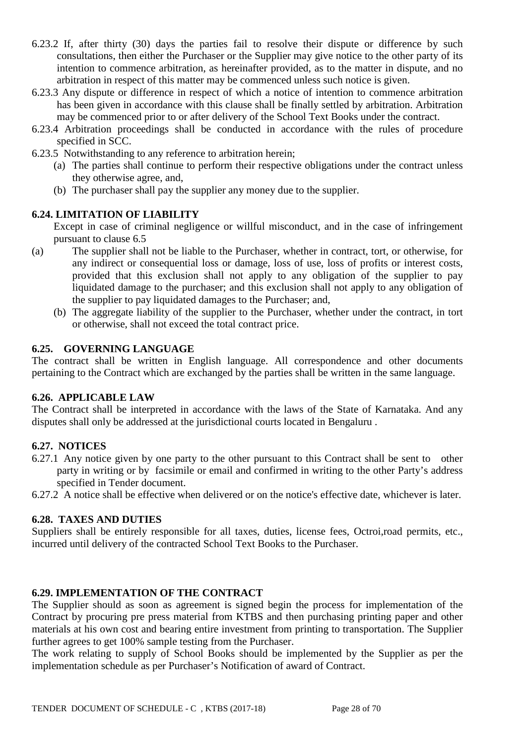- 6.23.2 If, after thirty (30) days the parties fail to resolve their dispute or difference by such consultations, then either the Purchaser or the Supplier may give notice to the other party of its intention to commence arbitration, as hereinafter provided, as to the matter in dispute, and no arbitration in respect of this matter may be commenced unless such notice is given.
- 6.23.3 Any dispute or difference in respect of which a notice of intention to commence arbitration has been given in accordance with this clause shall be finally settled by arbitration. Arbitration may be commenced prior to or after delivery of the School Text Books under the contract.
- 6.23.4 Arbitration proceedings shall be conducted in accordance with the rules of procedure specified in SCC.
- 6.23.5 Notwithstanding to any reference to arbitration herein;
	- (a) The parties shall continue to perform their respective obligations under the contract unless they otherwise agree, and,
	- (b) The purchaser shall pay the supplier any money due to the supplier.

### **6.24. LIMITATION OF LIABILITY**

Except in case of criminal negligence or willful misconduct, and in the case of infringement pursuant to clause 6.5

- (a) The supplier shall not be liable to the Purchaser, whether in contract, tort, or otherwise, for any indirect or consequential loss or damage, loss of use, loss of profits or interest costs, provided that this exclusion shall not apply to any obligation of the supplier to pay liquidated damage to the purchaser; and this exclusion shall not apply to any obligation of the supplier to pay liquidated damages to the Purchaser; and,
	- (b) The aggregate liability of the supplier to the Purchaser, whether under the contract, in tort or otherwise, shall not exceed the total contract price.

### **6.25. GOVERNING LANGUAGE**

The contract shall be written in English language. All correspondence and other documents pertaining to the Contract which are exchanged by the parties shall be written in the same language.

### **6.26. APPLICABLE LAW**

The Contract shall be interpreted in accordance with the laws of the State of Karnataka. And any disputes shall only be addressed at the jurisdictional courts located in Bengaluru .

### **6.27. NOTICES**

6.27.1 Any notice given by one party to the other pursuant to this Contract shall be sent to other party in writing or by facsimile or email and confirmed in writing to the other Party's address specified in Tender document.

6.27.2 A notice shall be effective when delivered or on the notice's effective date, whichever is later.

### **6.28. TAXES AND DUTIES**

Suppliers shall be entirely responsible for all taxes, duties, license fees, Octroi,road permits, etc., incurred until delivery of the contracted School Text Books to the Purchaser.

### **6.29. IMPLEMENTATION OF THE CONTRACT**

The Supplier should as soon as agreement is signed begin the process for implementation of the Contract by procuring pre press material from KTBS and then purchasing printing paper and other materials at his own cost and bearing entire investment from printing to transportation. The Supplier further agrees to get 100% sample testing from the Purchaser.

The work relating to supply of School Books should be implemented by the Supplier as per the implementation schedule as per Purchaser's Notification of award of Contract.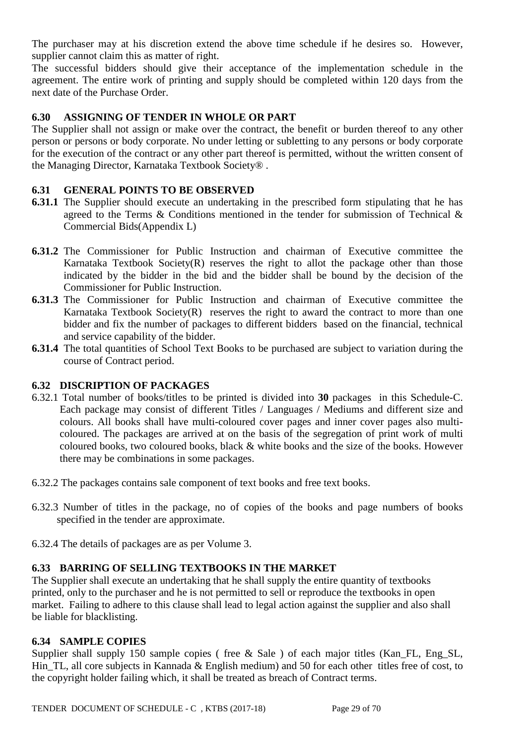The purchaser may at his discretion extend the above time schedule if he desires so. However, supplier cannot claim this as matter of right.

The successful bidders should give their acceptance of the implementation schedule in the agreement. The entire work of printing and supply should be completed within 120 days from the next date of the Purchase Order.

## **6.30 ASSIGNING OF TENDER IN WHOLE OR PART**

The Supplier shall not assign or make over the contract, the benefit or burden thereof to any other person or persons or body corporate. No under letting or subletting to any persons or body corporate for the execution of the contract or any other part thereof is permitted, without the written consent of the Managing Director, Karnataka Textbook Society® .

### **6.31 GENERAL POINTS TO BE OBSERVED**

- **6.31.1** The Supplier should execute an undertaking in the prescribed form stipulating that he has agreed to the Terms & Conditions mentioned in the tender for submission of Technical & Commercial Bids(Appendix L)
- **6.31.2** The Commissioner for Public Instruction and chairman of Executive committee the Karnataka Textbook Society $(R)$  reserves the right to allot the package other than those indicated by the bidder in the bid and the bidder shall be bound by the decision of the Commissioner for Public Instruction.
- **6.31.3** The Commissioner for Public Instruction and chairman of Executive committee the Karnataka Textbook Society $(R)$  reserves the right to award the contract to more than one bidder and fix the number of packages to different bidders based on the financial, technical and service capability of the bidder.
- **6.31.4** The total quantities of School Text Books to be purchased are subject to variation during the course of Contract period.

### **6.32 DISCRIPTION OF PACKAGES**

- 6.32.1 Total number of books/titles to be printed is divided into **30** packages in this Schedule-C. Each package may consist of different Titles / Languages / Mediums and different size and colours. All books shall have multi-coloured cover pages and inner cover pages also multicoloured. The packages are arrived at on the basis of the segregation of print work of multi coloured books, two coloured books, black & white books and the size of the books. However there may be combinations in some packages.
- 6.32.2 The packages contains sale component of text books and free text books.
- 6.32.3 Number of titles in the package, no of copies of the books and page numbers of books specified in the tender are approximate.
- 6.32.4 The details of packages are as per Volume 3.

### **6.33 BARRING OF SELLING TEXTBOOKS IN THE MARKET**

The Supplier shall execute an undertaking that he shall supply the entire quantity of textbooks printed, only to the purchaser and he is not permitted to sell or reproduce the textbooks in open market. Failing to adhere to this clause shall lead to legal action against the supplier and also shall be liable for blacklisting.

### **6.34 SAMPLE COPIES**

Supplier shall supply 150 sample copies ( free & Sale ) of each major titles (Kan FL, Eng SL, Hin\_TL, all core subjects in Kannada & English medium) and 50 for each other titles free of cost, to the copyright holder failing which, it shall be treated as breach of Contract terms.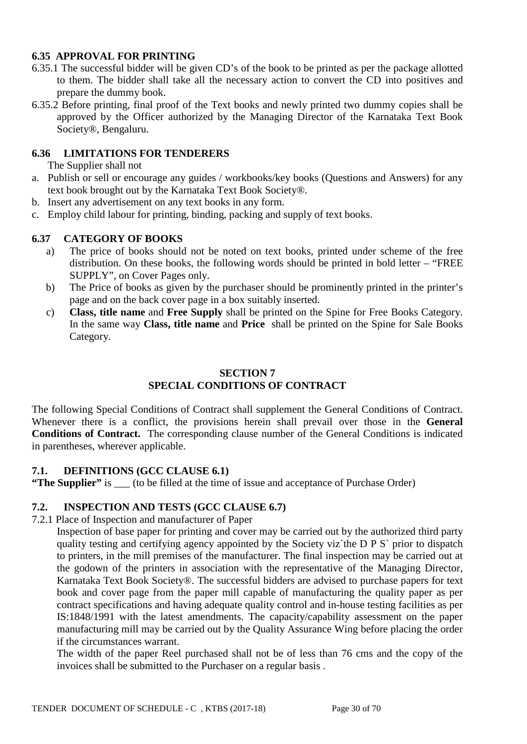## **6.35 APPROVAL FOR PRINTING**

- 6.35.1 The successful bidder will be given CD's of the book to be printed as per the package allotted to them. The bidder shall take all the necessary action to convert the CD into positives and prepare the dummy book.
- 6.35.2 Before printing, final proof of the Text books and newly printed two dummy copies shall be approved by the Officer authorized by the Managing Director of the Karnataka Text Book Society®, Bengaluru.

### **6.36 LIMITATIONS FOR TENDERERS**

The Supplier shall not

- a. Publish or sell or encourage any guides / workbooks/key books (Questions and Answers) for any text book brought out by the Karnataka Text Book Society®.
- b. Insert any advertisement on any text books in any form.
- c. Employ child labour for printing, binding, packing and supply of text books.

### **6.37 CATEGORY OF BOOKS**

- a) The price of books should not be noted on text books, printed under scheme of the free distribution. On these books, the following words should be printed in bold letter – "FREE SUPPLY", on Cover Pages only.
- b) The Price of books as given by the purchaser should be prominently printed in the printer's page and on the back cover page in a box suitably inserted.
- c) **Class, title name** and **Free Supply** shall be printed on the Spine for Free Books Category. In the same way **Class, title name** and **Price** shall be printed on the Spine for Sale Books Category.

## **SECTION 7 SPECIAL CONDITIONS OF CONTRACT**

The following Special Conditions of Contract shall supplement the General Conditions of Contract. Whenever there is a conflict, the provisions herein shall prevail over those in the **General Conditions of Contract.** The corresponding clause number of the General Conditions is indicated in parentheses, wherever applicable.

## **7.1. DEFINITIONS (GCC CLAUSE 6.1)**

**"The Supplier"** is \_\_\_ (to be filled at the time of issue and acceptance of Purchase Order)

### **7.2. INSPECTION AND TESTS (GCC CLAUSE 6.7)**

7.2.1 Place of Inspection and manufacturer of Paper

Inspection of base paper for printing and cover may be carried out by the authorized third party quality testing and certifying agency appointed by the Society viz`the D P S` prior to dispatch to printers, in the mill premises of the manufacturer. The final inspection may be carried out at the godown of the printers in association with the representative of the Managing Director, Karnataka Text Book Society®. The successful bidders are advised to purchase papers for text book and cover page from the paper mill capable of manufacturing the quality paper as per contract specifications and having adequate quality control and in-house testing facilities as per IS:1848/1991 with the latest amendments. The capacity/capability assessment on the paper manufacturing mill may be carried out by the Quality Assurance Wing before placing the order if the circumstances warrant.

The width of the paper Reel purchased shall not be of less than 76 cms and the copy of the invoices shall be submitted to the Purchaser on a regular basis .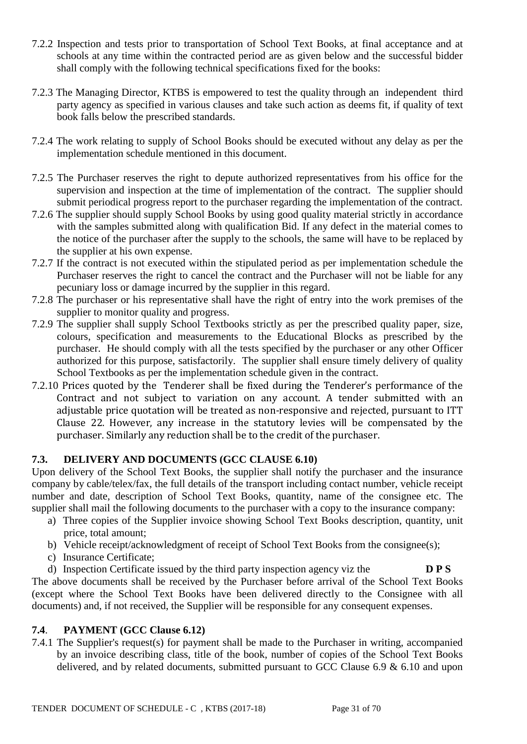- 7.2.2 Inspection and tests prior to transportation of School Text Books, at final acceptance and at schools at any time within the contracted period are as given below and the successful bidder shall comply with the following technical specifications fixed for the books:
- 7.2.3 The Managing Director, KTBS is empowered to test the quality through an independent third party agency as specified in various clauses and take such action as deems fit, if quality of text book falls below the prescribed standards.
- 7.2.4 The work relating to supply of School Books should be executed without any delay as per the implementation schedule mentioned in this document.
- 7.2.5 The Purchaser reserves the right to depute authorized representatives from his office for the supervision and inspection at the time of implementation of the contract. The supplier should submit periodical progress report to the purchaser regarding the implementation of the contract.
- 7.2.6 The supplier should supply School Books by using good quality material strictly in accordance with the samples submitted along with qualification Bid. If any defect in the material comes to the notice of the purchaser after the supply to the schools, the same will have to be replaced by the supplier at his own expense.
- 7.2.7 If the contract is not executed within the stipulated period as per implementation schedule the Purchaser reserves the right to cancel the contract and the Purchaser will not be liable for any pecuniary loss or damage incurred by the supplier in this regard.
- 7.2.8 The purchaser or his representative shall have the right of entry into the work premises of the supplier to monitor quality and progress.
- 7.2.9 The supplier shall supply School Textbooks strictly as per the prescribed quality paper, size, colours, specification and measurements to the Educational Blocks as prescribed by the purchaser. He should comply with all the tests specified by the purchaser or any other Officer authorized for this purpose, satisfactorily. The supplier shall ensure timely delivery of quality School Textbooks as per the implementation schedule given in the contract.
- 7.2.10 Prices quoted by the Tenderer shall be fixed during the Tenderer's performance of the Contract and not subject to variation on any account. A tender submitted with an adjustable price quotation will be treated as non-responsive and rejected, pursuant to ITT Clause 22. However, any increase in the statutory levies will be compensated by the purchaser. Similarly any reduction shall be to the credit of the purchaser.

## **7.3. DELIVERY AND DOCUMENTS (GCC CLAUSE 6.10)**

Upon delivery of the School Text Books, the supplier shall notify the purchaser and the insurance company by cable/telex/fax, the full details of the transport including contact number, vehicle receipt number and date, description of School Text Books, quantity, name of the consignee etc. The supplier shall mail the following documents to the purchaser with a copy to the insurance company:

- a) Three copies of the Supplier invoice showing School Text Books description, quantity, unit price, total amount;
- b) Vehicle receipt/acknowledgment of receipt of School Text Books from the consignee(s);
- c) Insurance Certificate;
- d) Inspection Certificate issued by the third party inspection agency viz the **D P S**

The above documents shall be received by the Purchaser before arrival of the School Text Books (except where the School Text Books have been delivered directly to the Consignee with all documents) and, if not received, the Supplier will be responsible for any consequent expenses.

## **7.4**. **PAYMENT (GCC Clause 6.12)**

7.4.1 The Supplier's request(s) for payment shall be made to the Purchaser in writing, accompanied by an invoice describing class, title of the book, number of copies of the School Text Books delivered, and by related documents, submitted pursuant to GCC Clause 6.9 & 6.10 and upon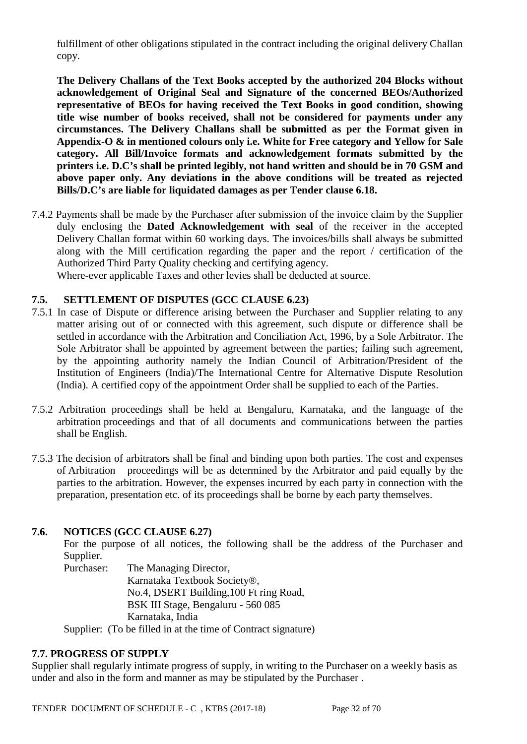fulfillment of other obligations stipulated in the contract including the original delivery Challan copy.

**The Delivery Challans of the Text Books accepted by the authorized 204 Blocks without acknowledgement of Original Seal and Signature of the concerned BEOs/Authorized representative of BEOs for having received the Text Books in good condition, showing title wise number of books received, shall not be considered for payments under any circumstances. The Delivery Challans shall be submitted as per the Format given in Appendix-O & in mentioned colours only i.e. White for Free category and Yellow for Sale category. All Bill/Invoice formats and acknowledgement formats submitted by the printers i.e. D.C's shall be printed legibly, not hand written and should be in 70 GSM and above paper only. Any deviations in the above conditions will be treated as rejected Bills/D.C's are liable for liquidated damages as per Tender clause 6.18.** 

7.4.2 Payments shall be made by the Purchaser after submission of the invoice claim by the Supplier duly enclosing the **Dated Acknowledgement with seal** of the receiver in the accepted Delivery Challan format within 60 working days. The invoices/bills shall always be submitted along with the Mill certification regarding the paper and the report / certification of the Authorized Third Party Quality checking and certifying agency.

Where-ever applicable Taxes and other levies shall be deducted at source.

## **7.5. SETTLEMENT OF DISPUTES (GCC CLAUSE 6.23)**

- 7.5.1 In case of Dispute or difference arising between the Purchaser and Supplier relating to any matter arising out of or connected with this agreement, such dispute or difference shall be settled in accordance with the Arbitration and Conciliation Act, 1996, by a Sole Arbitrator. The Sole Arbitrator shall be appointed by agreement between the parties; failing such agreement, by the appointing authority namely the Indian Council of Arbitration/President of the Institution of Engineers (India)/The International Centre for Alternative Dispute Resolution (India). A certified copy of the appointment Order shall be supplied to each of the Parties.
- 7.5.2 Arbitration proceedings shall be held at Bengaluru, Karnataka, and the language of the arbitration proceedings and that of all documents and communications between the parties shall be English.
- 7.5.3 The decision of arbitrators shall be final and binding upon both parties. The cost and expenses of Arbitration proceedings will be as determined by the Arbitrator and paid equally by the parties to the arbitration. However, the expenses incurred by each party in connection with the preparation, presentation etc. of its proceedings shall be borne by each party themselves.

## **7.6. NOTICES (GCC CLAUSE 6.27)**

For the purpose of all notices, the following shall be the address of the Purchaser and Supplier.

Purchaser: The Managing Director, Karnataka Textbook Society®, No.4, DSERT Building,100 Ft ring Road, BSK III Stage, Bengaluru - 560 085 Karnataka, India

Supplier: (To be filled in at the time of Contract signature)

### **7.7. PROGRESS OF SUPPLY**

Supplier shall regularly intimate progress of supply, in writing to the Purchaser on a weekly basis as under and also in the form and manner as may be stipulated by the Purchaser .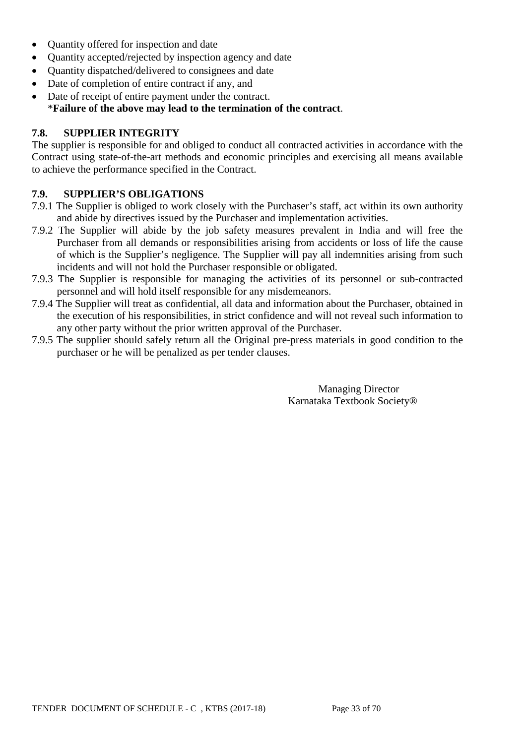- Quantity offered for inspection and date
- Quantity accepted/rejected by inspection agency and date
- Quantity dispatched/delivered to consignees and date
- Date of completion of entire contract if any, and
- Date of receipt of entire payment under the contract. \***Failure of the above may lead to the termination of the contract**.

## **7.8. SUPPLIER INTEGRITY**

The supplier is responsible for and obliged to conduct all contracted activities in accordance with the Contract using state-of-the-art methods and economic principles and exercising all means available to achieve the performance specified in the Contract.

## **7.9. SUPPLIER'S OBLIGATIONS**

- 7.9.1 The Supplier is obliged to work closely with the Purchaser's staff, act within its own authority and abide by directives issued by the Purchaser and implementation activities.
- 7.9.2 The Supplier will abide by the job safety measures prevalent in India and will free the Purchaser from all demands or responsibilities arising from accidents or loss of life the cause of which is the Supplier's negligence. The Supplier will pay all indemnities arising from such incidents and will not hold the Purchaser responsible or obligated.
- 7.9.3 The Supplier is responsible for managing the activities of its personnel or sub-contracted personnel and will hold itself responsible for any misdemeanors.
- 7.9.4 The Supplier will treat as confidential, all data and information about the Purchaser, obtained in the execution of his responsibilities, in strict confidence and will not reveal such information to any other party without the prior written approval of the Purchaser.
- 7.9.5 The supplier should safely return all the Original pre-press materials in good condition to the purchaser or he will be penalized as per tender clauses.

Managing Director Karnataka Textbook Society®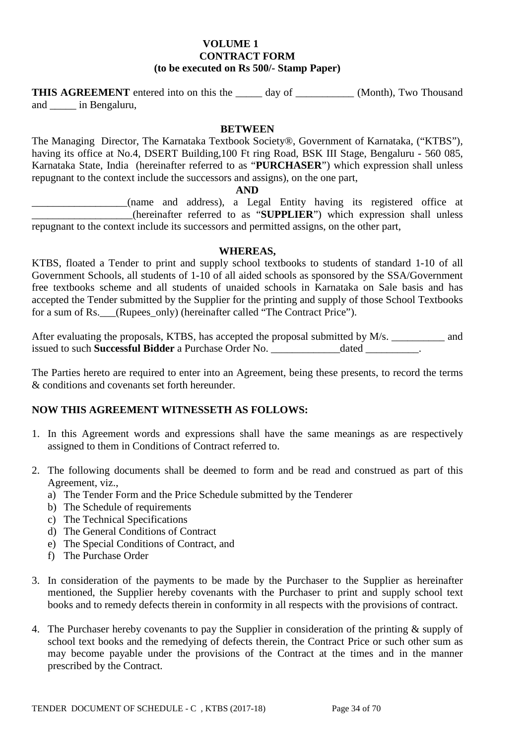#### **VOLUME 1 CONTRACT FORM (to be executed on Rs 500/- Stamp Paper)**

**THIS AGREEMENT** entered into on this the day of \_\_\_\_\_\_\_\_\_\_\_ (Month), Two Thousand and \_\_\_\_\_ in Bengaluru,

#### **BETWEEN**

The Managing Director, The Karnataka Textbook Society®, Government of Karnataka, ("KTBS"), having its office at No.4, DSERT Building,100 Ft ring Road, BSK III Stage, Bengaluru - 560 085, Karnataka State, India (hereinafter referred to as "**PURCHASER**") which expression shall unless repugnant to the context include the successors and assigns), on the one part,

#### **AND**

\_\_\_\_\_\_\_\_\_\_\_\_\_\_\_\_\_\_(name and address), a Legal Entity having its registered office at \_\_\_\_\_\_\_\_\_\_\_\_\_\_\_\_\_\_\_(hereinafter referred to as "**SUPPLIER**") which expression shall unless repugnant to the context include its successors and permitted assigns, on the other part,

#### **WHEREAS,**

KTBS, floated a Tender to print and supply school textbooks to students of standard 1-10 of all Government Schools, all students of 1-10 of all aided schools as sponsored by the SSA/Government free textbooks scheme and all students of unaided schools in Karnataka on Sale basis and has accepted the Tender submitted by the Supplier for the printing and supply of those School Textbooks for a sum of Rs. (Rupees\_only) (hereinafter called "The Contract Price").

After evaluating the proposals, KTBS, has accepted the proposal submitted by M/s. \_\_\_\_\_\_\_\_\_\_ and issued to such **Successful Bidder** a Purchase Order No. \_\_\_\_\_\_\_\_\_\_\_\_\_dated \_\_\_\_\_\_\_\_\_\_.

The Parties hereto are required to enter into an Agreement, being these presents, to record the terms & conditions and covenants set forth hereunder.

### **NOW THIS AGREEMENT WITNESSETH AS FOLLOWS:**

- 1. In this Agreement words and expressions shall have the same meanings as are respectively assigned to them in Conditions of Contract referred to.
- 2. The following documents shall be deemed to form and be read and construed as part of this Agreement, viz.,
	- a) The Tender Form and the Price Schedule submitted by the Tenderer
	- b) The Schedule of requirements
	- c) The Technical Specifications
	- d) The General Conditions of Contract
	- e) The Special Conditions of Contract, and
	- f) The Purchase Order
- 3. In consideration of the payments to be made by the Purchaser to the Supplier as hereinafter mentioned, the Supplier hereby covenants with the Purchaser to print and supply school text books and to remedy defects therein in conformity in all respects with the provisions of contract.
- 4. The Purchaser hereby covenants to pay the Supplier in consideration of the printing & supply of school text books and the remedying of defects therein, the Contract Price or such other sum as may become payable under the provisions of the Contract at the times and in the manner prescribed by the Contract.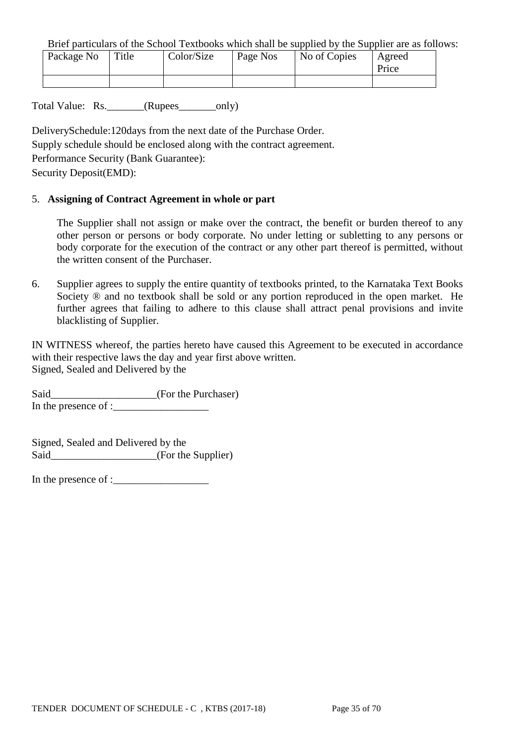Brief particulars of the School Textbooks which shall be supplied by the Supplier are as follows:

| Package No | Title | Color/Size | Page Nos | No of Copies | Agreed<br>Price |
|------------|-------|------------|----------|--------------|-----------------|
|            |       |            |          |              |                 |

Total Value: Rs. (Rupees only)

DeliverySchedule:120days from the next date of the Purchase Order. Supply schedule should be enclosed along with the contract agreement. Performance Security (Bank Guarantee): Security Deposit(EMD):

### 5. **Assigning of Contract Agreement in whole or part**

The Supplier shall not assign or make over the contract, the benefit or burden thereof to any other person or persons or body corporate. No under letting or subletting to any persons or body corporate for the execution of the contract or any other part thereof is permitted, without the written consent of the Purchaser.

6. Supplier agrees to supply the entire quantity of textbooks printed, to the Karnataka Text Books Society  $\otimes$  and no textbook shall be sold or any portion reproduced in the open market. He further agrees that failing to adhere to this clause shall attract penal provisions and invite blacklisting of Supplier.

IN WITNESS whereof, the parties hereto have caused this Agreement to be executed in accordance with their respective laws the day and year first above written. Signed, Sealed and Delivered by the

Said\_\_\_\_\_\_\_\_\_\_\_\_\_\_\_\_\_\_\_\_(For the Purchaser) In the presence of :

Signed, Sealed and Delivered by the Said\_\_\_\_\_\_\_\_\_\_\_\_\_\_\_\_\_\_\_(For the Supplier)

In the presence of :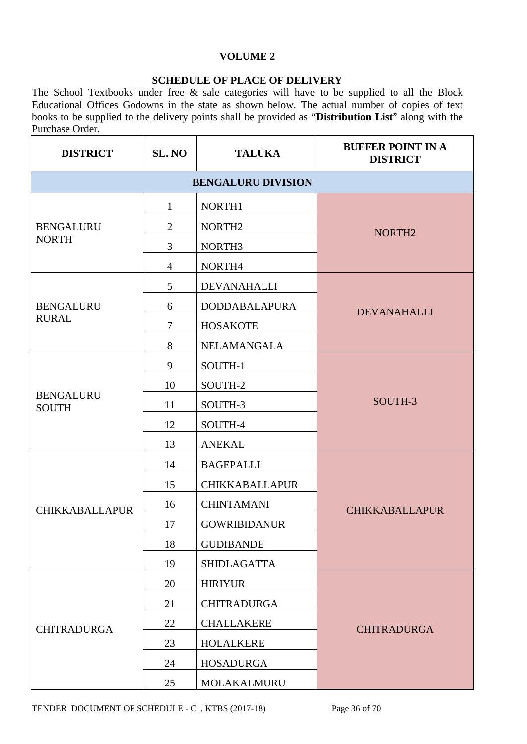## **VOLUME 2**

### **SCHEDULE OF PLACE OF DELIVERY**

The School Textbooks under free & sale categories will have to be supplied to all the Block Educational Offices Godowns in the state as shown below. The actual number of copies of text books to be supplied to the delivery points shall be provided as "**Distribution List**" along with the Purchase Order.

| <b>DISTRICT</b>                  | SL. NO         | <b>TALUKA</b>             | <b>BUFFER POINT IN A</b><br><b>DISTRICT</b> |  |
|----------------------------------|----------------|---------------------------|---------------------------------------------|--|
|                                  |                | <b>BENGALURU DIVISION</b> |                                             |  |
|                                  | $\mathbf{1}$   | NORTH1                    |                                             |  |
| <b>BENGALURU</b>                 | $\overline{2}$ | NORTH <sub>2</sub>        | NORTH <sub>2</sub>                          |  |
| <b>NORTH</b>                     | 3              | NORTH3                    |                                             |  |
|                                  | $\overline{4}$ | NORTH4                    |                                             |  |
|                                  | 5              | <b>DEVANAHALLI</b>        |                                             |  |
| <b>BENGALURU</b>                 | 6              | <b>DODDABALAPURA</b>      | <b>DEVANAHALLI</b>                          |  |
| <b>RURAL</b>                     | $\overline{7}$ | <b>HOSAKOTE</b>           |                                             |  |
|                                  | 8              | <b>NELAMANGALA</b>        |                                             |  |
|                                  | 9              | SOUTH-1                   |                                             |  |
|                                  | 10             | SOUTH-2                   |                                             |  |
| <b>BENGALURU</b><br><b>SOUTH</b> | 11             | SOUTH-3                   | SOUTH-3                                     |  |
|                                  | 12             | SOUTH-4                   |                                             |  |
|                                  | 13             | <b>ANEKAL</b>             |                                             |  |
|                                  | 14             | <b>BAGEPALLI</b>          |                                             |  |
|                                  | 15             | <b>CHIKKABALLAPUR</b>     |                                             |  |
| <b>CHIKKABALLAPUR</b>            | 16             | <b>CHINTAMANI</b>         | <b>CHIKKABALLAPUR</b>                       |  |
|                                  | 17             | <b>GOWRIBIDANUR</b>       |                                             |  |
|                                  | 18             | <b>GUDIBANDE</b>          |                                             |  |
|                                  | 19             | <b>SHIDLAGATTA</b>        |                                             |  |
|                                  | 20             | <b>HIRIYUR</b>            |                                             |  |
|                                  | 21             | <b>CHITRADURGA</b>        |                                             |  |
| <b>CHITRADURGA</b>               | 22             | <b>CHALLAKERE</b>         | <b>CHITRADURGA</b>                          |  |
|                                  | 23             | <b>HOLALKERE</b>          |                                             |  |
|                                  | 24             | <b>HOSADURGA</b>          |                                             |  |
|                                  | 25             | MOLAKALMURU               |                                             |  |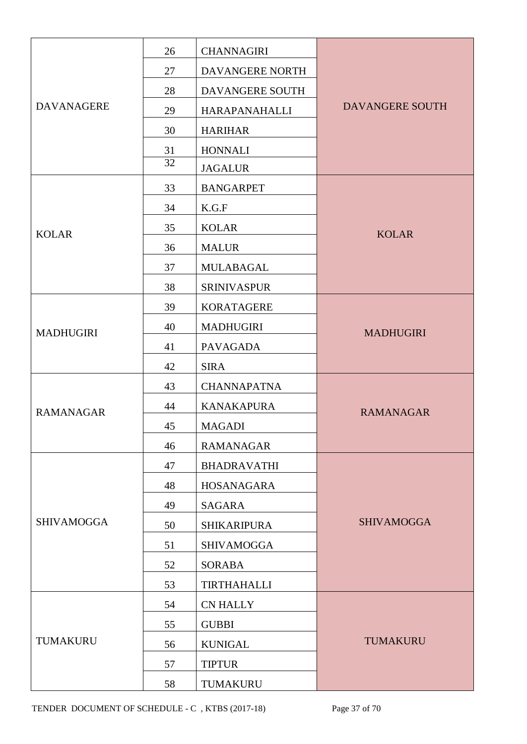|                   | 26 | <b>CHANNAGIRI</b>  |                        |  |  |
|-------------------|----|--------------------|------------------------|--|--|
|                   | 27 | DAVANGERE NORTH    |                        |  |  |
|                   | 28 | DAVANGERE SOUTH    |                        |  |  |
| <b>DAVANAGERE</b> | 29 | HARAPANAHALLI      | <b>DAVANGERE SOUTH</b> |  |  |
|                   | 30 | <b>HARIHAR</b>     |                        |  |  |
|                   | 31 | <b>HONNALI</b>     |                        |  |  |
|                   | 32 | <b>JAGALUR</b>     |                        |  |  |
|                   | 33 | <b>BANGARPET</b>   |                        |  |  |
|                   | 34 | K.G.F              |                        |  |  |
| <b>KOLAR</b>      | 35 | <b>KOLAR</b>       | <b>KOLAR</b>           |  |  |
|                   | 36 | <b>MALUR</b>       |                        |  |  |
|                   | 37 | <b>MULABAGAL</b>   |                        |  |  |
|                   | 38 | <b>SRINIVASPUR</b> |                        |  |  |
|                   | 39 | <b>KORATAGERE</b>  |                        |  |  |
| <b>MADHUGIRI</b>  | 40 | <b>MADHUGIRI</b>   | <b>MADHUGIRI</b>       |  |  |
|                   | 41 | <b>PAVAGADA</b>    |                        |  |  |
|                   | 42 | <b>SIRA</b>        |                        |  |  |
|                   | 43 | <b>CHANNAPATNA</b> |                        |  |  |
| <b>RAMANAGAR</b>  | 44 | <b>KANAKAPURA</b>  | <b>RAMANAGAR</b>       |  |  |
|                   | 45 | <b>MAGADI</b>      |                        |  |  |
|                   | 46 | <b>RAMANAGAR</b>   |                        |  |  |
|                   | 47 | <b>BHADRAVATHI</b> |                        |  |  |
|                   | 48 | <b>HOSANAGARA</b>  |                        |  |  |
|                   | 49 | SAGARA             |                        |  |  |
| <b>SHIVAMOGGA</b> | 50 | <b>SHIKARIPURA</b> | <b>SHIVAMOGGA</b>      |  |  |
|                   | 51 | <b>SHIVAMOGGA</b>  |                        |  |  |
|                   | 52 | <b>SORABA</b>      |                        |  |  |
|                   | 53 | <b>TIRTHAHALLI</b> |                        |  |  |
|                   | 54 | <b>CN HALLY</b>    |                        |  |  |
|                   | 55 | <b>GUBBI</b>       |                        |  |  |
| TUMAKURU          | 56 | <b>KUNIGAL</b>     | <b>TUMAKURU</b>        |  |  |
|                   | 57 | <b>TIPTUR</b>      |                        |  |  |
|                   | 58 | TUMAKURU           |                        |  |  |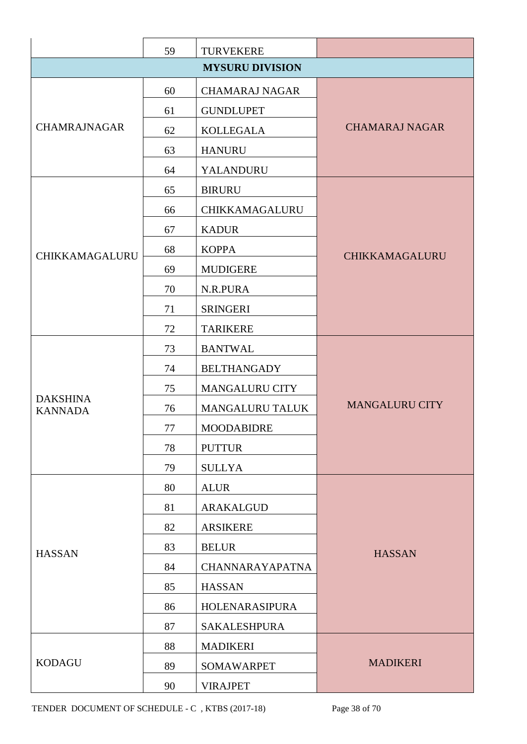|                                   | 59 | <b>TURVEKERE</b>       |                       |  |  |
|-----------------------------------|----|------------------------|-----------------------|--|--|
| <b>MYSURU DIVISION</b>            |    |                        |                       |  |  |
|                                   | 60 | <b>CHAMARAJ NAGAR</b>  |                       |  |  |
|                                   | 61 | <b>GUNDLUPET</b>       |                       |  |  |
| <b>CHAMRAJNAGAR</b>               | 62 | <b>KOLLEGALA</b>       | <b>CHAMARAJ NAGAR</b> |  |  |
|                                   | 63 | <b>HANURU</b>          |                       |  |  |
|                                   | 64 | YALANDURU              |                       |  |  |
|                                   | 65 | <b>BIRURU</b>          |                       |  |  |
|                                   | 66 | CHIKKAMAGALURU         |                       |  |  |
|                                   | 67 | <b>KADUR</b>           |                       |  |  |
| CHIKKAMAGALURU                    | 68 | <b>KOPPA</b>           | CHIKKAMAGALURU        |  |  |
|                                   | 69 | <b>MUDIGERE</b>        |                       |  |  |
|                                   | 70 | N.R.PURA               |                       |  |  |
|                                   | 71 | <b>SRINGERI</b>        |                       |  |  |
|                                   | 72 | <b>TARIKERE</b>        |                       |  |  |
|                                   | 73 | <b>BANTWAL</b>         |                       |  |  |
|                                   | 74 | <b>BELTHANGADY</b>     |                       |  |  |
|                                   | 75 | <b>MANGALURU CITY</b>  |                       |  |  |
| <b>DAKSHINA</b><br><b>KANNADA</b> | 76 | <b>MANGALURU TALUK</b> | <b>MANGALURU CITY</b> |  |  |
|                                   | 77 | <b>MOODABIDRE</b>      |                       |  |  |
|                                   | 78 | <b>PUTTUR</b>          |                       |  |  |
|                                   | 79 | <b>SULLYA</b>          |                       |  |  |
|                                   | 80 | <b>ALUR</b>            |                       |  |  |
|                                   | 81 | <b>ARAKALGUD</b>       |                       |  |  |
|                                   | 82 | <b>ARSIKERE</b>        |                       |  |  |
| <b>HASSAN</b>                     | 83 | <b>BELUR</b>           | <b>HASSAN</b>         |  |  |
|                                   | 84 | <b>CHANNARAYAPATNA</b> |                       |  |  |
|                                   | 85 | <b>HASSAN</b>          |                       |  |  |
|                                   | 86 | HOLENARASIPURA         |                       |  |  |
|                                   | 87 | <b>SAKALESHPURA</b>    |                       |  |  |
|                                   | 88 | <b>MADIKERI</b>        |                       |  |  |
| <b>KODAGU</b>                     | 89 | <b>SOMAWARPET</b>      | <b>MADIKERI</b>       |  |  |
|                                   | 90 | <b>VIRAJPET</b>        |                       |  |  |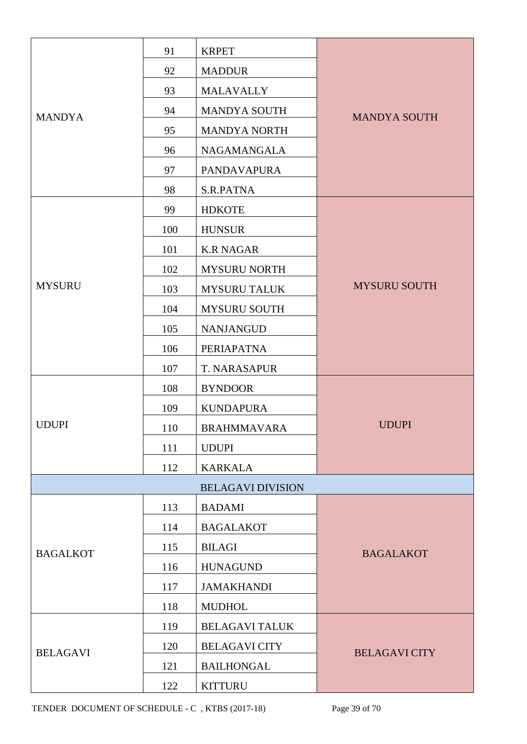|                 | 91                       | <b>KRPET</b>             |                      |  |
|-----------------|--------------------------|--------------------------|----------------------|--|
|                 | 92                       | <b>MADDUR</b>            |                      |  |
|                 | 93                       | <b>MALAVALLY</b>         |                      |  |
| <b>MANDYA</b>   | 94                       | <b>MANDYA SOUTH</b>      | <b>MANDYA SOUTH</b>  |  |
|                 | 95                       | <b>MANDYA NORTH</b>      |                      |  |
|                 | 96                       | NAGAMANGALA              |                      |  |
|                 | 97                       | <b>PANDAVAPURA</b>       |                      |  |
|                 | 98                       | S.R.PATNA                |                      |  |
|                 | 99                       | <b>HDKOTE</b>            |                      |  |
|                 | 100                      | <b>HUNSUR</b>            |                      |  |
|                 | 101                      | <b>K.R NAGAR</b>         |                      |  |
|                 | 102                      | <b>MYSURU NORTH</b>      |                      |  |
| <b>MYSURU</b>   | 103                      | <b>MYSURU TALUK</b>      | <b>MYSURU SOUTH</b>  |  |
|                 | 104                      | <b>MYSURU SOUTH</b>      |                      |  |
|                 | 105                      | <b>NANJANGUD</b>         |                      |  |
|                 | 106                      | <b>PERIAPATNA</b>        |                      |  |
|                 | 107                      | T. NARASAPUR             |                      |  |
|                 | 108                      | <b>BYNDOOR</b>           |                      |  |
|                 | 109                      | <b>KUNDAPURA</b>         |                      |  |
| <b>UDUPI</b>    | 110                      | <b>BRAHMMAVARA</b>       | <b>UDUPI</b>         |  |
|                 | 111                      | <b>UDUPI</b>             |                      |  |
|                 | 112                      | <b>KARKALA</b>           |                      |  |
|                 |                          | <b>BELAGAVI DIVISION</b> |                      |  |
|                 | 113                      | <b>BADAMI</b>            |                      |  |
|                 | 114                      | <b>BAGALAKOT</b>         |                      |  |
| <b>BAGALKOT</b> | 115                      | <b>BILAGI</b>            | <b>BAGALAKOT</b>     |  |
|                 | 116                      | <b>HUNAGUND</b>          |                      |  |
|                 | 117                      | <b>JAMAKHANDI</b>        |                      |  |
|                 | 118                      | <b>MUDHOL</b>            |                      |  |
|                 | 119                      | <b>BELAGAVI TALUK</b>    |                      |  |
| <b>BELAGAVI</b> | 120                      | <b>BELAGAVI CITY</b>     | <b>BELAGAVI CITY</b> |  |
|                 | 121<br><b>BAILHONGAL</b> |                          |                      |  |
|                 | 122                      | <b>KITTURU</b>           |                      |  |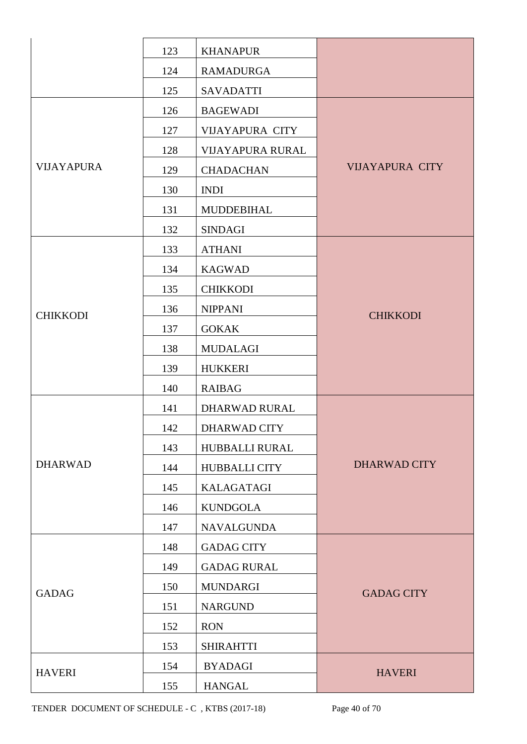|                   | 123 | <b>KHANAPUR</b>         |                        |
|-------------------|-----|-------------------------|------------------------|
|                   | 124 | <b>RAMADURGA</b>        |                        |
|                   | 125 | <b>SAVADATTI</b>        |                        |
|                   | 126 | <b>BAGEWADI</b>         |                        |
|                   | 127 | <b>VIJAYAPURA CITY</b>  |                        |
|                   | 128 | <b>VIJAYAPURA RURAL</b> |                        |
| <b>VIJAYAPURA</b> | 129 | <b>CHADACHAN</b>        | <b>VIJAYAPURA CITY</b> |
|                   | 130 | <b>INDI</b>             |                        |
|                   | 131 | <b>MUDDEBIHAL</b>       |                        |
|                   | 132 | <b>SINDAGI</b>          |                        |
|                   | 133 | <b>ATHANI</b>           |                        |
|                   | 134 | <b>KAGWAD</b>           |                        |
|                   | 135 | <b>CHIKKODI</b>         |                        |
| <b>CHIKKODI</b>   | 136 | <b>NIPPANI</b>          | <b>CHIKKODI</b>        |
|                   | 137 | <b>GOKAK</b>            |                        |
|                   | 138 | <b>MUDALAGI</b>         |                        |
|                   | 139 | <b>HUKKERI</b>          |                        |
|                   | 140 | <b>RAIBAG</b>           |                        |
|                   | 141 | <b>DHARWAD RURAL</b>    |                        |
|                   | 142 | <b>DHARWAD CITY</b>     |                        |
|                   | 143 | HUBBALLI RURAL          |                        |
| <b>DHARWAD</b>    | 144 | <b>HUBBALLI CITY</b>    | <b>DHARWAD CITY</b>    |
|                   | 145 | KALAGATAGI              |                        |
|                   | 146 | <b>KUNDGOLA</b>         |                        |
|                   | 147 | <b>NAVALGUNDA</b>       |                        |
|                   | 148 | <b>GADAG CITY</b>       |                        |
|                   | 149 | <b>GADAG RURAL</b>      |                        |
| <b>GADAG</b>      | 150 | <b>MUNDARGI</b>         | <b>GADAG CITY</b>      |
|                   | 151 | <b>NARGUND</b>          |                        |
|                   | 152 | <b>RON</b>              |                        |
|                   | 153 | <b>SHIRAHTTI</b>        |                        |
| <b>HAVERI</b>     | 154 | <b>BYADAGI</b>          | <b>HAVERI</b>          |
|                   | 155 | <b>HANGAL</b>           |                        |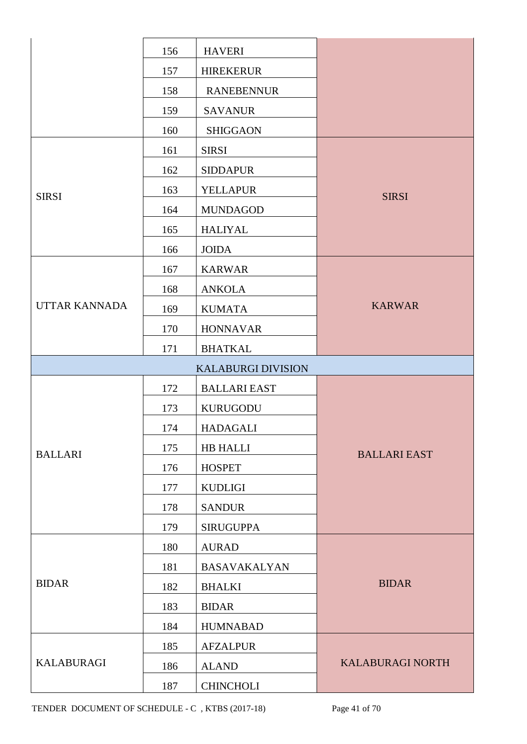|                      | 156 | <b>HAVERI</b>             |                         |  |  |
|----------------------|-----|---------------------------|-------------------------|--|--|
|                      | 157 | <b>HIREKERUR</b>          |                         |  |  |
|                      | 158 | <b>RANEBENNUR</b>         |                         |  |  |
|                      | 159 | <b>SAVANUR</b>            |                         |  |  |
|                      | 160 | <b>SHIGGAON</b>           |                         |  |  |
|                      | 161 | <b>SIRSI</b>              |                         |  |  |
|                      | 162 | <b>SIDDAPUR</b>           |                         |  |  |
| <b>SIRSI</b>         | 163 | <b>YELLAPUR</b>           | <b>SIRSI</b>            |  |  |
|                      | 164 | <b>MUNDAGOD</b>           |                         |  |  |
|                      | 165 | <b>HALIYAL</b>            |                         |  |  |
|                      | 166 | <b>JOIDA</b>              |                         |  |  |
|                      | 167 | <b>KARWAR</b>             |                         |  |  |
|                      | 168 | <b>ANKOLA</b>             |                         |  |  |
| <b>UTTAR KANNADA</b> | 169 | <b>KUMATA</b>             | <b>KARWAR</b>           |  |  |
|                      | 170 | <b>HONNAVAR</b>           |                         |  |  |
|                      | 171 | <b>BHATKAL</b>            |                         |  |  |
|                      |     | <b>KALABURGI DIVISION</b> |                         |  |  |
|                      | 172 | <b>BALLARI EAST</b>       |                         |  |  |
|                      | 173 | <b>KURUGODU</b>           |                         |  |  |
|                      | 174 | <b>HADAGALI</b>           |                         |  |  |
| <b>BALLARI</b>       | 175 | HB HALLI                  | <b>BALLARI EAST</b>     |  |  |
|                      | 176 | <b>HOSPET</b>             |                         |  |  |
|                      | 177 | <b>KUDLIGI</b>            |                         |  |  |
|                      | 178 | <b>SANDUR</b>             |                         |  |  |
|                      | 179 | <b>SIRUGUPPA</b>          |                         |  |  |
|                      | 180 | <b>AURAD</b>              |                         |  |  |
|                      | 181 | <b>BASAVAKALYAN</b>       |                         |  |  |
| <b>BIDAR</b>         | 182 | <b>BHALKI</b>             | <b>BIDAR</b>            |  |  |
|                      | 183 | <b>BIDAR</b>              |                         |  |  |
|                      | 184 | <b>HUMNABAD</b>           |                         |  |  |
|                      | 185 | <b>AFZALPUR</b>           |                         |  |  |
| <b>KALABURAGI</b>    | 186 | <b>ALAND</b>              | <b>KALABURAGI NORTH</b> |  |  |
|                      | 187 | <b>CHINCHOLI</b>          |                         |  |  |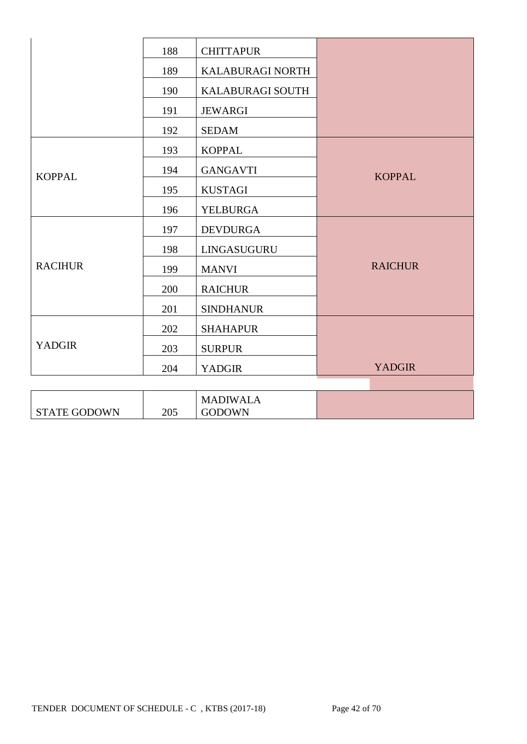|                     | 188 | <b>CHITTAPUR</b>                 |                |
|---------------------|-----|----------------------------------|----------------|
|                     | 189 | KALABURAGI NORTH                 |                |
|                     | 190 | <b>KALABURAGI SOUTH</b>          |                |
|                     | 191 | <b>JEWARGI</b>                   |                |
|                     | 192 | <b>SEDAM</b>                     |                |
|                     | 193 | <b>KOPPAL</b>                    |                |
| <b>KOPPAL</b>       | 194 | <b>GANGAVTI</b>                  | <b>KOPPAL</b>  |
|                     | 195 | <b>KUSTAGI</b>                   |                |
|                     | 196 | <b>YELBURGA</b>                  |                |
|                     | 197 | <b>DEVDURGA</b>                  |                |
|                     | 198 | LINGASUGURU                      |                |
| <b>RACIHUR</b>      | 199 | <b>MANVI</b>                     | <b>RAICHUR</b> |
|                     | 200 | <b>RAICHUR</b>                   |                |
|                     | 201 | <b>SINDHANUR</b>                 |                |
|                     | 202 | <b>SHAHAPUR</b>                  |                |
| <b>YADGIR</b>       | 203 | <b>SURPUR</b>                    |                |
|                     | 204 | <b>YADGIR</b>                    | <b>YADGIR</b>  |
|                     |     |                                  |                |
| <b>STATE GODOWN</b> | 205 | <b>MADIWALA</b><br><b>GODOWN</b> |                |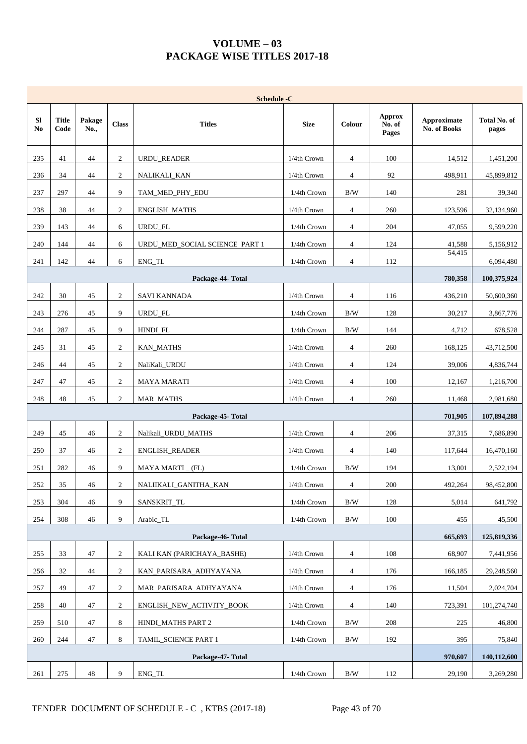## **VOLUME – 03 PACKAGE WISE TITLES 2017-18**

|                 | <b>Schedule -C</b>   |                |                  |                                |                |                |                                  |                                    |                              |  |  |  |
|-----------------|----------------------|----------------|------------------|--------------------------------|----------------|----------------|----------------------------------|------------------------------------|------------------------------|--|--|--|
| <b>SI</b><br>No | <b>Title</b><br>Code | Pakage<br>No., | <b>Class</b>     | <b>Titles</b>                  | <b>Size</b>    | Colour         | <b>Approx</b><br>No. of<br>Pages | <b>Approximate</b><br>No. of Books | <b>Total No. of</b><br>pages |  |  |  |
| 235             | 41                   | 44             | $\mathfrak{2}$   | <b>URDU_READER</b>             | 1/4th Crown    | $\overline{4}$ | 100                              | 14,512                             | 1,451,200                    |  |  |  |
| 236             | 34                   | 44             | $\sqrt{2}$       | NALIKALI_KAN                   | 1/4th Crown    | 4              | 92                               | 498,911                            | 45,899,812                   |  |  |  |
| 237             | 297                  | 44             | 9                | TAM_MED_PHY_EDU                | 1/4th Crown    | B/W            | 140                              | 281                                | 39,340                       |  |  |  |
| 238             | 38                   | 44             | $\overline{c}$   | ENGLISH_MATHS                  | 1/4th Crown    | $\overline{4}$ | 260                              | 123,596                            | 32,134,960                   |  |  |  |
| 239             | 143                  | 44             | 6                | URDU_FL                        | 1/4th Crown    | 4              | 204                              | 47,055                             | 9,599,220                    |  |  |  |
| 240             | 144                  | 44             | 6                | URDU_MED_SOCIAL SCIENCE PART 1 | 1/4th Crown    | 4              | 124                              | 41,588                             | 5,156,912                    |  |  |  |
| 241             | 142                  | 44             | 6                | ENG_TL                         | 1/4th Crown    | $\overline{4}$ | 112                              | 54,415                             | 6,094,480                    |  |  |  |
|                 |                      |                |                  | Package-44- Total              |                |                |                                  | 780,358                            | 100,375,924                  |  |  |  |
| 242             | 30                   | 45             | $\overline{c}$   | <b>SAVI KANNADA</b>            | 1/4th Crown    | $\overline{4}$ | 116                              | 436,210                            | 50,600,360                   |  |  |  |
| 243             | 276                  | 45             | 9                | <b>URDU FL</b>                 | 1/4th Crown    | B/W            | 128                              | 30,217                             | 3,867,776                    |  |  |  |
| 244             | 287                  | 45             | 9                | HINDI_FL                       | 1/4th Crown    | B/W            | 144                              | 4,712                              | 678,528                      |  |  |  |
| 245             | 31                   | 45             | $\overline{2}$   | <b>KAN_MATHS</b>               | 1/4th Crown    | $\overline{4}$ | 260                              | 168,125                            | 43,712,500                   |  |  |  |
| 246             | 44                   | 45             | $\overline{c}$   | NaliKali_URDU                  | 1/4th Crown    | $\overline{4}$ | 124                              | 39,006                             | 4,836,744                    |  |  |  |
| 247             | 47                   | 45             | $\boldsymbol{2}$ | MAYA MARATI                    | 1/4th Crown    | 4              | 100                              | 12,167                             | 1,216,700                    |  |  |  |
| 248             | 48                   | 45             | $\mathfrak{2}$   | <b>MAR_MATHS</b>               | 1/4th Crown    | $\overline{4}$ | 260                              | 11,468                             | 2,981,680                    |  |  |  |
|                 |                      |                |                  | Package-45- Total              |                |                |                                  | 701,905                            | 107,894,288                  |  |  |  |
| 249             | 45                   | 46             | $\mathfrak{2}$   | Nalikali_URDU_MATHS            | 1/4th Crown    | $\overline{4}$ | 206                              | 37,315                             | 7,686,890                    |  |  |  |
| 250             | 37                   | 46             | $\overline{c}$   | ENGLISH_READER                 | 1/4th Crown    | 4              | 140                              | 117,644                            | 16,470,160                   |  |  |  |
| 251             | 282                  | 46             | 9                | MAYA MARTI _ (FL)              | 1/4th Crown    | B/W            | 194                              | 13,001                             | 2,522,194                    |  |  |  |
| $252\,$         | $35\,$               | $46\,$         | $\boldsymbol{2}$ | NALIIKALI_GANITHA_KAN          | $1/4$ th Crown | $\overline{4}$ | $200\,$                          | 492,264                            | 98,452,800                   |  |  |  |
| 253             | 304                  | 46             | 9                | SANSKRIT_TL                    | 1/4th Crown    | B/W            | 128                              | 5,014                              | 641,792                      |  |  |  |
| 254             | 308                  | 46             | 9                | Arabic_TL                      | 1/4th Crown    | $\rm\,B/W$     | 100                              | 455                                | 45,500                       |  |  |  |
|                 |                      |                |                  | Package-46-Total               |                |                |                                  | 665,693                            | 125,819,336                  |  |  |  |
| 255             | 33                   | 47             | 2                | KALI KAN (PARICHAYA BASHE)     | 1/4th Crown    | $\overline{4}$ | 108                              | 68,907                             | 7,441,956                    |  |  |  |
| 256             | 32                   | 44             | 2                | KAN_PARISARA_ADHYAYANA         | 1/4th Crown    | $\overline{4}$ | 176                              | 166,185                            | 29,248,560                   |  |  |  |
| 257             | 49                   | 47             | $\boldsymbol{2}$ | MAR_PARISARA_ADHYAYANA         | 1/4th Crown    | 4              | 176                              | 11,504                             | 2,024,704                    |  |  |  |
| 258             | 40                   | 47             | $\overline{c}$   | ENGLISH_NEW_ACTIVITY_BOOK      | 1/4th Crown    | 4              | 140                              | 723,391                            | 101,274,740                  |  |  |  |
| 259             | 510                  | 47             | 8                | HINDI_MATHS PART 2             | 1/4th Crown    | $\rm\,B/W$     | 208                              | 225                                | 46,800                       |  |  |  |
| 260             | 244                  | 47             | 8                | TAMIL_SCIENCE PART 1           | 1/4th Crown    | B/W            | 192                              | 395                                | 75,840                       |  |  |  |
|                 |                      |                |                  | Package-47-Total               |                |                |                                  | 970,607                            | 140,112,600                  |  |  |  |
| 261             | 275                  | 48             | 9                | ENG_TL                         | 1/4th Crown    | B/W            | 112                              | 29,190                             | 3,269,280                    |  |  |  |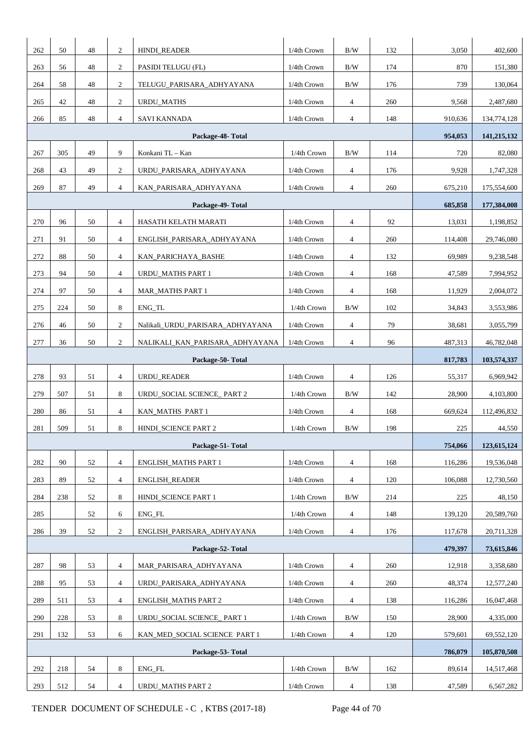| 262              | 50                                                                                      | 48 | $\overline{c}$ | HINDI_READER                     | 1/4th Crown | B/W            | 132 | 3,050   | 402,600     |
|------------------|-----------------------------------------------------------------------------------------|----|----------------|----------------------------------|-------------|----------------|-----|---------|-------------|
| 263              | 56                                                                                      | 48 | 2              | PASIDI TELUGU (FL)               | 1/4th Crown | $\rm\,B/W$     | 174 | 870     | 151,380     |
| 264              | 58                                                                                      | 48 | $\overline{2}$ | TELUGU_PARISARA_ADHYAYANA        | 1/4th Crown | $\rm\,B/W$     | 176 | 739     | 130,064     |
| 265              | 42                                                                                      | 48 | $\overline{c}$ | <b>URDU_MATHS</b>                | 1/4th Crown | 4              | 260 | 9,568   | 2,487,680   |
| 266              | 85                                                                                      | 48 | $\overline{4}$ | SAVI KANNADA                     | 1/4th Crown | 4              | 148 | 910,636 | 134,774,128 |
|                  |                                                                                         |    |                | Package-48-Total                 |             |                |     | 954,053 | 141,215,132 |
| 267              | 305                                                                                     | 49 | 9              | Konkani TL - Kan                 | 1/4th Crown | $\rm\,B/W$     | 114 | 720     | 82,080      |
| 268              | 43                                                                                      | 49 | 2              | URDU_PARISARA_ADHYAYANA          | 1/4th Crown | $\overline{4}$ | 176 | 9,928   | 1,747,328   |
| 269              | $87\,$                                                                                  | 49 | $\overline{4}$ | KAN_PARISARA_ADHYAYANA           | 1/4th Crown | 4              | 260 | 675,210 | 175,554,600 |
|                  |                                                                                         |    |                | Package-49-Total                 |             |                |     | 685,858 | 177,384,008 |
| 270              | 96                                                                                      | 50 | $\overline{4}$ | HASATH KELATH MARATI             | 1/4th Crown | $\overline{4}$ | 92  | 13,031  | 1,198,852   |
| 271              | 91                                                                                      | 50 | $\overline{4}$ | ENGLISH_PARISARA_ADHYAYANA       | 1/4th Crown | $\overline{4}$ | 260 | 114,408 | 29,746,080  |
| 272              | 88                                                                                      | 50 | $\overline{4}$ | KAN_PARICHAYA_BASHE              | 1/4th Crown | 4              | 132 | 69,989  | 9,238,548   |
| 273              | 94                                                                                      | 50 | $\overline{4}$ | URDU_MATHS PART 1                | 1/4th Crown | 4              | 168 | 47,589  | 7,994,952   |
| 274              | 97                                                                                      | 50 | $\overline{4}$ | <b>MAR_MATHS PART 1</b>          | 1/4th Crown | $\overline{4}$ | 168 | 11,929  | 2,004,072   |
| 275              | 224                                                                                     | 50 | 8              | ENG_TL                           | 1/4th Crown | $\rm\,B/W$     | 102 | 34,843  | 3,553,986   |
| 276              | 46                                                                                      | 50 | $\overline{c}$ | Nalikali_URDU_PARISARA_ADHYAYANA | 1/4th Crown | $\overline{4}$ | 79  | 38,681  | 3,055,799   |
| 277              | 36                                                                                      | 50 | 2              | NALIKALI_KAN_PARISARA_ADHYAYANA  | 1/4th Crown | 4              | 96  | 487,313 | 46,782,048  |
|                  |                                                                                         |    | 817,783        | 103,574,337                      |             |                |     |         |             |
| 278              | 93                                                                                      | 51 | $\overline{4}$ | URDU_READER                      | 1/4th Crown | 4              | 126 | 55,317  | 6,969,942   |
| 279              | 507                                                                                     | 51 | 8              | URDU_SOCIAL SCIENCE_ PART 2      | 1/4th Crown | B/W            | 142 | 28,900  | 4,103,800   |
| 280              | 86                                                                                      | 51 | $\overline{4}$ | KAN_MATHS PART 1                 | 1/4th Crown | 4              | 168 | 669,624 | 112,496,832 |
| 281              | 509                                                                                     | 51 | 8              | HINDI_SCIENCE PART 2             | 1/4th Crown | B/W            | 198 | 225     | 44,550      |
|                  |                                                                                         |    |                | Package-51-Total                 |             |                |     | 754,066 | 123,615,124 |
| 282              | 90                                                                                      | 52 | $\overline{4}$ | <b>ENGLISH MATHS PART 1</b>      | 1/4th Crown | $\overline{4}$ | 168 | 116,286 | 19,536,048  |
| 283              | 89                                                                                      | 52 | $\overline{4}$ | <b>ENGLISH READER</b>            | 1/4th Crown | $\overline{4}$ | 120 | 106,088 | 12,730,560  |
| 284              | 238                                                                                     | 52 | 8              | HINDI_SCIENCE PART 1             | 1/4th Crown | $\rm\,B/W$     | 214 | 225     | 48,150      |
| 285              |                                                                                         | 52 | 6              | ENG_FL                           | 1/4th Crown | $\overline{4}$ | 148 | 139,120 | 20,589,760  |
| 286              | 39                                                                                      | 52 | $\overline{2}$ | ENGLISH_PARISARA_ADHYAYANA       | 1/4th Crown | 4              | 176 | 117,678 | 20,711,328  |
|                  |                                                                                         |    |                | Package-52-Total                 |             |                |     | 479,397 | 73,615,846  |
| 287              | 98                                                                                      | 53 | $\overline{4}$ | MAR_PARISARA_ADHYAYANA           | 1/4th Crown | 4              | 260 | 12,918  | 3,358,680   |
| 288              | 95                                                                                      | 53 | $\overline{4}$ | URDU_PARISARA_ADHYAYANA          | 1/4th Crown | $\overline{4}$ | 260 | 48,374  | 12,577,240  |
| 289              | 511                                                                                     | 53 | $\overline{4}$ | ENGLISH_MATHS PART 2             | 1/4th Crown | 4              | 138 | 116,286 | 16,047,468  |
| 290              | 228                                                                                     | 53 | 8              | URDU_SOCIAL SCIENCE_PART 1       | 1/4th Crown | $\rm\,B/W$     | 150 | 28,900  | 4,335,000   |
| 291              | 1/4th Crown<br>132<br>53<br>6<br>KAN_MED_SOCIAL SCIENCE PART 1<br>$\overline{4}$<br>120 |    |                |                                  |             |                |     | 579,601 | 69,552,120  |
| Package-53-Total |                                                                                         |    |                |                                  |             |                |     |         | 105,870,508 |
| 292              | 218                                                                                     | 54 | 8              | ENG_FL                           | 1/4th Crown | B/W            | 162 | 89,614  | 14,517,468  |
| 293              | 512                                                                                     | 54 | $\overline{4}$ | <b>URDU_MATHS PART 2</b>         | 1/4th Crown | $\overline{4}$ | 138 | 47,589  | 6,567,282   |
|                  |                                                                                         |    |                |                                  |             |                |     |         |             |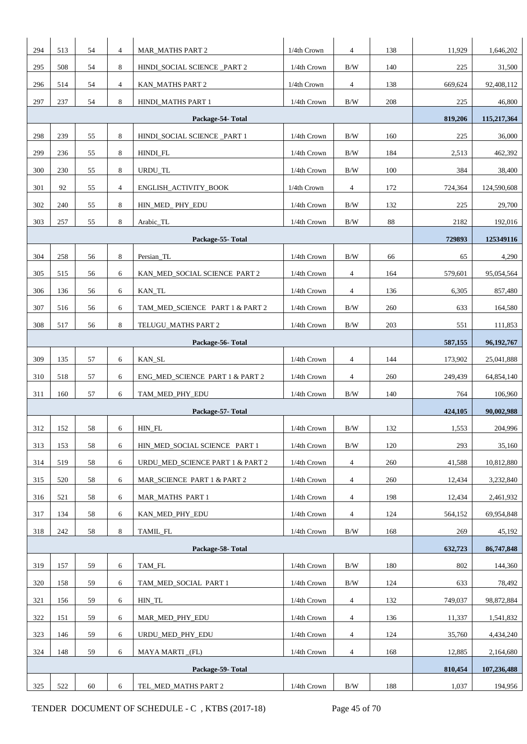| 294 | 513                                                                              | 54 | $\overline{4}$ | <b>MAR_MATHS PART 2</b>          | 1/4th Crown                            | $\overline{4}$ | 138 | 11,929  | 1,646,202   |
|-----|----------------------------------------------------------------------------------|----|----------------|----------------------------------|----------------------------------------|----------------|-----|---------|-------------|
| 295 | 508                                                                              | 54 | 8              | HINDI_SOCIAL SCIENCE _PART 2     | 1/4th Crown                            | B/W            | 140 | 225     | 31,500      |
| 296 | 514                                                                              | 54 | $\overline{4}$ | KAN_MATHS PART 2                 | 1/4th Crown                            | $\overline{4}$ | 138 | 669.624 | 92,408,112  |
| 297 | 237                                                                              | 54 | 8              | HINDI_MATHS PART 1               | 1/4th Crown                            | $\rm\,B/W$     | 208 | 225     | 46,800      |
|     |                                                                                  |    |                | Package-54-Total                 |                                        |                |     | 819,206 | 115,217,364 |
| 298 | 239                                                                              | 55 | 8              | HINDI_SOCIAL SCIENCE _PART 1     | 1/4th Crown                            | B/W            | 160 | 225     | 36,000      |
| 299 | 236                                                                              | 55 | 8              | HINDI_FL                         | 1/4th Crown                            | B/W            | 184 | 2,513   | 462,392     |
| 300 | 230                                                                              | 55 | 8              | URDU_TL                          | 1/4th Crown                            | B/W            | 100 | 384     | 38,400      |
| 301 | 92                                                                               | 55 | $\overline{4}$ | ENGLISH_ACTIVITY_BOOK            | 1/4th Crown                            | $\overline{4}$ | 172 | 724,364 | 124,590,608 |
| 302 | 240                                                                              | 55 | 8              | HIN_MED_PHY_EDU                  | 1/4th Crown                            | B/W            | 132 | 225     | 29,700      |
| 303 | 257                                                                              | 55 | 8              | Arabic_TL                        | 1/4th Crown                            | B/W            | 88  | 2182    | 192,016     |
|     |                                                                                  |    |                | 729893                           | 125349116                              |                |     |         |             |
| 304 | 258                                                                              | 56 | 8              | Persian_TL                       | 1/4th Crown                            | B/W            | 66  | 65      | 4,290       |
| 305 | 515                                                                              | 56 | 6              | KAN_MED_SOCIAL SCIENCE PART 2    | 1/4th Crown                            | $\overline{4}$ | 164 | 579,601 | 95,054,564  |
| 306 | 136                                                                              | 56 | 6              | KAN_TL                           | 1/4th Crown                            | $\overline{4}$ | 136 | 6,305   | 857,480     |
| 307 | 516                                                                              | 56 | 6              | TAM_MED_SCIENCE PART 1 & PART 2  | 1/4th Crown                            | B/W            | 260 | 633     | 164,580     |
| 308 | 517                                                                              | 56 | 8              | TELUGU_MATHS PART 2              | 1/4th Crown                            | B/W            | 203 | 551     | 111,853     |
|     |                                                                                  |    | 587,155        | 96, 192, 767                     |                                        |                |     |         |             |
| 309 | 135                                                                              | 57 | 6              | KAN_SL                           | 1/4th Crown                            | $\overline{4}$ | 144 | 173,902 | 25,041,888  |
| 310 | 518                                                                              | 57 | 6              | ENG_MED_SCIENCE PART 1 & PART 2  | 1/4th Crown                            | $\overline{4}$ | 260 | 249,439 | 64,854,140  |
| 311 | 160                                                                              | 57 | 6              | TAM_MED_PHY_EDU                  | 1/4th Crown<br>B/W<br>140              |                |     |         | 106,960     |
|     |                                                                                  |    |                | Package-57-Total                 |                                        |                |     | 424,105 | 90,002,988  |
| 312 | 152                                                                              | 58 | 6              | HIN_FL                           | 1/4th Crown                            | B/W            | 132 | 1,553   | 204,996     |
| 313 | 153                                                                              | 58 | 6              | HIN_MED_SOCIAL SCIENCE PART 1    | 1/4th Crown                            | $\rm\,B/W$     | 120 | 293     | 35,160      |
| 314 | 519                                                                              | 58 | 6              | URDU_MED_SCIENCE PART 1 & PART 2 | 1/4th Crown                            | $\overline{4}$ | 260 | 41,588  | 10,812,880  |
| 315 | 520                                                                              | 58 | 6              | MAR_SCIENCE PART 1 & PART 2      | 1/4th Crown                            | $\overline{4}$ | 260 | 12,434  | 3,232,840   |
| 316 | 521                                                                              | 58 | 6              | MAR_MATHS_PART 1                 | 1/4th Crown                            | $\overline{4}$ | 198 | 12,434  | 2,461,932   |
| 317 | 134                                                                              | 58 | 6              | KAN_MED_PHY_EDU                  | 1/4th Crown                            | $\overline{4}$ | 124 | 564,152 | 69,954,848  |
| 318 | 242                                                                              | 58 | 8              | $\operatorname{TAMIL\_FL}$       | 1/4th Crown                            | $\rm\,B/W$     | 168 | 269     | 45,192      |
|     |                                                                                  |    |                | Package-58-Total                 |                                        |                |     | 632,723 | 86,747,848  |
| 319 | 157                                                                              | 59 | 6              | TAM_FL                           | 1/4th Crown                            | B/W            | 180 | 802     | 144,360     |
| 320 | 158                                                                              | 59 | 6              | TAM_MED_SOCIAL PART 1            | 1/4th Crown                            | B/W            | 124 | 633     | 78,492      |
| 321 | 156                                                                              | 59 | 6              | HIN_TL                           | 1/4th Crown                            | $\overline{4}$ | 132 | 749,037 | 98,872,884  |
| 322 | 151                                                                              | 59 | 6              | MAR_MED_PHY_EDU                  | 1/4th Crown                            | $\overline{4}$ | 136 | 11,337  | 1,541,832   |
| 323 | 146                                                                              | 59 | 6              | URDU MED PHY EDU                 | $1/4th$ Crown<br>124<br>$\overline{4}$ |                |     |         | 4,434,240   |
| 324 | 148<br>168<br>59<br>6<br>1/4th Crown<br>$\overline{4}$<br><b>MAYA MARTI</b> (FL) |    |                |                                  |                                        |                |     | 12,885  | 2,164,680   |
|     |                                                                                  |    |                | Package-59-Total                 |                                        |                |     | 810,454 | 107,236,488 |
| 325 | 522                                                                              | 60 | 6              | TEL_MED_MATHS PART 2             | 1/4th Crown                            | B/W            | 188 | 1,037   | 194,956     |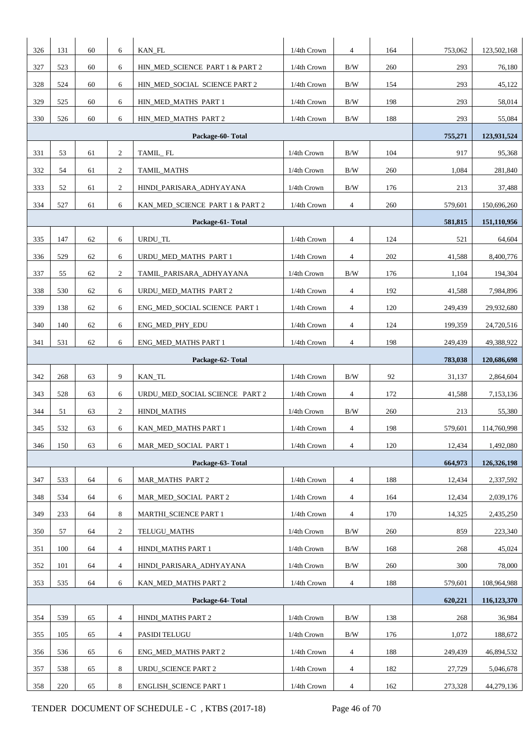| 326 | 131 | 60 | 6                | KAN_FL                          | 1/4th Crown                          | $\overline{4}$ | 164 | 753,062 | 123,502,168 |  |
|-----|-----|----|------------------|---------------------------------|--------------------------------------|----------------|-----|---------|-------------|--|
| 327 | 523 | 60 | 6                | HIN_MED_SCIENCE PART 1 & PART 2 | 1/4th Crown                          | B/W            | 260 | 293     | 76,180      |  |
| 328 | 524 | 60 | 6                | HIN_MED_SOCIAL SCIENCE PART 2   | 1/4th Crown                          | B/W            | 154 | 293     | 45,122      |  |
| 329 | 525 | 60 | 6                | HIN_MED_MATHS_PART 1            | 1/4th Crown                          | B/W            | 198 | 293     | 58,014      |  |
| 330 | 526 | 60 | 6                | HIN_MED_MATHS_PART 2            | 1/4th Crown                          | B/W            | 188 | 293     | 55,084      |  |
|     |     |    |                  | Package-60-Total                |                                      |                |     | 755,271 | 123,931,524 |  |
| 331 | 53  | 61 | $\overline{2}$   | TAMIL_FL                        | 1/4th Crown                          | $\rm\,B/W$     | 104 | 917     | 95,368      |  |
| 332 | 54  | 61 | $\overline{c}$   | TAMIL_MATHS                     | 1/4th Crown                          | B/W            | 260 | 1,084   | 281,840     |  |
| 333 | 52  | 61 | $\overline{2}$   | HINDI_PARISARA_ADHYAYANA        | 1/4th Crown                          | B/W            | 176 | 213     | 37,488      |  |
| 334 | 527 | 61 | 6                | KAN_MED_SCIENCE_PART 1 & PART 2 | 1/4th Crown<br>$\overline{4}$<br>260 |                |     |         |             |  |
|     |     |    |                  | 581,815                         | 151,110,956                          |                |     |         |             |  |
| 335 | 147 | 62 | 6                | URDU_TL                         | 1/4th Crown                          | $\overline{4}$ | 124 | 521     | 64,604      |  |
| 336 | 529 | 62 | 6                | URDU MED MATHS PART 1           | 1/4th Crown                          | $\overline{4}$ | 202 | 41,588  | 8,400,776   |  |
| 337 | 55  | 62 | 2                | TAMIL_PARISARA_ADHYAYANA        | 1/4th Crown                          | B/W            | 176 | 1,104   | 194,304     |  |
| 338 | 530 | 62 | 6                | URDU_MED_MATHS PART 2           | 1/4th Crown                          | $\overline{4}$ | 192 | 41,588  | 7,984,896   |  |
| 339 | 138 | 62 | 6                | ENG_MED_SOCIAL SCIENCE PART 1   | 1/4th Crown                          | $\overline{4}$ | 120 | 249,439 | 29,932,680  |  |
| 340 | 140 | 62 | 6                | ENG_MED_PHY_EDU                 | 1/4th Crown                          | $\overline{4}$ | 124 | 199,359 | 24,720,516  |  |
| 341 | 531 | 62 | 6                | <b>ENG_MED_MATHS PART 1</b>     | 1/4th Crown                          | $\overline{4}$ | 198 | 249,439 | 49,388,922  |  |
|     |     |    |                  | Package-62- Total               |                                      |                |     | 783,038 | 120,686,698 |  |
| 342 | 268 | 63 | 9                | KAN_TL                          | 1/4th Crown                          | B/W            | 92  | 31,137  | 2,864,604   |  |
| 343 | 528 | 63 | 6                | URDU MED SOCIAL SCIENCE PART 2  | 1/4th Crown                          | $\overline{4}$ | 172 | 41,588  | 7,153,136   |  |
| 344 | 51  | 63 | $\mathbf{2}$     | <b>HINDI_MATHS</b>              | 1/4th Crown                          | B/W            | 260 | 213     | 55,380      |  |
| 345 | 532 | 63 | 6                | KAN_MED_MATHS PART 1            | 1/4th Crown                          | $\overline{4}$ | 198 | 579,601 | 114,760,998 |  |
| 346 | 150 | 63 | 6                | MAR_MED_SOCIAL PART 1           | 1/4th Crown                          | $\overline{4}$ | 120 | 12,434  | 1,492,080   |  |
|     |     |    |                  | Package-63-Total                |                                      |                |     | 664,973 | 126,326,198 |  |
| 347 | 533 | 64 | 6                | <b>MAR_MATHS PART 2</b>         | 1/4th Crown                          | $\overline{4}$ | 188 | 12,434  | 2,337,592   |  |
| 348 | 534 | 64 | 6                | MAR MED SOCIAL PART 2           | 1/4th Crown                          | $\overline{4}$ | 164 | 12,434  | 2,039,176   |  |
| 349 | 233 | 64 | 8                | MARTHI_SCIENCE PART 1           | 1/4th Crown                          | $\overline{4}$ | 170 | 14,325  | 2,435,250   |  |
| 350 | 57  | 64 | $\boldsymbol{2}$ | TELUGU_MATHS                    | 1/4th Crown                          | B/W            | 260 | 859     | 223,340     |  |
| 351 | 100 | 64 | $\overline{4}$   | HINDI_MATHS PART 1              | 1/4th Crown                          | B/W            | 168 | 268     | 45,024      |  |
| 352 | 101 | 64 | $\overline{4}$   | HINDI_PARISARA_ADHYAYANA        | 1/4th Crown                          | $\rm\,B/W$     | 260 | 300     | 78,000      |  |
| 353 | 535 | 64 | 6                | KAN_MED_MATHS PART 2            | 1/4th Crown                          | $\overline{4}$ | 188 | 579,601 | 108,964,988 |  |
|     |     |    | 620,221          | 116,123,370                     |                                      |                |     |         |             |  |
| 354 | 539 | 65 | $\overline{4}$   | HINDI_MATHS PART 2              | 1/4th Crown                          | B/W            | 138 | 268     | 36,984      |  |
| 355 | 105 | 65 | $\overline{4}$   | PASIDI TELUGU                   | 1/4th Crown                          | B/W            | 176 | 1,072   | 188,672     |  |
| 356 | 536 | 65 | 6                | <b>ENG_MED_MATHS PART 2</b>     | 1/4th Crown                          | $\overline{4}$ | 188 | 249,439 | 46,894,532  |  |
| 357 | 538 | 65 | 8                | URDU_SCIENCE PART 2             | 1/4th Crown                          | 4              | 182 | 27,729  | 5,046,678   |  |
| 358 | 220 | 65 | 8                | <b>ENGLISH_SCIENCE PART 1</b>   | 1/4th Crown<br>162<br>$\overline{4}$ |                |     |         |             |  |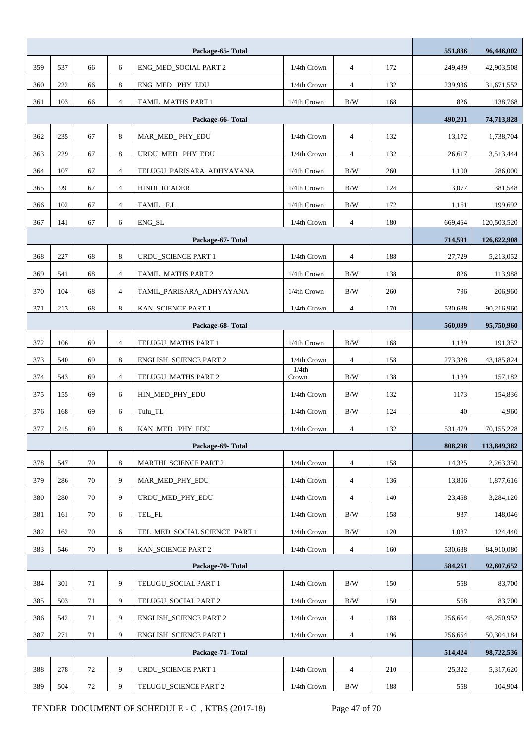|                  |     |    |                |                               | 551,836                              | 96,446,002     |            |         |             |
|------------------|-----|----|----------------|-------------------------------|--------------------------------------|----------------|------------|---------|-------------|
| 359              | 537 | 66 | 6              | ENG_MED_SOCIAL PART 2         | 1/4th Crown                          | 4              | 172        | 249,439 | 42,903,508  |
| 360              | 222 | 66 | 8              | ENG_MED_PHY_EDU               | 1/4th Crown                          | $\overline{4}$ | 132        | 239,936 | 31,671,552  |
| 361              | 103 | 66 | $\overline{4}$ | TAMIL MATHS PART 1            | 1/4th Crown                          | $\rm\,B/W$     | 168        | 826     | 138,768     |
|                  |     |    |                | Package-66-Total              |                                      |                |            | 490,201 | 74,713,828  |
| 362              | 235 | 67 | $\,8\,$        | MAR_MED_PHY_EDU               | 1/4th Crown                          | $\overline{4}$ | 132        | 13,172  | 1,738,704   |
| 363              | 229 | 67 | 8              | URDU_MED_PHY_EDU              | $1/4th$ Crown                        | 4              | 132        | 26,617  | 3,513,444   |
| 364              | 107 | 67 | $\overline{4}$ | TELUGU_PARISARA_ADHYAYANA     | 1/4th Crown                          | $\rm\,B/W$     | 260        | 1,100   | 286,000     |
| 365              | 99  | 67 | $\overline{4}$ | HINDI_READER                  | 3,077                                | 381,548        |            |         |             |
| 366              | 102 | 67 | $\overline{4}$ | TAMIL_F.L                     | 1/4th Crown                          | $\rm\,B/W$     | 172        | 1,161   | 199,692     |
| 367              | 141 | 67 | 6              | ENG_SL                        | 180<br>1/4th Crown<br>$\overline{4}$ |                |            |         |             |
|                  |     |    |                | 714,591                       | 126,622,908                          |                |            |         |             |
| 368              | 227 | 68 | 8              | URDU_SCIENCE PART 1           | 1/4th Crown                          | 4              | 188        | 27,729  | 5,213,052   |
| 369              | 541 | 68 | $\overline{4}$ | TAMIL_MATHS PART 2            | 1/4th Crown                          | $\rm\,B/W$     | 138        | 826     | 113,988     |
| 370              | 104 | 68 | $\overline{4}$ | TAMIL_PARISARA_ADHYAYANA      | 1/4th Crown                          | B/W            | 260        | 796     | 206,960     |
| 371              | 213 | 68 | 8              | KAN_SCIENCE PART 1            | 1/4th Crown<br>$\overline{4}$<br>170 |                |            |         |             |
| Package-68-Total |     |    |                |                               |                                      |                |            |         | 95,750,960  |
| 372              | 106 | 69 | $\overline{4}$ | TELUGU_MATHS PART 1           | 1/4th Crown                          | B/W            | 168        | 1,139   | 191,352     |
| 373              | 540 | 69 | 8              | <b>ENGLISH_SCIENCE PART 2</b> | 1/4th Crown                          | $\overline{4}$ | 158        | 273,328 | 43,185,824  |
| 374              | 543 | 69 | $\overline{4}$ | TELUGU_MATHS PART 2           | 1/4th<br>Crown                       | B/W            | 138        | 1,139   | 157,182     |
| 375              | 155 | 69 | 6              | HIN_MED_PHY_EDU               | 1/4th Crown                          | $\rm\,B/W$     | 132        | 1173    | 154,836     |
| 376              | 168 | 69 | 6              | Tulu_TL                       | 1/4th Crown                          | B/W            | 124        | 40      | 4,960       |
| 377              | 215 | 69 | 8              | KAN_MED_PHY_EDU               | 1/4th Crown                          | 4              | 132        | 531,479 | 70,155,228  |
|                  |     |    |                | Package-69-Total              |                                      |                |            | 808,298 | 113,849,382 |
| 378              | 547 | 70 | 8              | MARTHI_SCIENCE PART 2         | 1/4th Crown                          | $\overline{4}$ | 158        | 14,325  | 2,263,350   |
| 379              | 286 | 70 | 9              | MAR_MED_PHY_EDU               | 1/4th Crown                          | $\overline{4}$ | 136        | 13,806  | 1,877,616   |
| 380              | 280 | 70 | 9              | URDU MED PHY EDU              | 1/4th Crown                          | 4              | 140        | 23,458  | 3,284,120   |
| 381              | 161 | 70 | 6              | TEL_FL                        | 1/4th Crown                          | B/W            | 158        | 937     | 148,046     |
| 382              | 162 | 70 | 6              | TEL_MED_SOCIAL SCIENCE PART 1 | 1/4th Crown                          | B/W            | 120        | 1,037   | 124,440     |
| 383              | 546 | 70 | 8              | KAN_SCIENCE PART 2            | 1/4th Crown                          | $\overline{4}$ | 160        | 530,688 | 84,910,080  |
|                  |     |    |                | Package-70-Total              |                                      |                |            | 584,251 | 92,607,652  |
| 384              | 301 | 71 | 9              | TELUGU_SOCIAL PART 1          | 1/4th Crown                          | B/W            | 150        | 558     | 83,700      |
| 385              | 503 | 71 | 9              | TELUGU_SOCIAL PART 2          | 1/4th Crown                          | B/W            | 150        | 558     | 83,700      |
| 386              | 542 | 71 | 9              | <b>ENGLISH_SCIENCE PART 2</b> | 1/4th Crown                          | 4              | 188        | 256,654 | 48,250,952  |
| 387              | 271 | 71 | 9              | <b>ENGLISH_SCIENCE PART 1</b> | 196                                  | 256,654        | 50,304,184 |         |             |
|                  |     |    |                | Package-71- Total             |                                      |                |            | 514,424 | 98,722,536  |
| 388              | 278 | 72 | 9              | URDU_SCIENCE PART 1           | 1/4th Crown                          | 4              | 210        | 25,322  | 5,317,620   |
| 389              | 504 | 72 | 9              | TELUGU_SCIENCE PART 2         | 1/4th Crown                          | B/W            | 188        | 558     | 104,904     |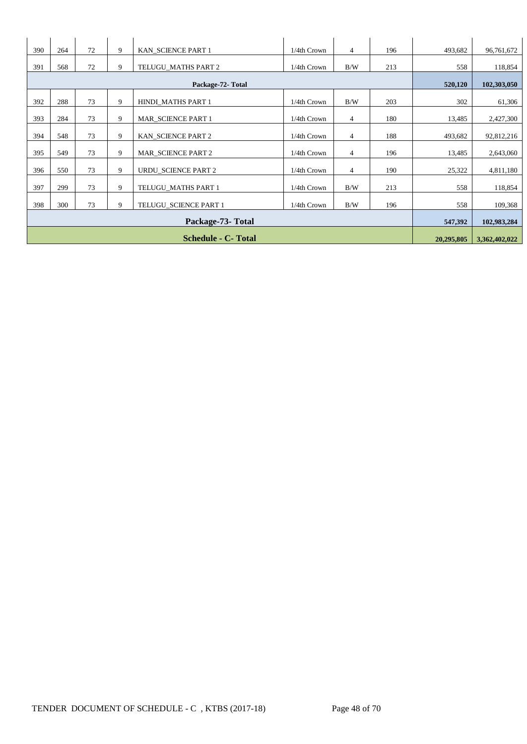| 390 | 264 | 72         | 9             | KAN SCIENCE PART 1         | 1/4th Crown | $\overline{4}$ | 196 | 493,682 | 96,761,672  |
|-----|-----|------------|---------------|----------------------------|-------------|----------------|-----|---------|-------------|
| 391 | 568 | 72         | 9             | TELUGU MATHS PART 2        | 1/4th Crown | B/W            | 213 | 558     | 118,854     |
|     |     |            |               | Package-72- Total          |             |                |     | 520,120 | 102,303,050 |
| 392 | 288 | 73         | 9             | HINDI_MATHS PART 1         | 1/4th Crown | B/W            | 203 | 302     | 61,306      |
| 393 | 284 | 73         | 9             | MAR SCIENCE PART 1         | 1/4th Crown | $\overline{4}$ | 180 | 13,485  | 2,427,300   |
| 394 | 548 | 73         | 9             | KAN SCIENCE PART 2         | 1/4th Crown | $\overline{4}$ | 188 | 493,682 | 92,812,216  |
| 395 | 549 | 73         | 9             | <b>MAR_SCIENCE PART 2</b>  | 1/4th Crown | $\overline{4}$ | 196 | 13,485  | 2,643,060   |
| 396 | 550 | 73         | 9             | <b>URDU SCIENCE PART 2</b> | 1/4th Crown | $\overline{4}$ | 190 | 25,322  | 4,811,180   |
| 397 | 299 | 73         | 9             | TELUGU MATHS PART 1        | 1/4th Crown | B/W            | 213 | 558     | 118,854     |
| 398 | 300 | 73         | 9             | TELUGU_SCIENCE PART 1      | 1/4th Crown | B/W            | 196 | 558     | 109,368     |
|     |     | 547,392    | 102,983,284   |                            |             |                |     |         |             |
|     |     | 20,295,805 | 3,362,402,022 |                            |             |                |     |         |             |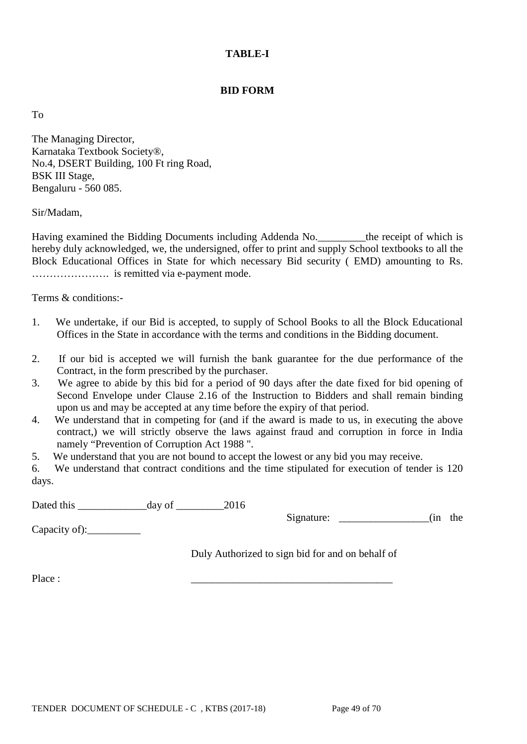### **TABLE-I**

### **BID FORM**

To

The Managing Director, Karnataka Textbook Society®, No.4, DSERT Building, 100 Ft ring Road, BSK III Stage, Bengaluru - 560 085.

Sir/Madam,

Having examined the Bidding Documents including Addenda No. <br>the receipt of which is hereby duly acknowledged, we, the undersigned, offer to print and supply School textbooks to all the Block Educational Offices in State for which necessary Bid security ( EMD) amounting to Rs. …………………. is remitted via e-payment mode.

Terms & conditions:-

- 1. We undertake, if our Bid is accepted, to supply of School Books to all the Block Educational Offices in the State in accordance with the terms and conditions in the Bidding document.
- 2. If our bid is accepted we will furnish the bank guarantee for the due performance of the Contract, in the form prescribed by the purchaser.
- 3. We agree to abide by this bid for a period of 90 days after the date fixed for bid opening of Second Envelope under Clause 2.16 of the Instruction to Bidders and shall remain binding upon us and may be accepted at any time before the expiry of that period.
- 4. We understand that in competing for (and if the award is made to us, in executing the above contract,) we will strictly observe the laws against fraud and corruption in force in India namely "Prevention of Corruption Act 1988 ".
- 5. We understand that you are not bound to accept the lowest or any bid you may receive.

6. We understand that contract conditions and the time stipulated for execution of tender is 120 days.

Dated this \_\_\_\_\_\_\_\_\_\_\_\_\_day of \_\_\_\_\_\_\_\_\_2016

Signature:  $\qquad \qquad$  (in the

Capacity of):\_\_\_\_\_\_\_\_\_\_

Duly Authorized to sign bid for and on behalf of

Place : \_\_\_\_\_\_\_\_\_\_\_\_\_\_\_\_\_\_\_\_\_\_\_\_\_\_\_\_\_\_\_\_\_\_\_\_\_\_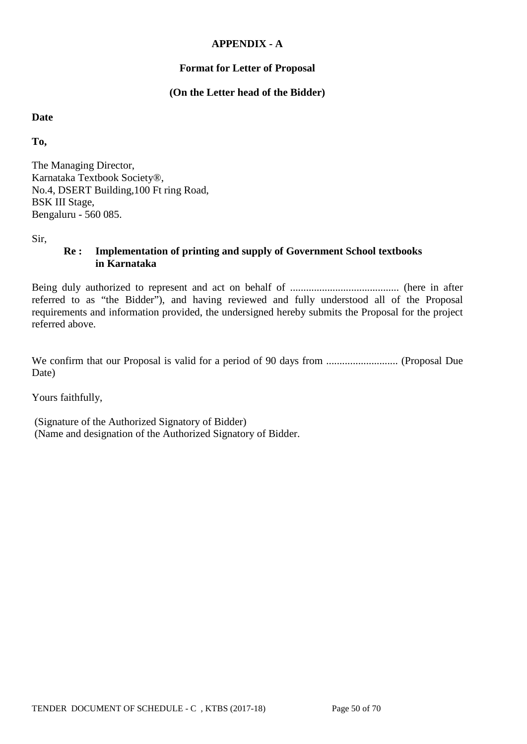### **APPENDIX - A**

### **Format for Letter of Proposal**

### **(On the Letter head of the Bidder)**

#### **Date**

**To,**

The Managing Director, Karnataka Textbook Society®, No.4, DSERT Building,100 Ft ring Road, BSK III Stage, Bengaluru - 560 085.

Sir,

## **Re : Implementation of printing and supply of Government School textbooks in Karnataka**

Being duly authorized to represent and act on behalf of ......................................... (here in after referred to as "the Bidder"), and having reviewed and fully understood all of the Proposal requirements and information provided, the undersigned hereby submits the Proposal for the project referred above.

We confirm that our Proposal is valid for a period of 90 days from ........................... (Proposal Due Date)

Yours faithfully,

(Signature of the Authorized Signatory of Bidder) (Name and designation of the Authorized Signatory of Bidder.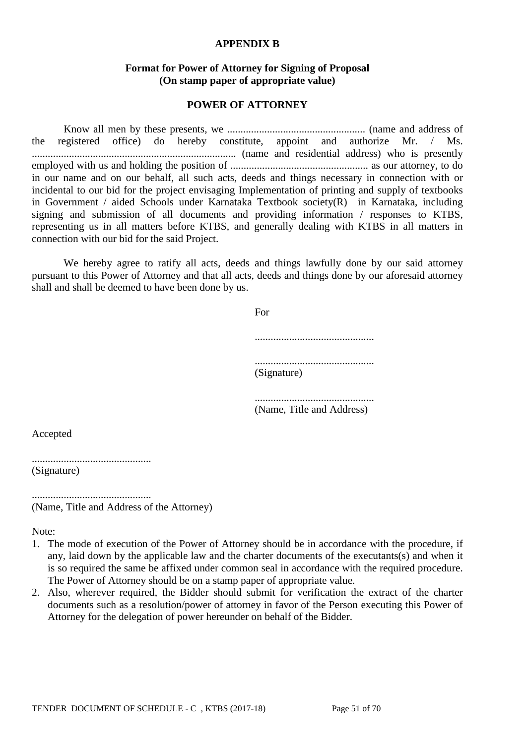#### **APPENDIX B**

### **Format for Power of Attorney for Signing of Proposal (On stamp paper of appropriate value)**

#### **POWER OF ATTORNEY**

Know all men by these presents, we .................................................... (name and address of the registered office) do hereby constitute, appoint and authorize Mr. / Ms. ............................................................................. (name and residential address) who is presently employed with us and holding the position of .................................................... as our attorney, to do in our name and on our behalf, all such acts, deeds and things necessary in connection with or incidental to our bid for the project envisaging Implementation of printing and supply of textbooks in Government / aided Schools under Karnataka Textbook society(R) in Karnataka, including signing and submission of all documents and providing information / responses to KTBS, representing us in all matters before KTBS, and generally dealing with KTBS in all matters in connection with our bid for the said Project.

We hereby agree to ratify all acts, deeds and things lawfully done by our said attorney pursuant to this Power of Attorney and that all acts, deeds and things done by our aforesaid attorney shall and shall be deemed to have been done by us.

| For         |  |
|-------------|--|
|             |  |
| (Signature) |  |

............................................. (Name, Title and Address)

Accepted

............................................. (Signature)

.............................................

(Name, Title and Address of the Attorney)

Note:

- 1. The mode of execution of the Power of Attorney should be in accordance with the procedure, if any, laid down by the applicable law and the charter documents of the executants(s) and when it is so required the same be affixed under common seal in accordance with the required procedure. The Power of Attorney should be on a stamp paper of appropriate value.
- 2. Also, wherever required, the Bidder should submit for verification the extract of the charter documents such as a resolution/power of attorney in favor of the Person executing this Power of Attorney for the delegation of power hereunder on behalf of the Bidder.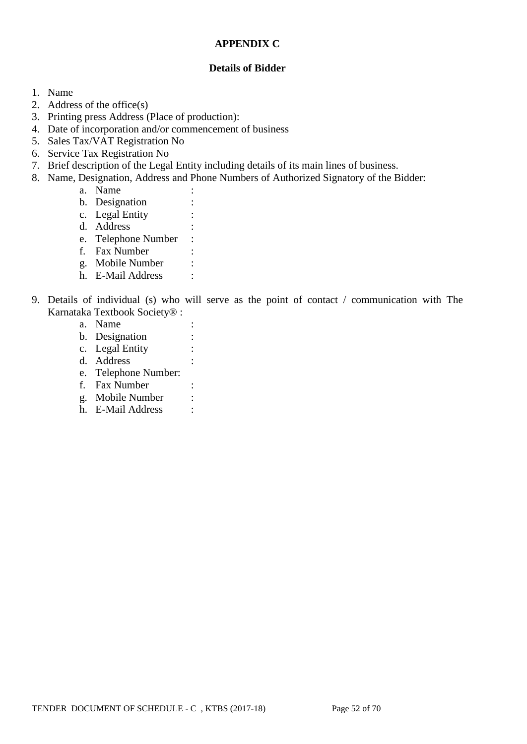### **APPENDIX C**

### **Details of Bidder**

- 1. Name
- 2. Address of the office(s)
- 3. Printing press Address (Place of production):
- 4. Date of incorporation and/or commencement of business
- 5. Sales Tax/VAT Registration No
- 6. Service Tax Registration No
- 7. Brief description of the Legal Entity including details of its main lines of business.
- 8. Name, Designation, Address and Phone Numbers of Authorized Signatory of the Bidder:
	- a. Name :
	- b. Designation :
	- c. Legal Entity :
	- d. Address :
	- e. Telephone Number :
	- f. Fax Number :
	- g. Mobile Number :
	- h. E-Mail Address :
- 9. Details of individual (s) who will serve as the point of contact / communication with The Karnataka Textbook Society® :
	- a. Name :
	- b. Designation :
	- c. Legal Entity :
	- d. Address :
	- e. Telephone Number:
	- f. Fax Number :
	- g. Mobile Number :
	- h. E-Mail Address :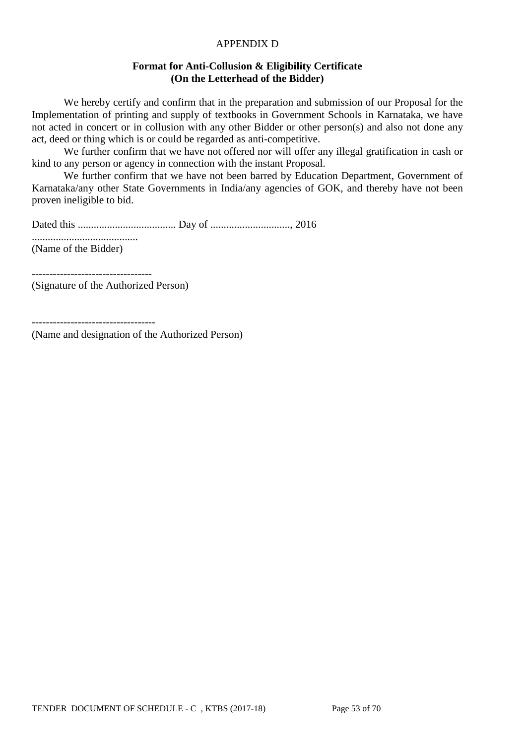### APPENDIX D

### **Format for Anti-Collusion & Eligibility Certificate (On the Letterhead of the Bidder)**

We hereby certify and confirm that in the preparation and submission of our Proposal for the Implementation of printing and supply of textbooks in Government Schools in Karnataka, we have not acted in concert or in collusion with any other Bidder or other person(s) and also not done any act, deed or thing which is or could be regarded as anti-competitive.

We further confirm that we have not offered nor will offer any illegal gratification in cash or kind to any person or agency in connection with the instant Proposal.

We further confirm that we have not been barred by Education Department, Government of Karnataka/any other State Governments in India/any agencies of GOK, and thereby have not been proven ineligible to bid.

Dated this ..................................... Day of .............................., 2016

........................................ (Name of the Bidder)

----------------------------------

(Signature of the Authorized Person)

-----------------------------------

(Name and designation of the Authorized Person)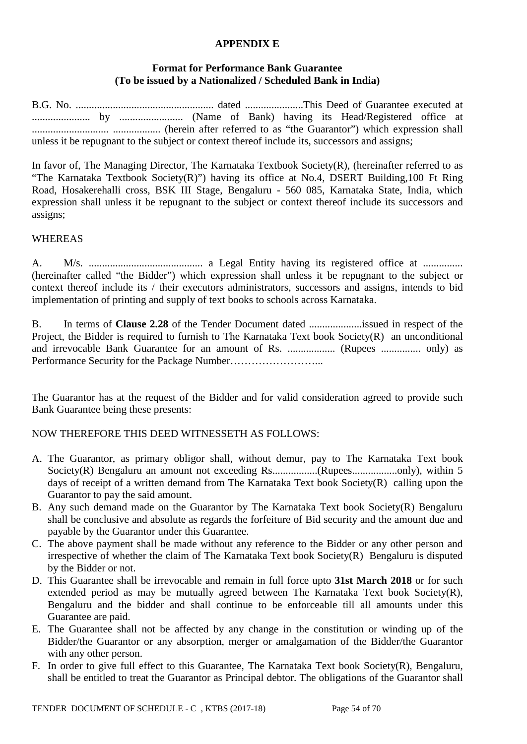#### **APPENDIX E**

## **Format for Performance Bank Guarantee (To be issued by a Nationalized / Scheduled Bank in India)**

B.G. No. .................................................... dated ......................This Deed of Guarantee executed at ...................... by ........................ (Name of Bank) having its Head/Registered office at ............................. .................. (herein after referred to as "the Guarantor") which expression shall unless it be repugnant to the subject or context thereof include its, successors and assigns;

In favor of, The Managing Director, The Karnataka Textbook Society(R), (hereinafter referred to as "The Karnataka Textbook Society(R)") having its office at No.4, DSERT Building,100 Ft Ring Road, Hosakerehalli cross, BSK III Stage, Bengaluru - 560 085, Karnataka State, India, which expression shall unless it be repugnant to the subject or context thereof include its successors and assigns;

### WHEREAS

A. M/s. ........................................... a Legal Entity having its registered office at ............... (hereinafter called "the Bidder") which expression shall unless it be repugnant to the subject or context thereof include its / their executors administrators, successors and assigns, intends to bid implementation of printing and supply of text books to schools across Karnataka.

B. In terms of **Clause 2.28** of the Tender Document dated ....................issued in respect of the Project, the Bidder is required to furnish to The Karnataka Text book Society(R) an unconditional and irrevocable Bank Guarantee for an amount of Rs. .................. (Rupees ............... only) as Performance Security for the Package Number……………………...

The Guarantor has at the request of the Bidder and for valid consideration agreed to provide such Bank Guarantee being these presents:

### NOW THEREFORE THIS DEED WITNESSETH AS FOLLOWS:

- A. The Guarantor, as primary obligor shall, without demur, pay to The Karnataka Text book Society(R) Bengaluru an amount not exceeding Rs.................(Rupees.................only), within 5 days of receipt of a written demand from The Karnataka Text book Society(R) calling upon the Guarantor to pay the said amount.
- B. Any such demand made on the Guarantor by The Karnataka Text book Society(R) Bengaluru shall be conclusive and absolute as regards the forfeiture of Bid security and the amount due and payable by the Guarantor under this Guarantee.
- C. The above payment shall be made without any reference to the Bidder or any other person and irrespective of whether the claim of The Karnataka Text book Society(R) Bengaluru is disputed by the Bidder or not.
- D. This Guarantee shall be irrevocable and remain in full force upto **31st March 2018** or for such extended period as may be mutually agreed between The Karnataka Text book Society(R), Bengaluru and the bidder and shall continue to be enforceable till all amounts under this Guarantee are paid.
- E. The Guarantee shall not be affected by any change in the constitution or winding up of the Bidder/the Guarantor or any absorption, merger or amalgamation of the Bidder/the Guarantor with any other person.
- F. In order to give full effect to this Guarantee, The Karnataka Text book Society(R), Bengaluru, shall be entitled to treat the Guarantor as Principal debtor. The obligations of the Guarantor shall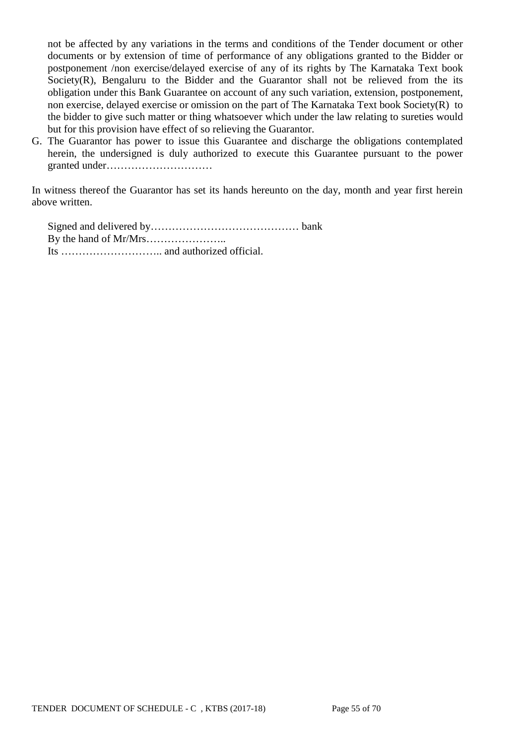not be affected by any variations in the terms and conditions of the Tender document or other documents or by extension of time of performance of any obligations granted to the Bidder or postponement /non exercise/delayed exercise of any of its rights by The Karnataka Text book Society $(R)$ , Bengaluru to the Bidder and the Guarantor shall not be relieved from the its obligation under this Bank Guarantee on account of any such variation, extension, postponement, non exercise, delayed exercise or omission on the part of The Karnataka Text book Society(R) to the bidder to give such matter or thing whatsoever which under the law relating to sureties would but for this provision have effect of so relieving the Guarantor.

G. The Guarantor has power to issue this Guarantee and discharge the obligations contemplated herein, the undersigned is duly authorized to execute this Guarantee pursuant to the power granted under…………………………

In witness thereof the Guarantor has set its hands hereunto on the day, month and year first herein above written.

Signed and delivered by…………………………………… bank By the hand of Mr/Mrs………………….. Its ……………………….. and authorized official.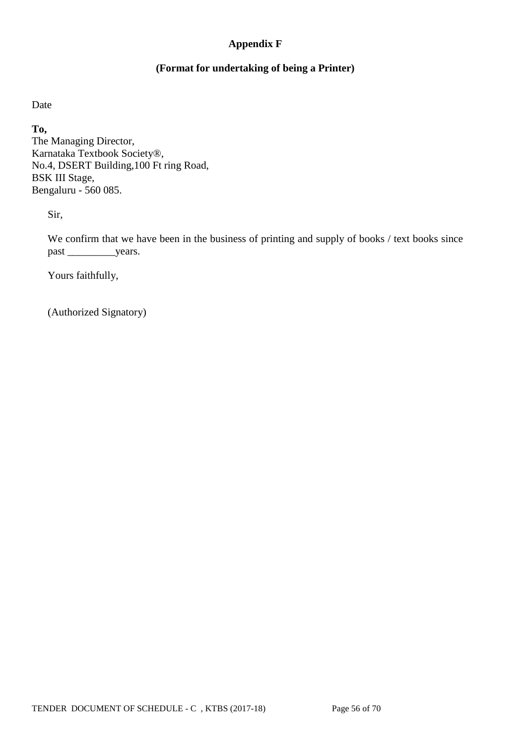## **Appendix F**

## **(Format for undertaking of being a Printer)**

Date

**To,**

The Managing Director, Karnataka Textbook Society®, No.4, DSERT Building,100 Ft ring Road, BSK III Stage, Bengaluru - 560 085.

Sir,

We confirm that we have been in the business of printing and supply of books / text books since past \_\_\_\_\_\_\_\_\_\_\_\_\_\_\_years.

Yours faithfully,

(Authorized Signatory)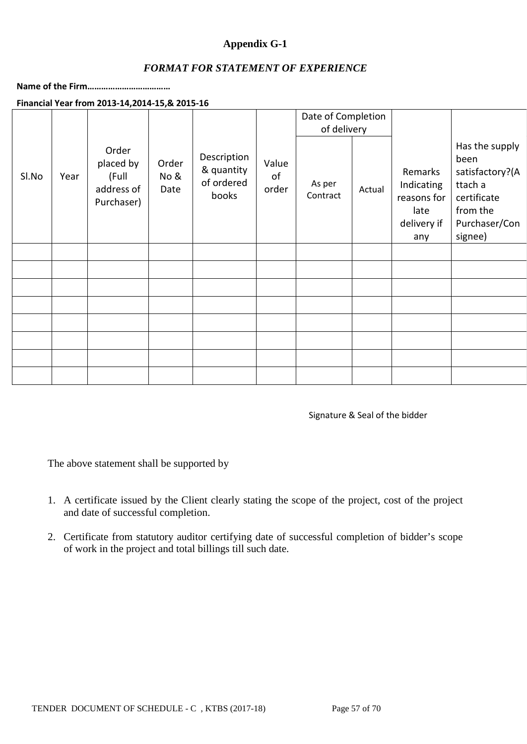## **Appendix G-1**

### *FORMAT FOR STATEMENT OF EXPERIENCE*

**Name of the Firm………………………………**

#### **Financial Year from 2013-14,2014-15,& 2015-16**

|       |      |                                                         |                       |                                                  |                      | Date of Completion<br>of delivery |        |                                                                    |                                                                                                             |
|-------|------|---------------------------------------------------------|-----------------------|--------------------------------------------------|----------------------|-----------------------------------|--------|--------------------------------------------------------------------|-------------------------------------------------------------------------------------------------------------|
| SI.No | Year | Order<br>placed by<br>(Full<br>address of<br>Purchaser) | Order<br>No &<br>Date | Description<br>& quantity<br>of ordered<br>books | Value<br>of<br>order | As per<br>Contract                | Actual | Remarks<br>Indicating<br>reasons for<br>late<br>delivery if<br>any | Has the supply<br>been<br>satisfactory?(A<br>ttach a<br>certificate<br>from the<br>Purchaser/Con<br>signee) |
|       |      |                                                         |                       |                                                  |                      |                                   |        |                                                                    |                                                                                                             |
|       |      |                                                         |                       |                                                  |                      |                                   |        |                                                                    |                                                                                                             |
|       |      |                                                         |                       |                                                  |                      |                                   |        |                                                                    |                                                                                                             |
|       |      |                                                         |                       |                                                  |                      |                                   |        |                                                                    |                                                                                                             |
|       |      |                                                         |                       |                                                  |                      |                                   |        |                                                                    |                                                                                                             |
|       |      |                                                         |                       |                                                  |                      |                                   |        |                                                                    |                                                                                                             |
|       |      |                                                         |                       |                                                  |                      |                                   |        |                                                                    |                                                                                                             |
|       |      |                                                         |                       |                                                  |                      |                                   |        |                                                                    |                                                                                                             |

Signature & Seal of the bidder

The above statement shall be supported by

- 1. A certificate issued by the Client clearly stating the scope of the project, cost of the project and date of successful completion.
- 2. Certificate from statutory auditor certifying date of successful completion of bidder's scope of work in the project and total billings till such date.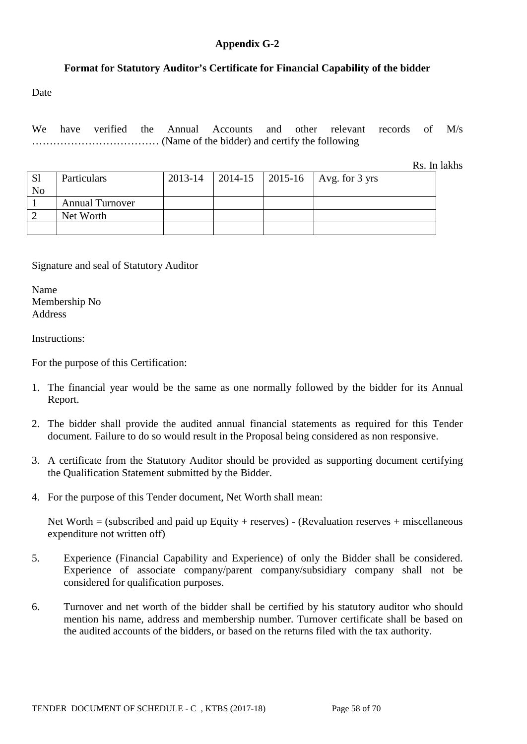### **Appendix G-2**

## **Format for Statutory Auditor's Certificate for Financial Capability of the bidder**

Date

We have verified the Annual Accounts and other relevant records of M/s ……………………………… (Name of the bidder) and certify the following

Rs. In lakhs

| <sub>S1</sub><br>N <sub>o</sub> | Particulars            | 2013-14 |  | $\vert$ 2014-15 $\vert$ 2015-16 $\vert$ Avg. for 3 yrs |
|---------------------------------|------------------------|---------|--|--------------------------------------------------------|
|                                 | <b>Annual Turnover</b> |         |  |                                                        |
|                                 | Net Worth              |         |  |                                                        |
|                                 |                        |         |  |                                                        |

Signature and seal of Statutory Auditor

Name Membership No Address

Instructions:

For the purpose of this Certification:

- 1. The financial year would be the same as one normally followed by the bidder for its Annual Report.
- 2. The bidder shall provide the audited annual financial statements as required for this Tender document. Failure to do so would result in the Proposal being considered as non responsive.
- 3. A certificate from the Statutory Auditor should be provided as supporting document certifying the Qualification Statement submitted by the Bidder.
- 4. For the purpose of this Tender document, Net Worth shall mean:

Net Worth  $=$  (subscribed and paid up Equity + reserves) - (Revaluation reserves + miscellaneous expenditure not written off)

- 5. Experience (Financial Capability and Experience) of only the Bidder shall be considered. Experience of associate company/parent company/subsidiary company shall not be considered for qualification purposes.
- 6. Turnover and net worth of the bidder shall be certified by his statutory auditor who should mention his name, address and membership number. Turnover certificate shall be based on the audited accounts of the bidders, or based on the returns filed with the tax authority.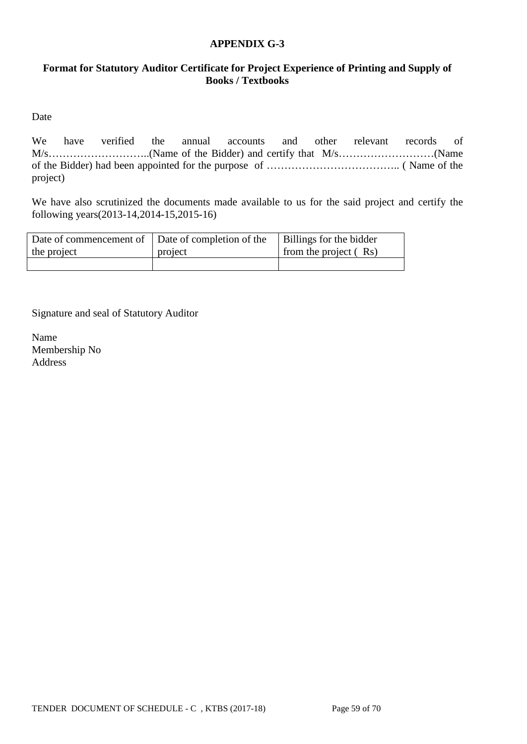### **APPENDIX G-3**

## **Format for Statutory Auditor Certificate for Project Experience of Printing and Supply of Books / Textbooks**

Date

We have verified the annual accounts and other relevant records of M/s………………………..(Name of the Bidder) and certify that M/s………………………(Name of the Bidder) had been appointed for the purpose of ……………………………….. ( Name of the project)

We have also scrutinized the documents made available to us for the said project and certify the following years(2013-14,2014-15,2015-16)

| Date of commencement of Date of completion of the<br>the project | project | Billings for the bidder<br>from the project $(Rs)$ |
|------------------------------------------------------------------|---------|----------------------------------------------------|
|                                                                  |         |                                                    |

Signature and seal of Statutory Auditor

Name Membership No Address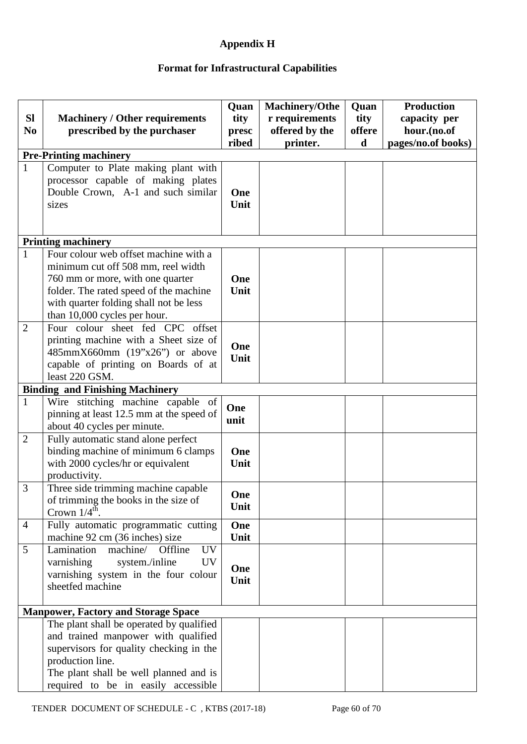## **Appendix H**

# **Format for Infrastructural Capabilities**

| <b>SI</b><br>N <sub>0</sub> | <b>Machinery / Other requirements</b><br>prescribed by the purchaser                                                                                                                                                                | Quan<br>tity<br>presc<br>ribed | <b>Machinery/Othe</b><br>r requirements<br>offered by the<br>printer. | Quan<br>tity<br>offere<br>d | <b>Production</b><br>capacity per<br>hour.(no.of<br>pages/no.of books) |
|-----------------------------|-------------------------------------------------------------------------------------------------------------------------------------------------------------------------------------------------------------------------------------|--------------------------------|-----------------------------------------------------------------------|-----------------------------|------------------------------------------------------------------------|
|                             | <b>Pre-Printing machinery</b>                                                                                                                                                                                                       |                                |                                                                       |                             |                                                                        |
| $\mathbf{1}$                | Computer to Plate making plant with<br>processor capable of making plates<br>Double Crown, A-1 and such similar<br>sizes                                                                                                            | One<br>Unit                    |                                                                       |                             |                                                                        |
|                             | <b>Printing machinery</b>                                                                                                                                                                                                           |                                |                                                                       |                             |                                                                        |
| $\mathbf{1}$                | Four colour web offset machine with a<br>minimum cut off 508 mm, reel width<br>760 mm or more, with one quarter<br>folder. The rated speed of the machine<br>with quarter folding shall not be less<br>than 10,000 cycles per hour. | One<br>Unit                    |                                                                       |                             |                                                                        |
| $\overline{2}$              | Four colour sheet fed CPC offset<br>printing machine with a Sheet size of<br>485mmX660mm (19"x26") or above<br>capable of printing on Boards of at<br>least 220 GSM.                                                                | One<br>Unit                    |                                                                       |                             |                                                                        |
|                             | <b>Binding and Finishing Machinery</b>                                                                                                                                                                                              |                                |                                                                       |                             |                                                                        |
| $\mathbf{1}$                | Wire stitching machine capable of<br>pinning at least 12.5 mm at the speed of<br>about 40 cycles per minute.                                                                                                                        | One<br>unit                    |                                                                       |                             |                                                                        |
| $\overline{2}$              | Fully automatic stand alone perfect<br>binding machine of minimum 6 clamps<br>with 2000 cycles/hr or equivalent<br>productivity.                                                                                                    | One<br>Unit                    |                                                                       |                             |                                                                        |
| 3                           | Three side trimming machine capable<br>of trimming the books in the size of<br>Crown $1/4^{\text{th}}$ .                                                                                                                            | One<br>Unit                    |                                                                       |                             |                                                                        |
| $\overline{4}$              | Fully automatic programmatic cutting<br>machine 92 cm (36 inches) size                                                                                                                                                              | One<br>Unit                    |                                                                       |                             |                                                                        |
| 5                           | Lamination<br>machine/<br>Offline<br><b>UV</b><br>varnishing<br>system./inline<br><b>UV</b><br>varnishing system in the four colour<br>sheetfed machine                                                                             | One<br>Unit                    |                                                                       |                             |                                                                        |
|                             | <b>Manpower, Factory and Storage Space</b>                                                                                                                                                                                          |                                |                                                                       |                             |                                                                        |
|                             | The plant shall be operated by qualified<br>and trained manpower with qualified<br>supervisors for quality checking in the<br>production line.<br>The plant shall be well planned and is<br>required to be in easily accessible     |                                |                                                                       |                             |                                                                        |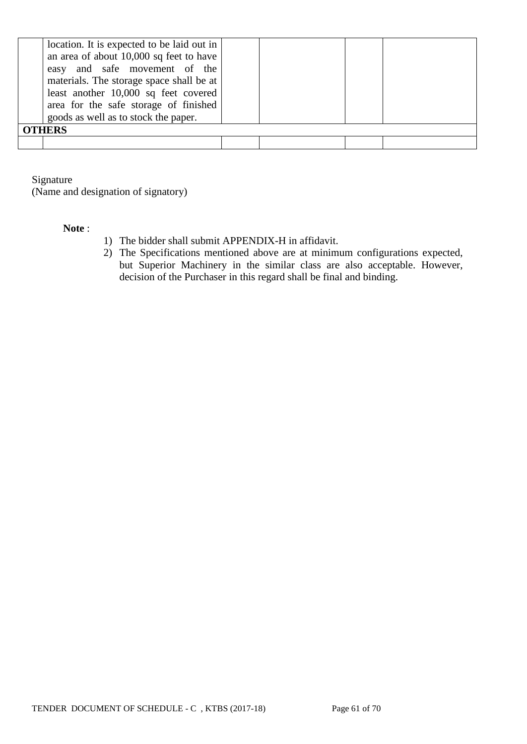| location. It is expected to be laid out in<br>an area of about 10,000 sq feet to have<br>easy and safe movement of the<br>materials. The storage space shall be at<br>least another 10,000 sq feet covered<br>area for the safe storage of finished<br>goods as well as to stock the paper. |  |  |  |  |  |  |
|---------------------------------------------------------------------------------------------------------------------------------------------------------------------------------------------------------------------------------------------------------------------------------------------|--|--|--|--|--|--|
| <b>OTHERS</b>                                                                                                                                                                                                                                                                               |  |  |  |  |  |  |
|                                                                                                                                                                                                                                                                                             |  |  |  |  |  |  |

Signature

(Name and designation of signatory)

#### **Note** :

- 1) The bidder shall submit APPENDIX-H in affidavit.
- 2) The Specifications mentioned above are at minimum configurations expected, but Superior Machinery in the similar class are also acceptable. However, decision of the Purchaser in this regard shall be final and binding.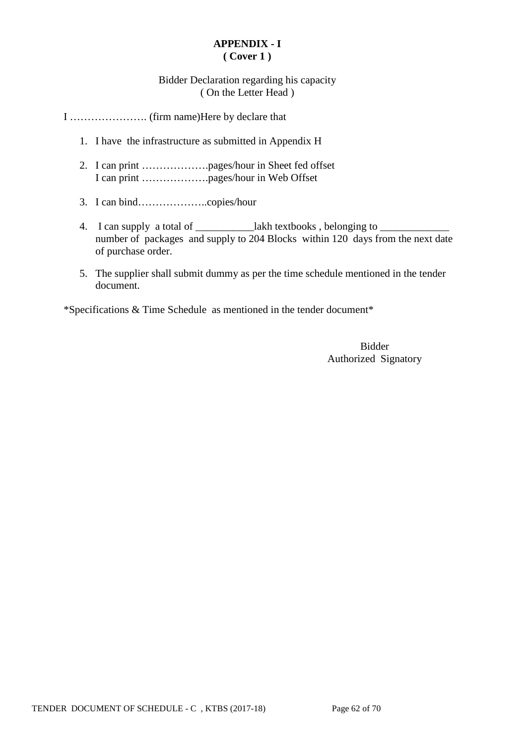## **APPENDIX - I ( Cover 1 )**

## Bidder Declaration regarding his capacity ( On the Letter Head )

I …………………. (firm name)Here by declare that

- 1. I have the infrastructure as submitted in Appendix H
- 2. I can print ……………….pages/hour in Sheet fed offset I can print ……………….pages/hour in Web Offset
- 3. I can bind………………..copies/hour
- 4. I can supply a total of \_\_\_\_\_\_\_\_\_\_\_\_lakh textbooks, belonging to \_\_\_\_\_\_\_\_\_\_\_\_ number of packages and supply to 204 Blocks within 120 days from the next date of purchase order.
- 5. The supplier shall submit dummy as per the time schedule mentioned in the tender document.

\*Specifications & Time Schedule as mentioned in the tender document\*

Bidder Authorized Signatory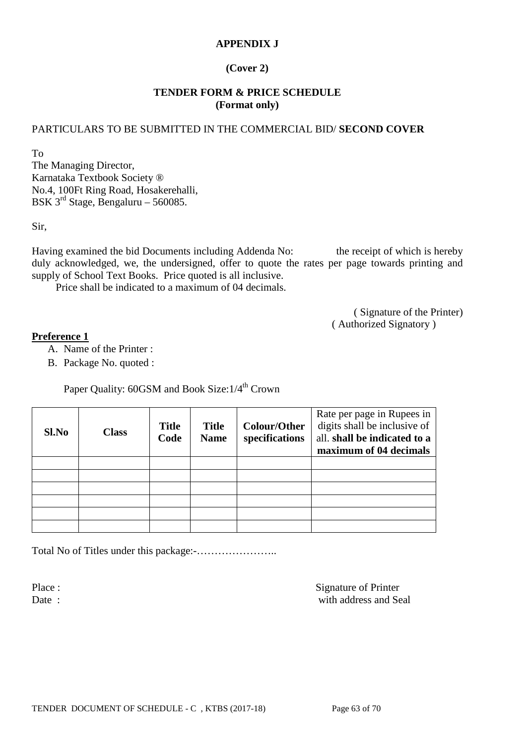## **APPENDIX J**

## **(Cover 2)**

### **TENDER FORM & PRICE SCHEDULE (Format only)**

### PARTICULARS TO BE SUBMITTED IN THE COMMERCIAL BID/ **SECOND COVER**

To The Managing Director, Karnataka Textbook Society ® No.4, 100Ft Ring Road, Hosakerehalli, BSK  $3^{\text{rd}}$  Stage, Bengaluru – 560085.

Sir,

Having examined the bid Documents including Addenda No: the receipt of which is hereby duly acknowledged, we, the undersigned, offer to quote the rates per page towards printing and supply of School Text Books. Price quoted is all inclusive.

Price shall be indicated to a maximum of 04 decimals.

( Signature of the Printer) ( Authorized Signatory )

#### **Preference 1**

- A. Name of the Printer :
- B. Package No. quoted :

Paper Ouality: 60GSM and Book Size:  $1/4^{th}$  Crown

| Sl.No | <b>Class</b> | <b>Title</b><br>Code | <b>Title</b><br><b>Name</b> | Colour/Other<br>specifications | Rate per page in Rupees in<br>digits shall be inclusive of<br>all. shall be indicated to a<br>maximum of 04 decimals |
|-------|--------------|----------------------|-----------------------------|--------------------------------|----------------------------------------------------------------------------------------------------------------------|
|       |              |                      |                             |                                |                                                                                                                      |
|       |              |                      |                             |                                |                                                                                                                      |
|       |              |                      |                             |                                |                                                                                                                      |
|       |              |                      |                             |                                |                                                                                                                      |
|       |              |                      |                             |                                |                                                                                                                      |
|       |              |                      |                             |                                |                                                                                                                      |

Total No of Titles under this package:-…………………..

Place : Signature of Printer Date : with address and Seal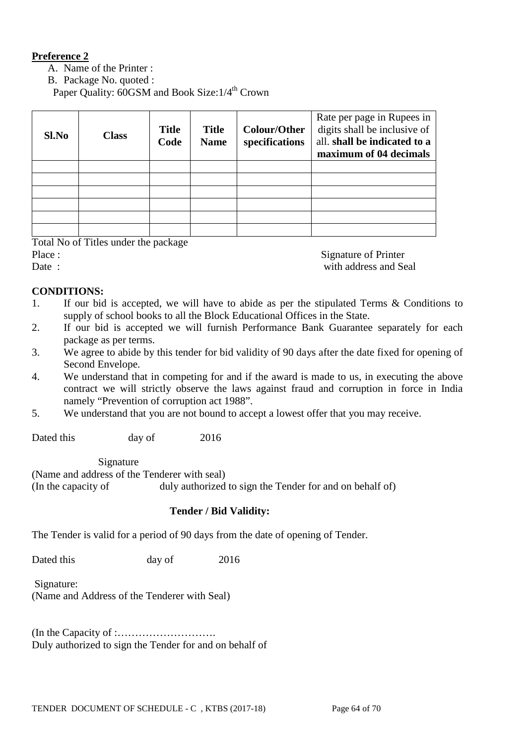## **Preference 2**

A. Name of the Printer :

B. Package No. quoted :

Paper Quality: 60GSM and Book Size: 1/4<sup>th</sup> Crown

| Sl.No | <b>Class</b> | <b>Title</b><br>Code | <b>Title</b><br><b>Name</b> | <b>Colour/Other</b><br>specifications | Rate per page in Rupees in<br>digits shall be inclusive of<br>all. shall be indicated to a<br>maximum of 04 decimals |
|-------|--------------|----------------------|-----------------------------|---------------------------------------|----------------------------------------------------------------------------------------------------------------------|
|       |              |                      |                             |                                       |                                                                                                                      |
|       |              |                      |                             |                                       |                                                                                                                      |
|       |              |                      |                             |                                       |                                                                                                                      |
|       |              |                      |                             |                                       |                                                                                                                      |
|       |              |                      |                             |                                       |                                                                                                                      |
|       |              |                      |                             |                                       |                                                                                                                      |

Total No of Titles under the package

Place : Signature of Printer

Date : with address and Seal

### **CONDITIONS:**

- 1. If our bid is accepted, we will have to abide as per the stipulated Terms & Conditions to supply of school books to all the Block Educational Offices in the State.
- 2. If our bid is accepted we will furnish Performance Bank Guarantee separately for each package as per terms.
- 3. We agree to abide by this tender for bid validity of 90 days after the date fixed for opening of Second Envelope.
- 4. We understand that in competing for and if the award is made to us, in executing the above contract we will strictly observe the laws against fraud and corruption in force in India namely "Prevention of corruption act 1988".
- 5. We understand that you are not bound to accept a lowest offer that you may receive.

Dated this day of 2016

Signature

(Name and address of the Tenderer with seal) (In the capacity of duly authorized to sign the Tender for and on behalf of)

### **Tender / Bid Validity:**

The Tender is valid for a period of 90 days from the date of opening of Tender.

Dated this day of 2016

Signature:

(Name and Address of the Tenderer with Seal)

(In the Capacity of :………………………. Duly authorized to sign the Tender for and on behalf of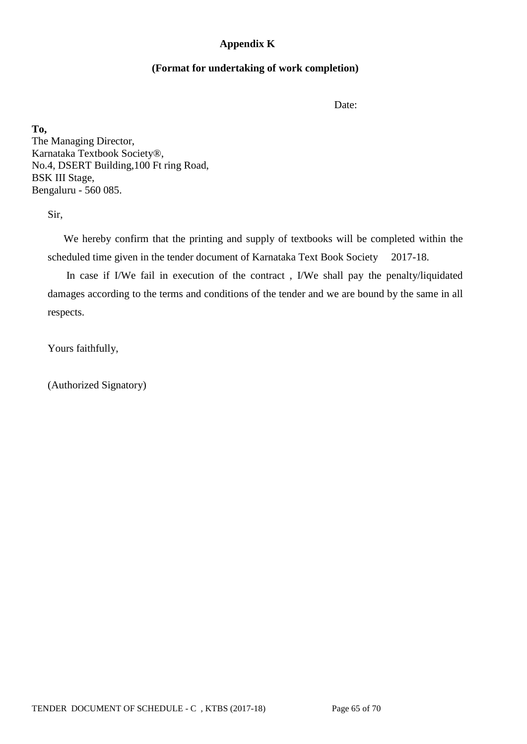### **Appendix K**

### **(Format for undertaking of work completion)**

Date:

**To,** The Managing Director, Karnataka Textbook Society®, No.4, DSERT Building,100 Ft ring Road, BSK III Stage, Bengaluru - 560 085.

Sir,

 We hereby confirm that the printing and supply of textbooks will be completed within the scheduled time given in the tender document of Karnataka Text Book Society 2017-18.

 In case if I/We fail in execution of the contract , I/We shall pay the penalty/liquidated damages according to the terms and conditions of the tender and we are bound by the same in all respects.

Yours faithfully,

(Authorized Signatory)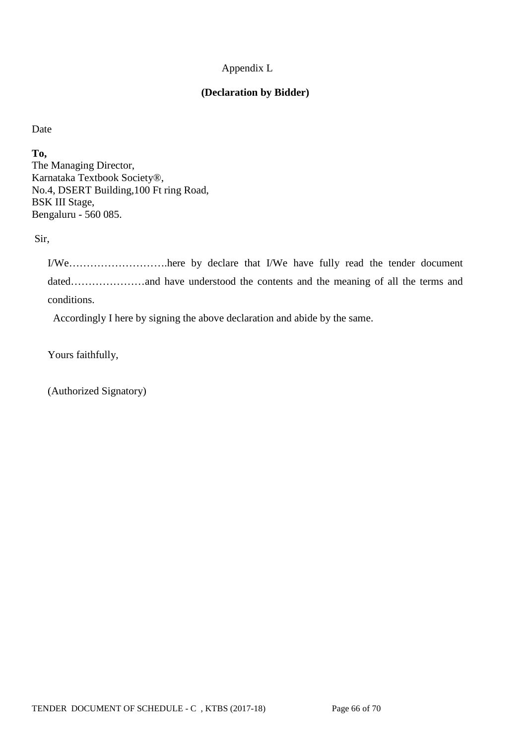## Appendix L

## **(Declaration by Bidder)**

Date

**To,** The Managing Director, Karnataka Textbook Society®, No.4, DSERT Building,100 Ft ring Road, BSK III Stage, Bengaluru - 560 085.

Sir,

I/We……………………….here by declare that I/We have fully read the tender document dated…………………and have understood the contents and the meaning of all the terms and conditions.

Accordingly I here by signing the above declaration and abide by the same.

Yours faithfully,

(Authorized Signatory)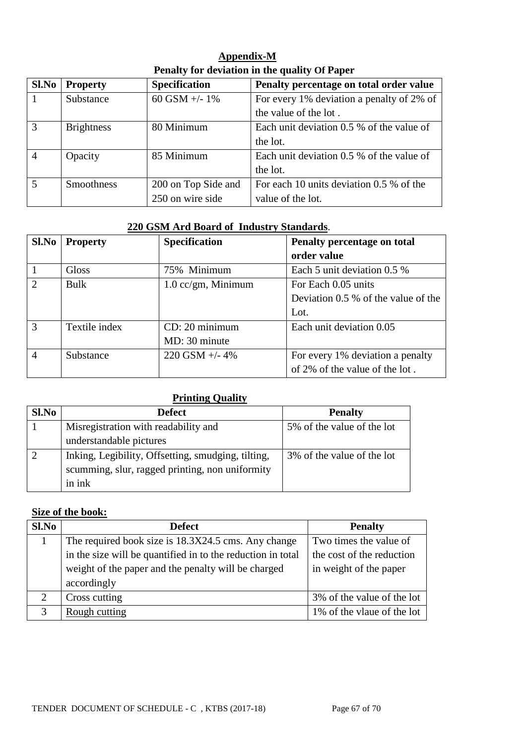| Appendix-M                                    |
|-----------------------------------------------|
| Penalty for deviation in the quality Of Paper |

| Sl.No          | <b>Property</b>   | <b>Specification</b> | Penalty percentage on total order value   |
|----------------|-------------------|----------------------|-------------------------------------------|
|                | Substance         | 60 GSM $+/- 1\%$     | For every 1% deviation a penalty of 2% of |
|                |                   |                      | the value of the lot.                     |
| $\overline{3}$ | <b>Brightness</b> | 80 Minimum           | Each unit deviation 0.5 % of the value of |
|                |                   |                      | the lot.                                  |
| $\overline{4}$ | Opacity           | 85 Minimum           | Each unit deviation 0.5 % of the value of |
|                |                   |                      | the lot.                                  |
| $\overline{5}$ | <b>Smoothness</b> | 200 on Top Side and  | For each 10 units deviation 0.5 % of the  |
|                |                   | 250 on wire side     | value of the lot.                         |

### **220 GSM Ard Board of Industry Standards**.

| Sl.No          | <b>Property</b> | <b>Specification</b> | Penalty percentage on total         |  |  |
|----------------|-----------------|----------------------|-------------------------------------|--|--|
|                |                 |                      | order value                         |  |  |
|                | <b>Gloss</b>    | 75% Minimum          | Each 5 unit deviation 0.5 %         |  |  |
| $\overline{2}$ | Bulk            | $1.0$ cc/gm, Minimum | For Each 0.05 units                 |  |  |
|                |                 |                      | Deviation 0.5 % of the value of the |  |  |
|                |                 |                      | Lot.                                |  |  |
| $\mathcal{R}$  | Textile index   | CD: 20 minimum       | Each unit deviation 0.05            |  |  |
|                |                 | MD: 30 minute        |                                     |  |  |
| $\overline{4}$ | Substance       | $220$ GSM $+/- 4\%$  | For every 1% deviation a penalty    |  |  |
|                |                 |                      | of 2% of the value of the lot.      |  |  |

## **Printing Quality**

| Sl.No | <b>Defect</b>                                      | <b>Penalty</b>             |
|-------|----------------------------------------------------|----------------------------|
|       | Misregistration with readability and               | 5% of the value of the lot |
|       | understandable pictures                            |                            |
|       | Inking, Legibility, Offsetting, smudging, tilting, | 3% of the value of the lot |
|       | scumming, slur, ragged printing, non uniformity    |                            |
|       | in ink                                             |                            |

# **Size of the book:**

| Sl.No | <b>Defect</b>                                               | <b>Penalty</b>             |
|-------|-------------------------------------------------------------|----------------------------|
|       | The required book size is 18.3X24.5 cms. Any change         | Two times the value of     |
|       | in the size will be quantified in to the reduction in total | the cost of the reduction  |
|       | weight of the paper and the penalty will be charged         | in weight of the paper     |
|       | accordingly                                                 |                            |
| ↑     | Cross cutting                                               | 3% of the value of the lot |
|       | Rough cutting                                               | 1% of the vlaue of the lot |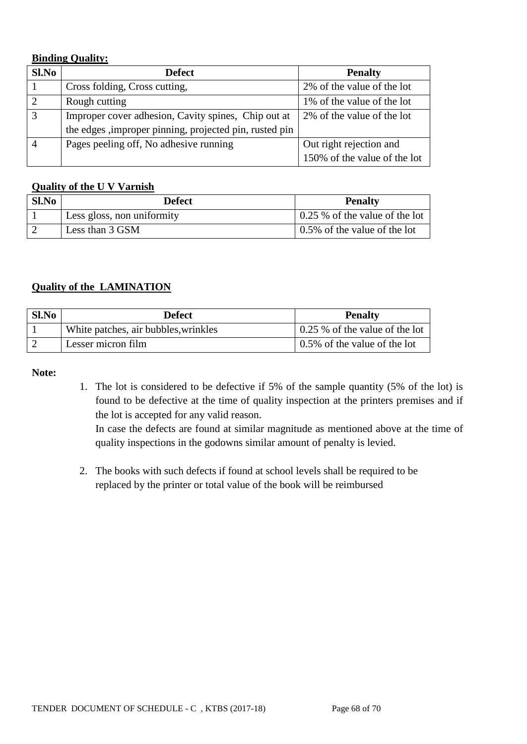## **Binding Quality:**

| Sl.No | <b>Defect</b>                                           | <b>Penalty</b>               |  |
|-------|---------------------------------------------------------|------------------------------|--|
|       | Cross folding, Cross cutting,                           | 2% of the value of the lot   |  |
|       | Rough cutting                                           | 1% of the value of the lot   |  |
|       | Improper cover adhesion, Cavity spines, Chip out at     | 2% of the value of the lot   |  |
|       | the edges , improper pinning, projected pin, rusted pin |                              |  |
|       | Pages peeling off, No adhesive running                  | Out right rejection and      |  |
|       |                                                         | 150% of the value of the lot |  |

### **Quality of the U V Varnish**

| Sl.No | <b>Defect</b>              | <b>Penalty</b>                               |
|-------|----------------------------|----------------------------------------------|
|       | Less gloss, non uniformity | $\frac{1}{2}$ 0.25 % of the value of the lot |
|       | Less than 3 GSM            | $\vert 0.5\%$ of the value of the lot        |

## **Quality of the LAMINATION**

| Sl.No | Defect                               | <b>Penalty</b>                         |
|-------|--------------------------------------|----------------------------------------|
|       | White patches, air bubbles, wrinkles | $\vert$ 0.25 % of the value of the lot |
|       | Lesser micron film                   | $\vert 0.5\%$ of the value of the lot  |

### **Note:**

1. The lot is considered to be defective if 5% of the sample quantity (5% of the lot) is found to be defective at the time of quality inspection at the printers premises and if the lot is accepted for any valid reason.

In case the defects are found at similar magnitude as mentioned above at the time of quality inspections in the godowns similar amount of penalty is levied.

2. The books with such defects if found at school levels shall be required to be replaced by the printer or total value of the book will be reimbursed